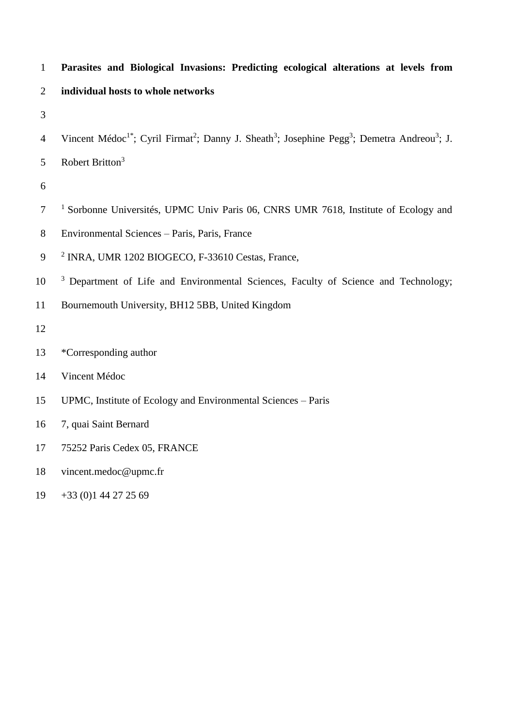| individual hosts to whole networks                                                                                                                       |
|----------------------------------------------------------------------------------------------------------------------------------------------------------|
|                                                                                                                                                          |
| Vincent Médoc <sup>1*</sup> ; Cyril Firmat <sup>2</sup> ; Danny J. Sheath <sup>3</sup> ; Josephine Pegg <sup>3</sup> ; Demetra Andreou <sup>3</sup> ; J. |
| Robert Britton <sup>3</sup>                                                                                                                              |
|                                                                                                                                                          |
| <sup>1</sup> Sorbonne Universités, UPMC Univ Paris 06, CNRS UMR 7618, Institute of Ecology and                                                           |
| Environmental Sciences - Paris, Paris, France                                                                                                            |
| <sup>2</sup> INRA, UMR 1202 BIOGECO, F-33610 Cestas, France,                                                                                             |
| <sup>3</sup> Department of Life and Environmental Sciences, Faculty of Science and Technology;                                                           |
| Bournemouth University, BH12 5BB, United Kingdom                                                                                                         |
|                                                                                                                                                          |
| *Corresponding author                                                                                                                                    |
| Vincent Médoc                                                                                                                                            |
| UPMC, Institute of Ecology and Environmental Sciences - Paris                                                                                            |
| 7, quai Saint Bernard                                                                                                                                    |
| 75252 Paris Cedex 05, FRANCE                                                                                                                             |
| vincent.medoc@upmc.fr                                                                                                                                    |
| $+33(0)144272569$                                                                                                                                        |
|                                                                                                                                                          |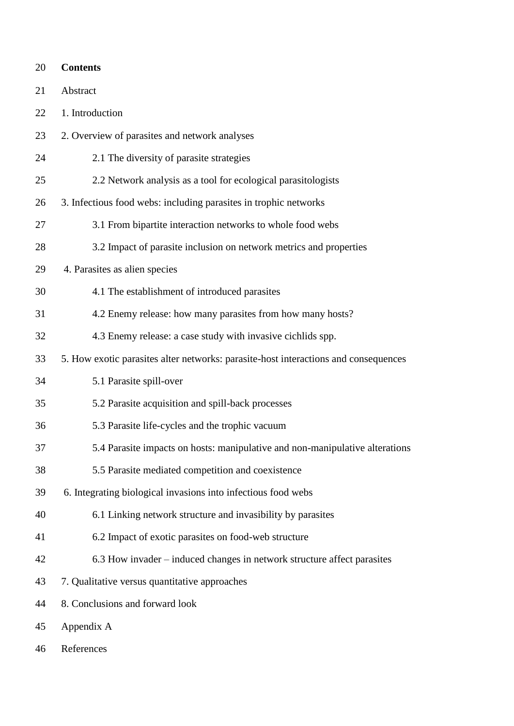| 20 | <b>Contents</b>                                                                     |
|----|-------------------------------------------------------------------------------------|
| 21 | Abstract                                                                            |
| 22 | 1. Introduction                                                                     |
| 23 | 2. Overview of parasites and network analyses                                       |
| 24 | 2.1 The diversity of parasite strategies                                            |
| 25 | 2.2 Network analysis as a tool for ecological parasitologists                       |
| 26 | 3. Infectious food webs: including parasites in trophic networks                    |
| 27 | 3.1 From bipartite interaction networks to whole food webs                          |
| 28 | 3.2 Impact of parasite inclusion on network metrics and properties                  |
| 29 | 4. Parasites as alien species                                                       |
| 30 | 4.1 The establishment of introduced parasites                                       |
| 31 | 4.2 Enemy release: how many parasites from how many hosts?                          |
| 32 | 4.3 Enemy release: a case study with invasive cichlids spp.                         |
| 33 | 5. How exotic parasites alter networks: parasite-host interactions and consequences |
| 34 | 5.1 Parasite spill-over                                                             |
| 35 | 5.2 Parasite acquisition and spill-back processes                                   |
| 36 | 5.3 Parasite life-cycles and the trophic vacuum                                     |
| 37 | 5.4 Parasite impacts on hosts: manipulative and non-manipulative alterations        |
| 38 | 5.5 Parasite mediated competition and coexistence                                   |
| 39 | 6. Integrating biological invasions into infectious food webs                       |
| 40 | 6.1 Linking network structure and invasibility by parasites                         |
| 41 | 6.2 Impact of exotic parasites on food-web structure                                |
| 42 | 6.3 How invader – induced changes in network structure affect parasites             |
| 43 | 7. Qualitative versus quantitative approaches                                       |
| 44 | 8. Conclusions and forward look                                                     |
| 45 | Appendix A                                                                          |
|    |                                                                                     |

References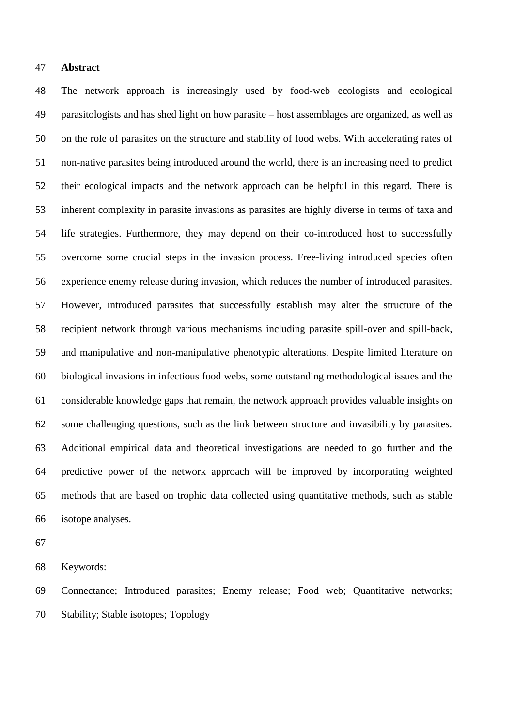## **Abstract**

 The network approach is increasingly used by food-web ecologists and ecological parasitologists and has shed light on how parasite – host assemblages are organized, as well as on the role of parasites on the structure and stability of food webs. With accelerating rates of non-native parasites being introduced around the world, there is an increasing need to predict their ecological impacts and the network approach can be helpful in this regard. There is inherent complexity in parasite invasions as parasites are highly diverse in terms of taxa and life strategies. Furthermore, they may depend on their co-introduced host to successfully overcome some crucial steps in the invasion process. Free-living introduced species often experience enemy release during invasion, which reduces the number of introduced parasites. However, introduced parasites that successfully establish may alter the structure of the recipient network through various mechanisms including parasite spill-over and spill-back, and manipulative and non-manipulative phenotypic alterations. Despite limited literature on biological invasions in infectious food webs, some outstanding methodological issues and the considerable knowledge gaps that remain, the network approach provides valuable insights on some challenging questions, such as the link between structure and invasibility by parasites. Additional empirical data and theoretical investigations are needed to go further and the predictive power of the network approach will be improved by incorporating weighted methods that are based on trophic data collected using quantitative methods, such as stable isotope analyses.

Keywords:

 Connectance; Introduced parasites; Enemy release; Food web; Quantitative networks; Stability; Stable isotopes; Topology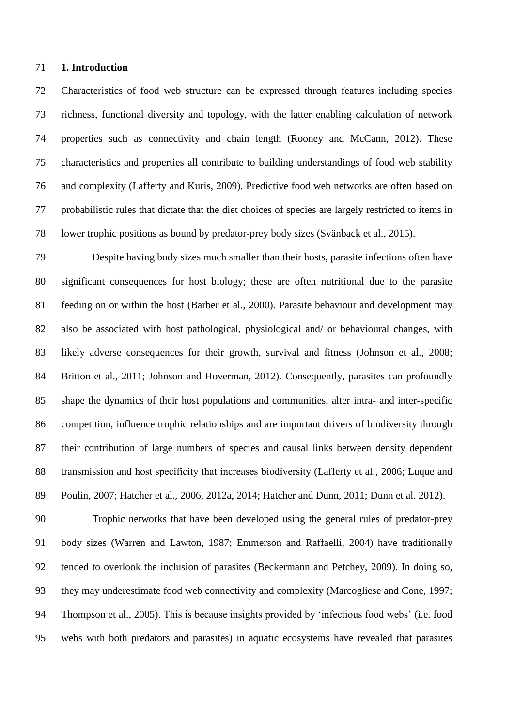## **1. Introduction**

 Characteristics of food web structure can be expressed through features including species richness, functional diversity and topology, with the latter enabling calculation of network properties such as connectivity and chain length (Rooney and McCann, 2012). These characteristics and properties all contribute to building understandings of food web stability and complexity (Lafferty and Kuris, 2009). Predictive food web networks are often based on probabilistic rules that dictate that the diet choices of species are largely restricted to items in lower trophic positions as bound by predator-prey body sizes (Svänback et al., 2015).

 Despite having body sizes much smaller than their hosts, parasite infections often have significant consequences for host biology; these are often nutritional due to the parasite feeding on or within the host (Barber et al., 2000). Parasite behaviour and development may also be associated with host pathological, physiological and/ or behavioural changes, with likely adverse consequences for their growth, survival and fitness (Johnson et al., 2008; Britton et al., 2011; Johnson and Hoverman, 2012). Consequently, parasites can profoundly shape the dynamics of their host populations and communities, alter intra- and inter-specific competition, influence trophic relationships and are important drivers of biodiversity through their contribution of large numbers of species and causal links between density dependent transmission and host specificity that increases biodiversity (Lafferty et al., 2006; Luque and Poulin, 2007; Hatcher et al., 2006, 2012a, 2014; Hatcher and Dunn, 2011; Dunn et al. 2012).

 Trophic networks that have been developed using the general rules of predator-prey body sizes (Warren and Lawton, 1987; Emmerson and Raffaelli, 2004) have traditionally tended to overlook the inclusion of parasites (Beckermann and Petchey, 2009). In doing so, they may underestimate food web connectivity and complexity (Marcogliese and Cone, 1997; Thompson et al., 2005). This is because insights provided by 'infectious food webs' (i.e. food webs with both predators and parasites) in aquatic ecosystems have revealed that parasites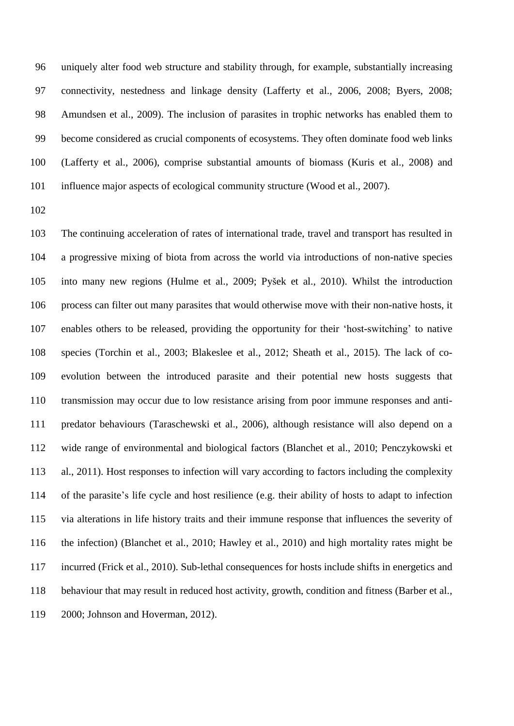uniquely alter food web structure and stability through, for example, substantially increasing connectivity, nestedness and linkage density (Lafferty et al., 2006, 2008; Byers, 2008; Amundsen et al., 2009). The inclusion of parasites in trophic networks has enabled them to become considered as crucial components of ecosystems. They often dominate food web links (Lafferty et al., 2006), comprise substantial amounts of biomass (Kuris et al., 2008) and influence major aspects of ecological community structure (Wood et al., 2007).

 The continuing acceleration of rates of international trade, travel and transport has resulted in a progressive mixing of biota from across the world via introductions of non-native species into many new regions (Hulme et al., 2009; Pyšek et al., 2010). Whilst the introduction process can filter out many parasites that would otherwise move with their non-native hosts, it enables others to be released, providing the opportunity for their 'host-switching' to native species (Torchin et al., 2003; Blakeslee et al., 2012; Sheath et al., 2015). The lack of co- evolution between the introduced parasite and their potential new hosts suggests that transmission may occur due to low resistance arising from poor immune responses and anti- predator behaviours (Taraschewski et al., 2006), although resistance will also depend on a wide range of environmental and biological factors (Blanchet et al., 2010; Penczykowski et al., 2011). Host responses to infection will vary according to factors including the complexity of the parasite's life cycle and host resilience (e.g. their ability of hosts to adapt to infection via alterations in life history traits and their immune response that influences the severity of the infection) (Blanchet et al., 2010; Hawley et al., 2010) and high mortality rates might be incurred (Frick et al., 2010). Sub-lethal consequences for hosts include shifts in energetics and behaviour that may result in reduced host activity, growth, condition and fitness (Barber et al., 2000; Johnson and Hoverman, 2012).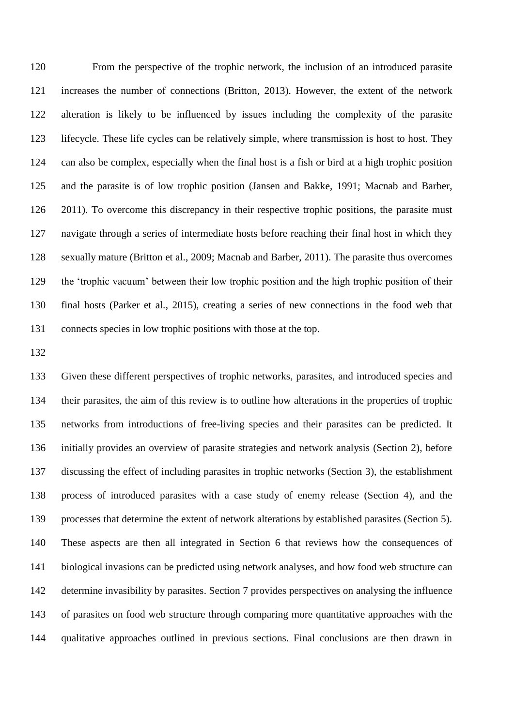From the perspective of the trophic network, the inclusion of an introduced parasite increases the number of connections (Britton, 2013). However, the extent of the network alteration is likely to be influenced by issues including the complexity of the parasite lifecycle. These life cycles can be relatively simple, where transmission is host to host. They can also be complex, especially when the final host is a fish or bird at a high trophic position and the parasite is of low trophic position (Jansen and Bakke, 1991; Macnab and Barber, 2011). To overcome this discrepancy in their respective trophic positions, the parasite must navigate through a series of intermediate hosts before reaching their final host in which they sexually mature (Britton et al., 2009; Macnab and Barber, 2011). The parasite thus overcomes the 'trophic vacuum' between their low trophic position and the high trophic position of their final hosts (Parker et al., 2015), creating a series of new connections in the food web that connects species in low trophic positions with those at the top.

 Given these different perspectives of trophic networks, parasites, and introduced species and their parasites, the aim of this review is to outline how alterations in the properties of trophic networks from introductions of free-living species and their parasites can be predicted. It initially provides an overview of parasite strategies and network analysis (Section 2), before discussing the effect of including parasites in trophic networks (Section 3), the establishment process of introduced parasites with a case study of enemy release (Section 4), and the processes that determine the extent of network alterations by established parasites (Section 5). These aspects are then all integrated in Section 6 that reviews how the consequences of biological invasions can be predicted using network analyses, and how food web structure can determine invasibility by parasites. Section 7 provides perspectives on analysing the influence of parasites on food web structure through comparing more quantitative approaches with the qualitative approaches outlined in previous sections. Final conclusions are then drawn in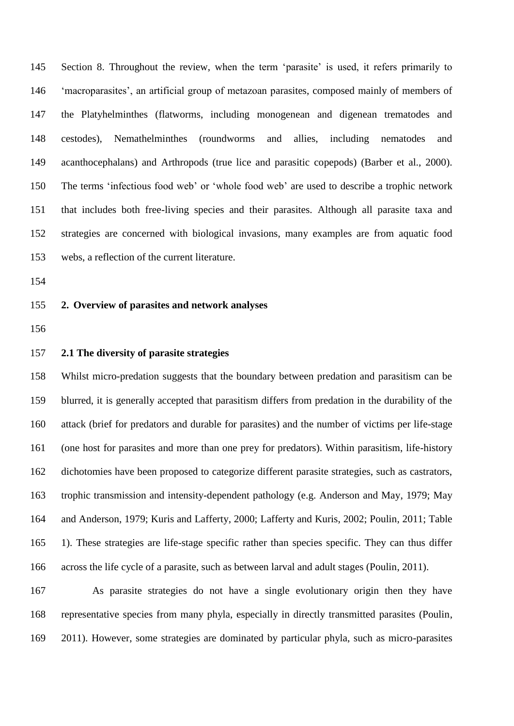Section 8. Throughout the review, when the term 'parasite' is used, it refers primarily to 'macroparasites', an artificial group of metazoan parasites, composed mainly of members of the Platyhelminthes (flatworms, including monogenean and digenean trematodes and cestodes), Nemathelminthes (roundworms and allies, including nematodes and acanthocephalans) and Arthropods (true lice and parasitic copepods) (Barber et al., 2000). The terms 'infectious food web' or 'whole food web' are used to describe a trophic network that includes both free-living species and their parasites. Although all parasite taxa and strategies are concerned with biological invasions, many examples are from aquatic food webs, a reflection of the current literature.

### **2. Overview of parasites and network analyses**

#### **2.1 The diversity of parasite strategies**

 Whilst micro-predation suggests that the boundary between predation and parasitism can be blurred, it is generally accepted that parasitism differs from predation in the durability of the attack (brief for predators and durable for parasites) and the number of victims per life-stage (one host for parasites and more than one prey for predators). Within parasitism, life-history dichotomies have been proposed to categorize different parasite strategies, such as castrators, trophic transmission and intensity-dependent pathology (e.g. Anderson and May, 1979; May and Anderson, 1979; Kuris and Lafferty, 2000; Lafferty and Kuris, 2002; Poulin, 2011; Table 1). These strategies are life-stage specific rather than species specific. They can thus differ across the life cycle of a parasite, such as between larval and adult stages (Poulin, 2011).

 As parasite strategies do not have a single evolutionary origin then they have representative species from many phyla, especially in directly transmitted parasites (Poulin, 2011). However, some strategies are dominated by particular phyla, such as micro-parasites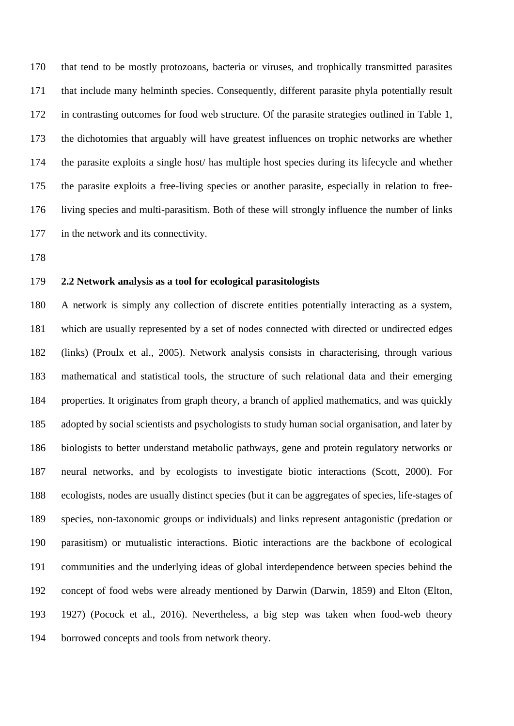that tend to be mostly protozoans, bacteria or viruses, and trophically transmitted parasites that include many helminth species. Consequently, different parasite phyla potentially result in contrasting outcomes for food web structure. Of the parasite strategies outlined in Table 1, the dichotomies that arguably will have greatest influences on trophic networks are whether the parasite exploits a single host/ has multiple host species during its lifecycle and whether the parasite exploits a free-living species or another parasite, especially in relation to free- living species and multi-parasitism. Both of these will strongly influence the number of links in the network and its connectivity.

## **2.2 Network analysis as a tool for ecological parasitologists**

 A network is simply any collection of discrete entities potentially interacting as a system, which are usually represented by a set of nodes connected with directed or undirected edges (links) (Proulx et al., 2005). Network analysis consists in characterising, through various mathematical and statistical tools, the structure of such relational data and their emerging properties. It originates from graph theory, a branch of applied mathematics, and was quickly adopted by social scientists and psychologists to study human social organisation, and later by biologists to better understand metabolic pathways, gene and protein regulatory networks or neural networks, and by ecologists to investigate biotic interactions (Scott, 2000). For ecologists, nodes are usually distinct species (but it can be aggregates of species, life-stages of species, non-taxonomic groups or individuals) and links represent antagonistic (predation or parasitism) or mutualistic interactions. Biotic interactions are the backbone of ecological communities and the underlying ideas of global interdependence between species behind the concept of food webs were already mentioned by Darwin (Darwin, 1859) and Elton (Elton, 1927) (Pocock et al., 2016). Nevertheless, a big step was taken when food-web theory borrowed concepts and tools from network theory.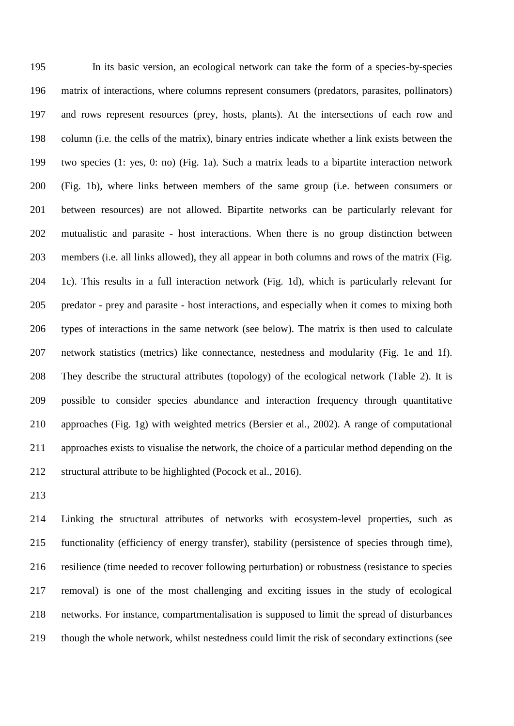In its basic version, an ecological network can take the form of a species-by-species matrix of interactions, where columns represent consumers (predators, parasites, pollinators) and rows represent resources (prey, hosts, plants). At the intersections of each row and column (i.e. the cells of the matrix), binary entries indicate whether a link exists between the two species (1: yes, 0: no) (Fig. 1a). Such a matrix leads to a bipartite interaction network (Fig. 1b), where links between members of the same group (i.e. between consumers or between resources) are not allowed. Bipartite networks can be particularly relevant for mutualistic and parasite - host interactions. When there is no group distinction between members (i.e. all links allowed), they all appear in both columns and rows of the matrix (Fig. 1c). This results in a full interaction network (Fig. 1d), which is particularly relevant for predator - prey and parasite - host interactions, and especially when it comes to mixing both types of interactions in the same network (see below). The matrix is then used to calculate network statistics (metrics) like connectance, nestedness and modularity (Fig. 1e and 1f). They describe the structural attributes (topology) of the ecological network (Table 2). It is possible to consider species abundance and interaction frequency through quantitative approaches (Fig. 1g) with weighted metrics (Bersier et al., 2002). A range of computational approaches exists to visualise the network, the choice of a particular method depending on the structural attribute to be highlighted (Pocock et al., 2016).

 Linking the structural attributes of networks with ecosystem-level properties, such as functionality (efficiency of energy transfer), stability (persistence of species through time), resilience (time needed to recover following perturbation) or robustness (resistance to species removal) is one of the most challenging and exciting issues in the study of ecological networks. For instance, compartmentalisation is supposed to limit the spread of disturbances though the whole network, whilst nestedness could limit the risk of secondary extinctions (see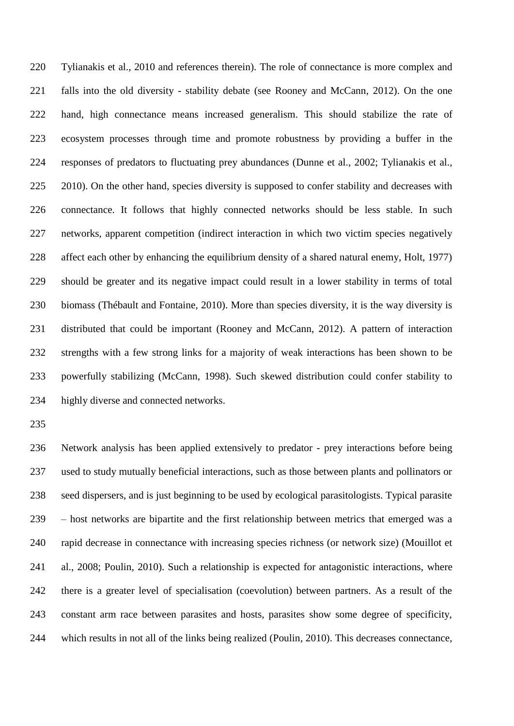Tylianakis et al., 2010 and references therein). The role of connectance is more complex and falls into the old diversity - stability debate (see Rooney and McCann, 2012). On the one hand, high connectance means increased generalism. This should stabilize the rate of ecosystem processes through time and promote robustness by providing a buffer in the responses of predators to fluctuating prey abundances (Dunne et al., 2002; Tylianakis et al., 225 2010). On the other hand, species diversity is supposed to confer stability and decreases with connectance. It follows that highly connected networks should be less stable. In such networks, apparent competition (indirect interaction in which two victim species negatively affect each other by enhancing the equilibrium density of a shared natural enemy, Holt, 1977) should be greater and its negative impact could result in a lower stability in terms of total biomass (Thébault and Fontaine, 2010). More than species diversity, it is the way diversity is distributed that could be important (Rooney and McCann, 2012). A pattern of interaction strengths with a few strong links for a majority of weak interactions has been shown to be powerfully stabilizing (McCann, 1998). Such skewed distribution could confer stability to highly diverse and connected networks.

 Network analysis has been applied extensively to predator - prey interactions before being used to study mutually beneficial interactions, such as those between plants and pollinators or seed dispersers, and is just beginning to be used by ecological parasitologists. Typical parasite – host networks are bipartite and the first relationship between metrics that emerged was a rapid decrease in connectance with increasing species richness (or network size) (Mouillot et al., 2008; Poulin, 2010). Such a relationship is expected for antagonistic interactions, where there is a greater level of specialisation (coevolution) between partners. As a result of the constant arm race between parasites and hosts, parasites show some degree of specificity, which results in not all of the links being realized (Poulin, 2010). This decreases connectance,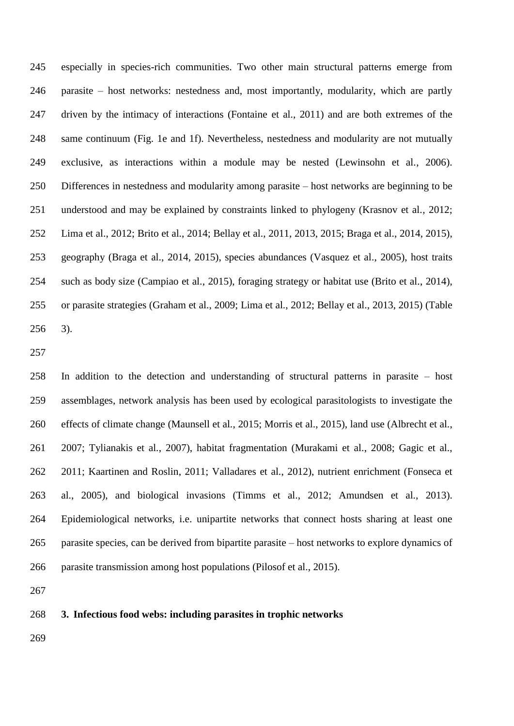especially in species-rich communities. Two other main structural patterns emerge from parasite – host networks: nestedness and, most importantly, modularity, which are partly driven by the intimacy of interactions (Fontaine et al., 2011) and are both extremes of the same continuum (Fig. 1e and 1f). Nevertheless, nestedness and modularity are not mutually exclusive, as interactions within a module may be nested (Lewinsohn et al., 2006). Differences in nestedness and modularity among parasite – host networks are beginning to be understood and may be explained by constraints linked to phylogeny (Krasnov et al., 2012; Lima et al., 2012; Brito et al., 2014; Bellay et al., 2011, 2013, 2015; Braga et al., 2014, 2015), geography (Braga et al., 2014, 2015), species abundances (Vasquez et al., 2005), host traits such as body size (Campiao et al., 2015), foraging strategy or habitat use (Brito et al., 2014), or parasite strategies (Graham et al., 2009; Lima et al., 2012; Bellay et al., 2013, 2015) (Table 3).

 In addition to the detection and understanding of structural patterns in parasite – host assemblages, network analysis has been used by ecological parasitologists to investigate the effects of climate change (Maunsell et al., 2015; Morris et al., 2015), land use (Albrecht et al., 2007; Tylianakis et al., 2007), habitat fragmentation (Murakami et al., 2008; Gagic et al., 2011; Kaartinen and Roslin, 2011; Valladares et al., 2012), nutrient enrichment (Fonseca et al., 2005), and biological invasions (Timms et al., 2012; Amundsen et al., 2013). Epidemiological networks, i.e. unipartite networks that connect hosts sharing at least one parasite species, can be derived from bipartite parasite – host networks to explore dynamics of parasite transmission among host populations (Pilosof et al., 2015).

### **3. Infectious food webs: including parasites in trophic networks**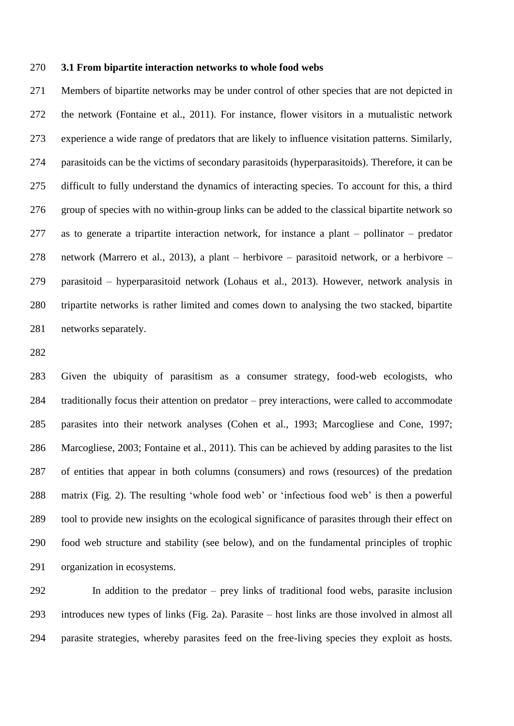#### **3.1 From bipartite interaction networks to whole food webs**

 Members of bipartite networks may be under control of other species that are not depicted in the network (Fontaine et al., 2011). For instance, flower visitors in a mutualistic network experience a wide range of predators that are likely to influence visitation patterns. Similarly, parasitoids can be the victims of secondary parasitoids (hyperparasitoids). Therefore, it can be difficult to fully understand the dynamics of interacting species. To account for this, a third group of species with no within-group links can be added to the classical bipartite network so as to generate a tripartite interaction network, for instance a plant – pollinator – predator network (Marrero et al., 2013), a plant – herbivore – parasitoid network, or a herbivore – parasitoid – hyperparasitoid network (Lohaus et al., 2013). However, network analysis in tripartite networks is rather limited and comes down to analysing the two stacked, bipartite networks separately.

 Given the ubiquity of parasitism as a consumer strategy, food-web ecologists, who traditionally focus their attention on predator – prey interactions, were called to accommodate parasites into their network analyses (Cohen et al., 1993; Marcogliese and Cone, 1997; Marcogliese, 2003; Fontaine et al., 2011). This can be achieved by adding parasites to the list of entities that appear in both columns (consumers) and rows (resources) of the predation matrix (Fig. 2). The resulting 'whole food web' or 'infectious food web' is then a powerful tool to provide new insights on the ecological significance of parasites through their effect on food web structure and stability (see below), and on the fundamental principles of trophic organization in ecosystems.

 In addition to the predator – prey links of traditional food webs, parasite inclusion introduces new types of links (Fig. 2a). Parasite – host links are those involved in almost all parasite strategies, whereby parasites feed on the free-living species they exploit as hosts.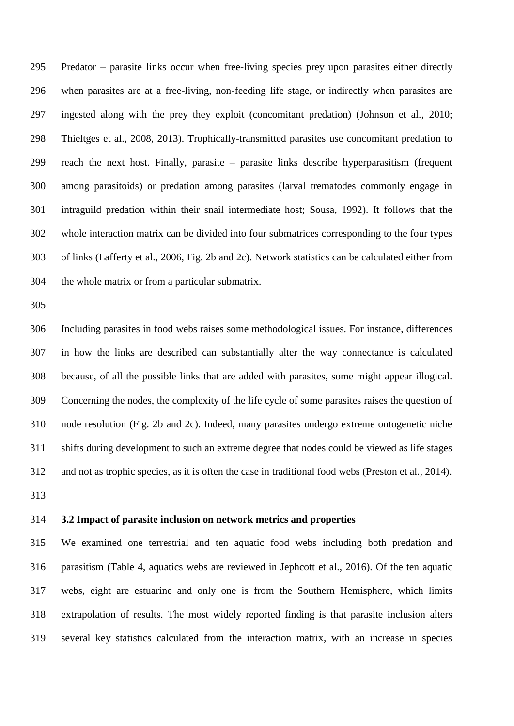Predator – parasite links occur when free-living species prey upon parasites either directly when parasites are at a free-living, non-feeding life stage, or indirectly when parasites are ingested along with the prey they exploit (concomitant predation) (Johnson et al., 2010; Thieltges et al., 2008, 2013). Trophically-transmitted parasites use concomitant predation to reach the next host. Finally, parasite – parasite links describe hyperparasitism (frequent among parasitoids) or predation among parasites (larval trematodes commonly engage in intraguild predation within their snail intermediate host; Sousa, 1992). It follows that the whole interaction matrix can be divided into four submatrices corresponding to the four types of links (Lafferty et al., 2006, Fig. 2b and 2c). Network statistics can be calculated either from the whole matrix or from a particular submatrix.

 Including parasites in food webs raises some methodological issues. For instance, differences in how the links are described can substantially alter the way connectance is calculated because, of all the possible links that are added with parasites, some might appear illogical. Concerning the nodes, the complexity of the life cycle of some parasites raises the question of node resolution (Fig. 2b and 2c). Indeed, many parasites undergo extreme ontogenetic niche shifts during development to such an extreme degree that nodes could be viewed as life stages and not as trophic species, as it is often the case in traditional food webs (Preston et al., 2014). 

## **3.2 Impact of parasite inclusion on network metrics and properties**

 We examined one terrestrial and ten aquatic food webs including both predation and parasitism (Table 4, aquatics webs are reviewed in Jephcott et al., 2016). Of the ten aquatic webs, eight are estuarine and only one is from the Southern Hemisphere, which limits extrapolation of results. The most widely reported finding is that parasite inclusion alters several key statistics calculated from the interaction matrix, with an increase in species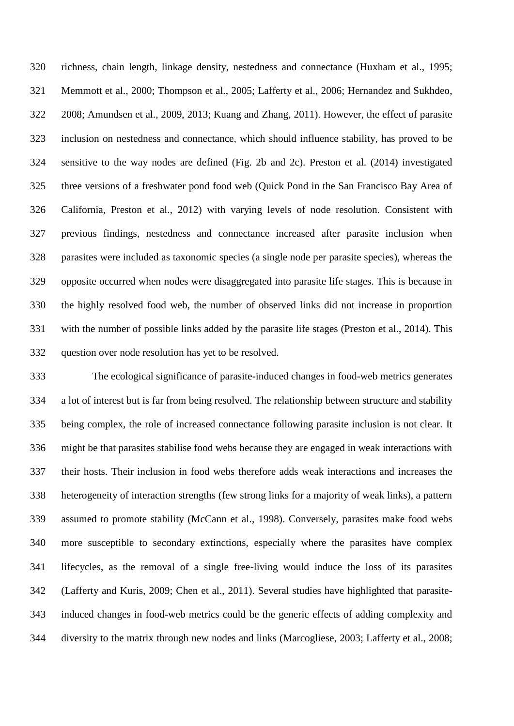richness, chain length, linkage density, nestedness and connectance (Huxham et al., 1995; Memmott et al., 2000; Thompson et al., 2005; Lafferty et al., 2006; Hernandez and Sukhdeo, 2008; Amundsen et al., 2009, 2013; Kuang and Zhang, 2011). However, the effect of parasite inclusion on nestedness and connectance, which should influence stability, has proved to be sensitive to the way nodes are defined (Fig. 2b and 2c). Preston et al. (2014) investigated three versions of a freshwater pond food web (Quick Pond in the San Francisco Bay Area of California, Preston et al., 2012) with varying levels of node resolution. Consistent with previous findings, nestedness and connectance increased after parasite inclusion when parasites were included as taxonomic species (a single node per parasite species), whereas the opposite occurred when nodes were disaggregated into parasite life stages. This is because in the highly resolved food web, the number of observed links did not increase in proportion with the number of possible links added by the parasite life stages (Preston et al., 2014). This question over node resolution has yet to be resolved.

 The ecological significance of parasite-induced changes in food-web metrics generates a lot of interest but is far from being resolved. The relationship between structure and stability being complex, the role of increased connectance following parasite inclusion is not clear. It might be that parasites stabilise food webs because they are engaged in weak interactions with their hosts. Their inclusion in food webs therefore adds weak interactions and increases the heterogeneity of interaction strengths (few strong links for a majority of weak links), a pattern assumed to promote stability (McCann et al., 1998). Conversely, parasites make food webs more susceptible to secondary extinctions, especially where the parasites have complex lifecycles, as the removal of a single free-living would induce the loss of its parasites (Lafferty and Kuris, 2009; Chen et al., 2011). Several studies have highlighted that parasite- induced changes in food-web metrics could be the generic effects of adding complexity and diversity to the matrix through new nodes and links (Marcogliese, 2003; Lafferty et al., 2008;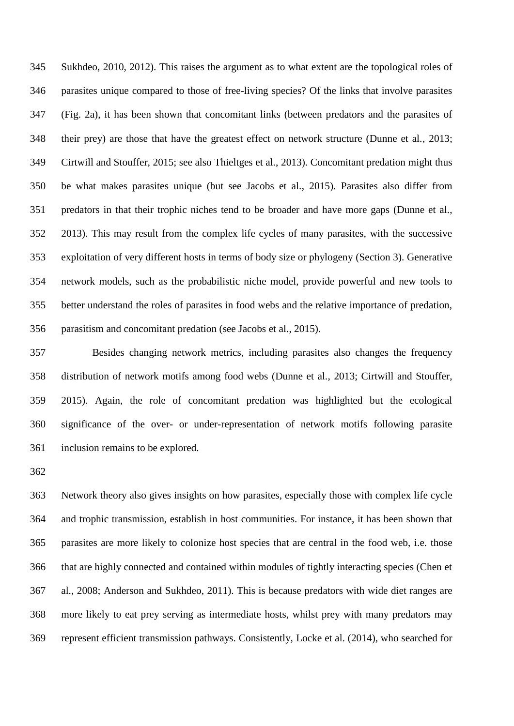Sukhdeo, 2010, 2012). This raises the argument as to what extent are the topological roles of parasites unique compared to those of free-living species? Of the links that involve parasites (Fig. 2a), it has been shown that concomitant links (between predators and the parasites of their prey) are those that have the greatest effect on network structure (Dunne et al., 2013; Cirtwill and Stouffer, 2015; see also Thieltges et al., 2013). Concomitant predation might thus be what makes parasites unique (but see Jacobs et al., 2015). Parasites also differ from predators in that their trophic niches tend to be broader and have more gaps (Dunne et al., 2013). This may result from the complex life cycles of many parasites, with the successive exploitation of very different hosts in terms of body size or phylogeny (Section 3). Generative network models, such as the probabilistic niche model, provide powerful and new tools to better understand the roles of parasites in food webs and the relative importance of predation, parasitism and concomitant predation (see Jacobs et al., 2015).

 Besides changing network metrics, including parasites also changes the frequency distribution of network motifs among food webs (Dunne et al., 2013; Cirtwill and Stouffer, 2015). Again, the role of concomitant predation was highlighted but the ecological significance of the over- or under-representation of network motifs following parasite inclusion remains to be explored.

 Network theory also gives insights on how parasites, especially those with complex life cycle and trophic transmission, establish in host communities. For instance, it has been shown that parasites are more likely to colonize host species that are central in the food web, i.e. those that are highly connected and contained within modules of tightly interacting species (Chen et al., 2008; Anderson and Sukhdeo, 2011). This is because predators with wide diet ranges are more likely to eat prey serving as intermediate hosts, whilst prey with many predators may represent efficient transmission pathways. Consistently, Locke et al. (2014), who searched for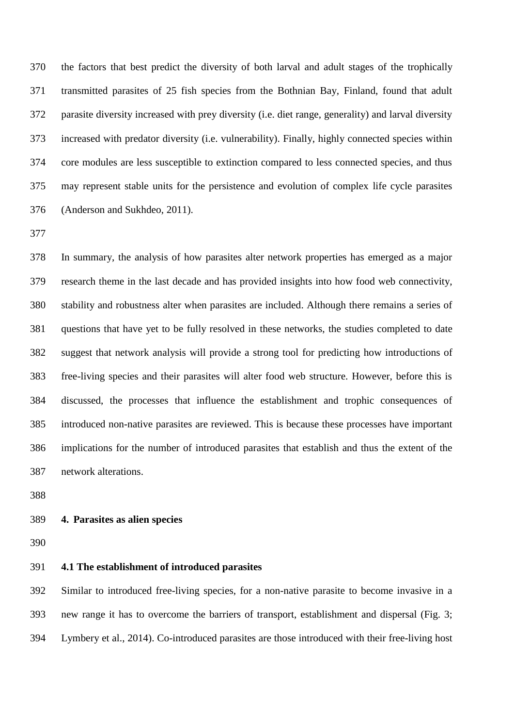the factors that best predict the diversity of both larval and adult stages of the trophically transmitted parasites of 25 fish species from the Bothnian Bay, Finland, found that adult parasite diversity increased with prey diversity (i.e. diet range, generality) and larval diversity increased with predator diversity (i.e. vulnerability). Finally, highly connected species within core modules are less susceptible to extinction compared to less connected species, and thus may represent stable units for the persistence and evolution of complex life cycle parasites (Anderson and Sukhdeo, 2011).

 In summary, the analysis of how parasites alter network properties has emerged as a major research theme in the last decade and has provided insights into how food web connectivity, stability and robustness alter when parasites are included. Although there remains a series of questions that have yet to be fully resolved in these networks, the studies completed to date suggest that network analysis will provide a strong tool for predicting how introductions of free-living species and their parasites will alter food web structure. However, before this is discussed, the processes that influence the establishment and trophic consequences of introduced non-native parasites are reviewed. This is because these processes have important implications for the number of introduced parasites that establish and thus the extent of the network alterations.

### **4. Parasites as alien species**

### **4.1 The establishment of introduced parasites**

 Similar to introduced free-living species, for a non-native parasite to become invasive in a new range it has to overcome the barriers of transport, establishment and dispersal (Fig. 3; Lymbery et al., 2014). Co-introduced parasites are those introduced with their free-living host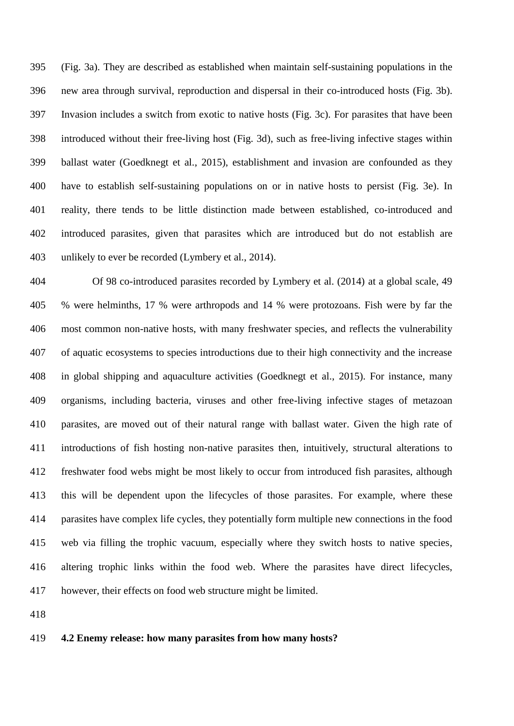(Fig. 3a). They are described as established when maintain self-sustaining populations in the new area through survival, reproduction and dispersal in their co-introduced hosts (Fig. 3b). Invasion includes a switch from exotic to native hosts (Fig. 3c). For parasites that have been introduced without their free-living host (Fig. 3d), such as free-living infective stages within ballast water (Goedknegt et al., 2015), establishment and invasion are confounded as they have to establish self-sustaining populations on or in native hosts to persist (Fig. 3e). In reality, there tends to be little distinction made between established, co-introduced and introduced parasites, given that parasites which are introduced but do not establish are unlikely to ever be recorded (Lymbery et al., 2014).

 Of 98 co-introduced parasites recorded by Lymbery et al. (2014) at a global scale, 49 % were helminths, 17 % were arthropods and 14 % were protozoans. Fish were by far the most common non-native hosts, with many freshwater species, and reflects the vulnerability of aquatic ecosystems to species introductions due to their high connectivity and the increase in global shipping and aquaculture activities (Goedknegt et al., 2015). For instance, many organisms, including bacteria, viruses and other free-living infective stages of metazoan parasites, are moved out of their natural range with ballast water. Given the high rate of introductions of fish hosting non-native parasites then, intuitively, structural alterations to freshwater food webs might be most likely to occur from introduced fish parasites, although this will be dependent upon the lifecycles of those parasites. For example, where these parasites have complex life cycles, they potentially form multiple new connections in the food web via filling the trophic vacuum, especially where they switch hosts to native species, altering trophic links within the food web. Where the parasites have direct lifecycles, however, their effects on food web structure might be limited.

### **4.2 Enemy release: how many parasites from how many hosts?**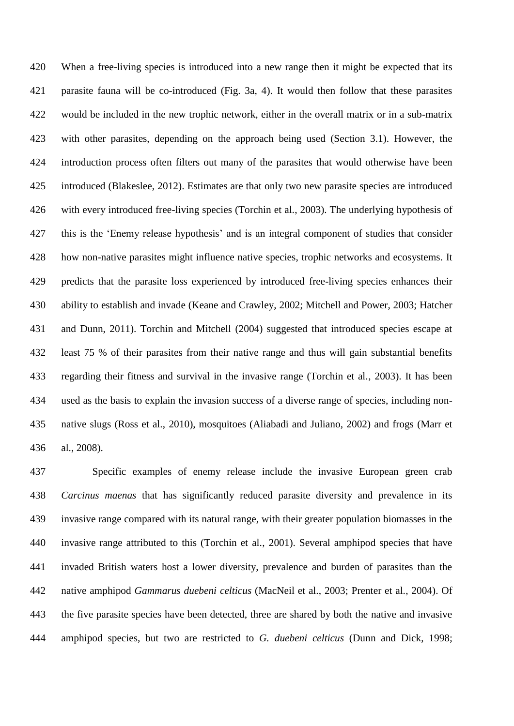When a free-living species is introduced into a new range then it might be expected that its parasite fauna will be co-introduced (Fig. 3a, 4). It would then follow that these parasites would be included in the new trophic network, either in the overall matrix or in a sub-matrix with other parasites, depending on the approach being used (Section 3.1). However, the introduction process often filters out many of the parasites that would otherwise have been introduced (Blakeslee, 2012). Estimates are that only two new parasite species are introduced with every introduced free-living species (Torchin et al., 2003). The underlying hypothesis of this is the 'Enemy release hypothesis' and is an integral component of studies that consider how non-native parasites might influence native species, trophic networks and ecosystems. It predicts that the parasite loss experienced by introduced free-living species enhances their ability to establish and invade (Keane and Crawley, 2002; Mitchell and Power, 2003; Hatcher and Dunn, 2011). Torchin and Mitchell (2004) suggested that introduced species escape at least 75 % of their parasites from their native range and thus will gain substantial benefits regarding their fitness and survival in the invasive range (Torchin et al., 2003). It has been used as the basis to explain the invasion success of a diverse range of species, including non- native slugs (Ross et al., 2010), mosquitoes (Aliabadi and Juliano, 2002) and frogs (Marr et al., 2008).

 Specific examples of enemy release include the invasive European green crab *Carcinus maenas* that has significantly reduced parasite diversity and prevalence in its invasive range compared with its natural range, with their greater population biomasses in the invasive range attributed to this (Torchin et al., 2001). Several amphipod species that have invaded British waters host a lower diversity, prevalence and burden of parasites than the native amphipod *Gammarus duebeni celticus* (MacNeil et al., 2003; Prenter et al., 2004). Of the five parasite species have been detected, three are shared by both the native and invasive amphipod species, but two are restricted to *G. duebeni celticus* (Dunn and Dick, 1998;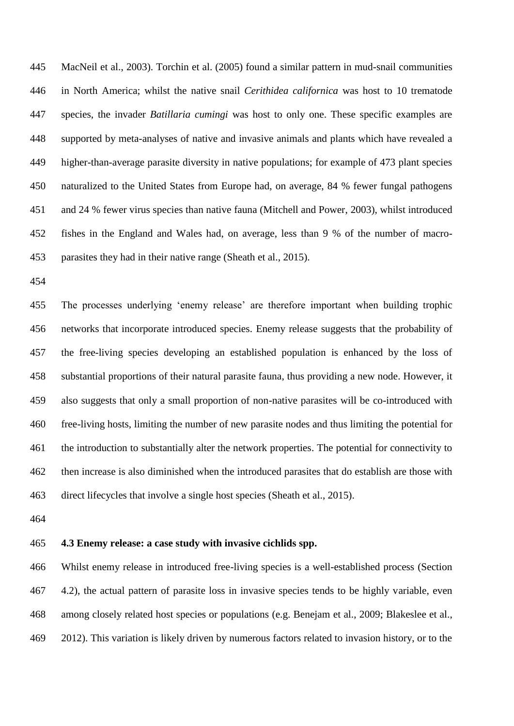MacNeil et al., 2003). Torchin et al. (2005) found a similar pattern in mud-snail communities in North America; whilst the native snail *Cerithidea californica* was host to 10 trematode species, the invader *Batillaria cumingi* was host to only one. These specific examples are supported by meta-analyses of native and invasive animals and plants which have revealed a higher-than-average parasite diversity in native populations; for example of 473 plant species naturalized to the United States from Europe had, on average, 84 % fewer fungal pathogens and 24 % fewer virus species than native fauna (Mitchell and Power, 2003), whilst introduced fishes in the England and Wales had, on average, less than 9 % of the number of macro-parasites they had in their native range (Sheath et al., 2015).

 The processes underlying 'enemy release' are therefore important when building trophic networks that incorporate introduced species. Enemy release suggests that the probability of the free-living species developing an established population is enhanced by the loss of substantial proportions of their natural parasite fauna, thus providing a new node. However, it also suggests that only a small proportion of non-native parasites will be co-introduced with free-living hosts, limiting the number of new parasite nodes and thus limiting the potential for the introduction to substantially alter the network properties. The potential for connectivity to then increase is also diminished when the introduced parasites that do establish are those with direct lifecycles that involve a single host species (Sheath et al., 2015).

# **4.3 Enemy release: a case study with invasive cichlids spp.**

 Whilst enemy release in introduced free-living species is a well-established process (Section 4.2), the actual pattern of parasite loss in invasive species tends to be highly variable, even among closely related host species or populations (e.g. Benejam et al., 2009; Blakeslee et al., 2012). This variation is likely driven by numerous factors related to invasion history, or to the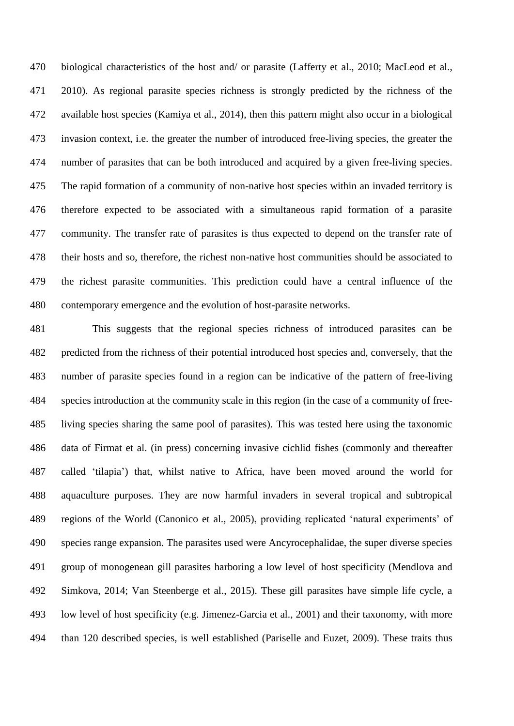biological characteristics of the host and/ or parasite (Lafferty et al., 2010; MacLeod et al., 2010). As regional parasite species richness is strongly predicted by the richness of the available host species (Kamiya et al., 2014), then this pattern might also occur in a biological invasion context, i.e. the greater the number of introduced free-living species, the greater the number of parasites that can be both introduced and acquired by a given free-living species. The rapid formation of a community of non-native host species within an invaded territory is therefore expected to be associated with a simultaneous rapid formation of a parasite community. The transfer rate of parasites is thus expected to depend on the transfer rate of their hosts and so, therefore, the richest non-native host communities should be associated to the richest parasite communities. This prediction could have a central influence of the contemporary emergence and the evolution of host-parasite networks.

 This suggests that the regional species richness of introduced parasites can be predicted from the richness of their potential introduced host species and, conversely, that the number of parasite species found in a region can be indicative of the pattern of free-living species introduction at the community scale in this region (in the case of a community of free- living species sharing the same pool of parasites). This was tested here using the taxonomic data of Firmat et al. (in press) concerning invasive cichlid fishes (commonly and thereafter called 'tilapia') that, whilst native to Africa, have been moved around the world for aquaculture purposes. They are now harmful invaders in several tropical and subtropical regions of the World (Canonico et al., 2005), providing replicated 'natural experiments' of species range expansion. The parasites used were Ancyrocephalidae, the super diverse species group of monogenean gill parasites harboring a low level of host specificity (Mendlova and Simkova, 2014; Van Steenberge et al., 2015). These gill parasites have simple life cycle, a low level of host specificity (e.g. Jimenez-Garcia et al., 2001) and their taxonomy, with more than 120 described species, is well established (Pariselle and Euzet, 2009). These traits thus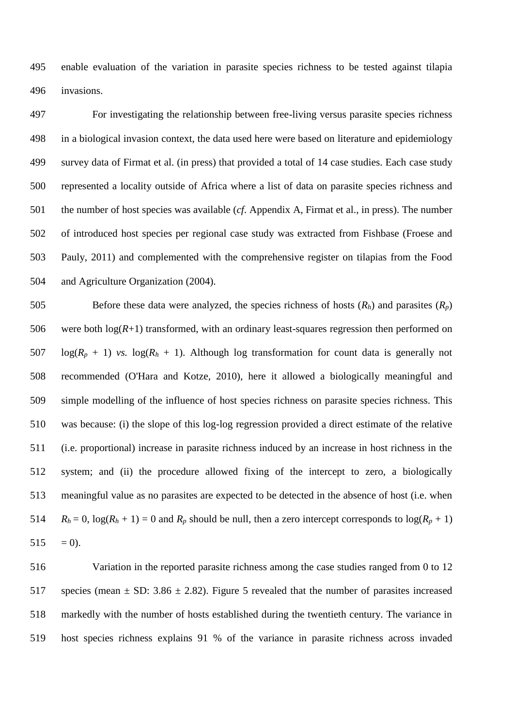enable evaluation of the variation in parasite species richness to be tested against tilapia invasions.

 For investigating the relationship between free-living versus parasite species richness in a biological invasion context, the data used here were based on literature and epidemiology survey data of Firmat et al. (in press) that provided a total of 14 case studies. Each case study represented a locality outside of Africa where a list of data on parasite species richness and the number of host species was available (*cf*. Appendix A, Firmat et al., in press). The number of introduced host species per regional case study was extracted from Fishbase (Froese and Pauly, 2011) and complemented with the comprehensive register on tilapias from the Food and Agriculture Organization (2004).

505 Before these data were analyzed, the species richness of hosts  $(R_h)$  and parasites  $(R_p)$ 506 were both  $log(R+1)$  transformed, with an ordinary least-squares regression then performed on 507 log( $R_p + 1$ ) *vs.* log( $R_h + 1$ ). Although log transformation for count data is generally not recommended (O'Hara and Kotze, 2010), here it allowed a biologically meaningful and simple modelling of the influence of host species richness on parasite species richness. This was because: (i) the slope of this log-log regression provided a direct estimate of the relative (i.e. proportional) increase in parasite richness induced by an increase in host richness in the system; and (ii) the procedure allowed fixing of the intercept to zero, a biologically meaningful value as no parasites are expected to be detected in the absence of host (i.e. when  $R_h = 0$ ,  $\log(R_h + 1) = 0$  and  $R_p$  should be null, then a zero intercept corresponds to  $\log(R_p + 1)$ 515  $= 0$ ).

 Variation in the reported parasite richness among the case studies ranged from 0 to 12 517 species (mean  $\pm$  SD: 3.86  $\pm$  2.82). Figure 5 revealed that the number of parasites increased markedly with the number of hosts established during the twentieth century. The variance in host species richness explains 91 % of the variance in parasite richness across invaded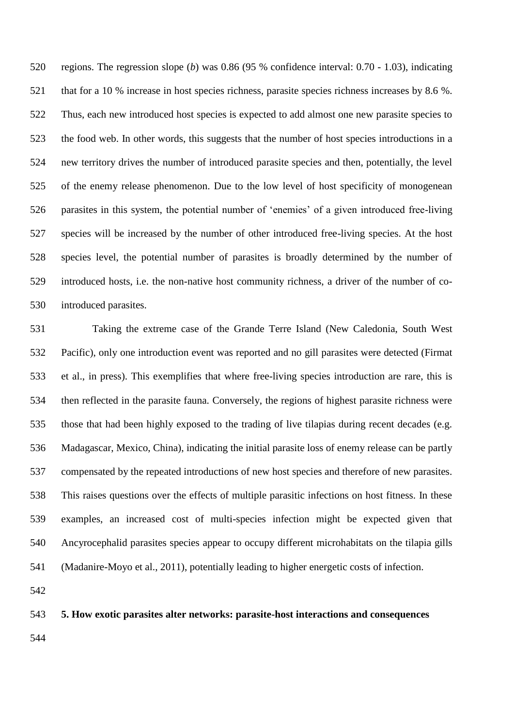regions. The regression slope (*b*) was 0.86 (95 % confidence interval: 0.70 - 1.03), indicating that for a 10 % increase in host species richness, parasite species richness increases by 8.6 %. Thus, each new introduced host species is expected to add almost one new parasite species to the food web. In other words, this suggests that the number of host species introductions in a new territory drives the number of introduced parasite species and then, potentially, the level of the enemy release phenomenon. Due to the low level of host specificity of monogenean parasites in this system, the potential number of 'enemies' of a given introduced free-living species will be increased by the number of other introduced free-living species. At the host species level, the potential number of parasites is broadly determined by the number of introduced hosts, i.e. the non-native host community richness, a driver of the number of co-introduced parasites.

 Taking the extreme case of the Grande Terre Island (New Caledonia, South West Pacific), only one introduction event was reported and no gill parasites were detected (Firmat et al., in press). This exemplifies that where free-living species introduction are rare, this is then reflected in the parasite fauna. Conversely, the regions of highest parasite richness were those that had been highly exposed to the trading of live tilapias during recent decades (e.g. Madagascar, Mexico, China), indicating the initial parasite loss of enemy release can be partly compensated by the repeated introductions of new host species and therefore of new parasites. This raises questions over the effects of multiple parasitic infections on host fitness. In these examples, an increased cost of multi-species infection might be expected given that Ancyrocephalid parasites species appear to occupy different microhabitats on the tilapia gills (Madanire-Moyo et al., 2011), potentially leading to higher energetic costs of infection.

**5. How exotic parasites alter networks: parasite-host interactions and consequences**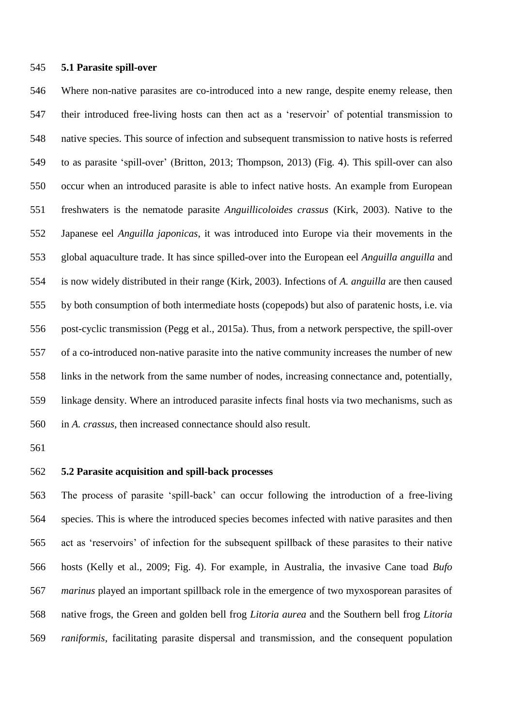#### **5.1 Parasite spill-over**

 Where non-native parasites are co-introduced into a new range, despite enemy release, then their introduced free-living hosts can then act as a 'reservoir' of potential transmission to native species. This source of infection and subsequent transmission to native hosts is referred to as parasite 'spill-over' (Britton, 2013; Thompson, 2013) (Fig. 4). This spill-over can also occur when an introduced parasite is able to infect native hosts. An example from European freshwaters is the nematode parasite *Anguillicoloides crassus* (Kirk, 2003). Native to the Japanese eel *Anguilla japonicas*, it was introduced into Europe via their movements in the global aquaculture trade. It has since spilled-over into the European eel *Anguilla anguilla* and is now widely distributed in their range (Kirk, 2003). Infections of *A. anguilla* are then caused by both consumption of both intermediate hosts (copepods) but also of paratenic hosts, i.e. via post-cyclic transmission (Pegg et al., 2015a). Thus, from a network perspective, the spill-over of a co-introduced non-native parasite into the native community increases the number of new links in the network from the same number of nodes, increasing connectance and, potentially, linkage density. Where an introduced parasite infects final hosts via two mechanisms, such as in *A. crassus*, then increased connectance should also result.

### **5.2 Parasite acquisition and spill-back processes**

 The process of parasite 'spill-back' can occur following the introduction of a free-living species. This is where the introduced species becomes infected with native parasites and then act as 'reservoirs' of infection for the subsequent spillback of these parasites to their native hosts (Kelly et al., 2009; Fig. 4). For example, in Australia, the invasive Cane toad *Bufo marinus* played an important spillback role in the emergence of two myxosporean parasites of native frogs, the Green and golden bell frog *Litoria aurea* and the Southern bell frog *Litoria raniformis*, facilitating parasite dispersal and transmission, and the consequent population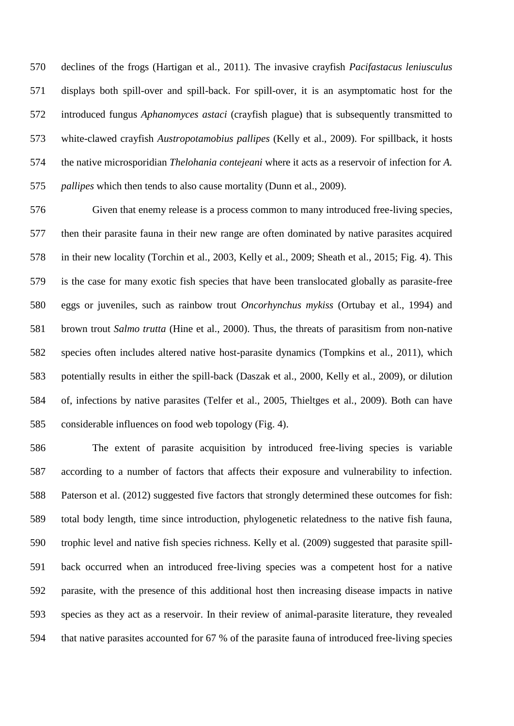declines of the frogs (Hartigan et al., 2011). The invasive crayfish *Pacifastacus leniusculus* displays both spill-over and spill-back. For spill-over, it is an asymptomatic host for the introduced fungus *Aphanomyces astaci* (crayfish plague) that is subsequently transmitted to white-clawed crayfish *Austropotamobius pallipes* (Kelly et al., 2009). For spillback, it hosts the native microsporidian *Thelohania contejeani* where it acts as a reservoir of infection for *A. pallipes* which then tends to also cause mortality (Dunn et al., 2009).

 Given that enemy release is a process common to many introduced free-living species, then their parasite fauna in their new range are often dominated by native parasites acquired in their new locality (Torchin et al., 2003, Kelly et al., 2009; Sheath et al., 2015; Fig. 4). This is the case for many exotic fish species that have been translocated globally as parasite-free eggs or juveniles, such as rainbow trout *Oncorhynchus mykiss* (Ortubay et al., 1994) and brown trout *Salmo trutta* (Hine et al., 2000). Thus, the threats of parasitism from non-native species often includes altered native host-parasite dynamics (Tompkins et al., 2011), which potentially results in either the spill-back (Daszak et al., 2000, Kelly et al., 2009), or dilution of, infections by native parasites (Telfer et al., 2005, Thieltges et al., 2009). Both can have considerable influences on food web topology (Fig. 4).

 The extent of parasite acquisition by introduced free-living species is variable according to a number of factors that affects their exposure and vulnerability to infection. Paterson et al. (2012) suggested five factors that strongly determined these outcomes for fish: total body length, time since introduction, phylogenetic relatedness to the native fish fauna, trophic level and native fish species richness. Kelly et al. (2009) suggested that parasite spill- back occurred when an introduced free-living species was a competent host for a native parasite, with the presence of this additional host then increasing disease impacts in native species as they act as a reservoir. In their review of animal-parasite literature, they revealed that native parasites accounted for 67 % of the parasite fauna of introduced free-living species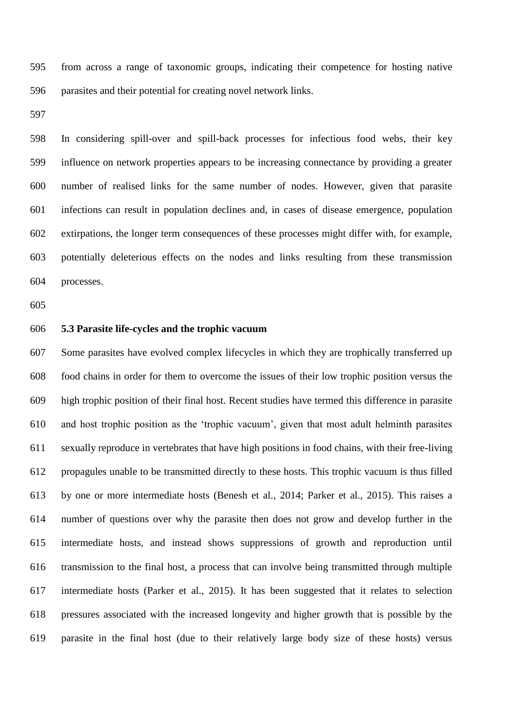from across a range of taxonomic groups, indicating their competence for hosting native parasites and their potential for creating novel network links.

 In considering spill-over and spill-back processes for infectious food webs, their key influence on network properties appears to be increasing connectance by providing a greater number of realised links for the same number of nodes. However, given that parasite infections can result in population declines and, in cases of disease emergence, population extirpations, the longer term consequences of these processes might differ with, for example, potentially deleterious effects on the nodes and links resulting from these transmission processes.

#### **5.3 Parasite life-cycles and the trophic vacuum**

 Some parasites have evolved complex lifecycles in which they are trophically transferred up food chains in order for them to overcome the issues of their low trophic position versus the high trophic position of their final host. Recent studies have termed this difference in parasite and host trophic position as the 'trophic vacuum', given that most adult helminth parasites sexually reproduce in vertebrates that have high positions in food chains, with their free-living propagules unable to be transmitted directly to these hosts. This trophic vacuum is thus filled by one or more intermediate hosts (Benesh et al., 2014; Parker et al., 2015). This raises a number of questions over why the parasite then does not grow and develop further in the intermediate hosts, and instead shows suppressions of growth and reproduction until transmission to the final host, a process that can involve being transmitted through multiple intermediate hosts (Parker et al., 2015). It has been suggested that it relates to selection pressures associated with the increased longevity and higher growth that is possible by the parasite in the final host (due to their relatively large body size of these hosts) versus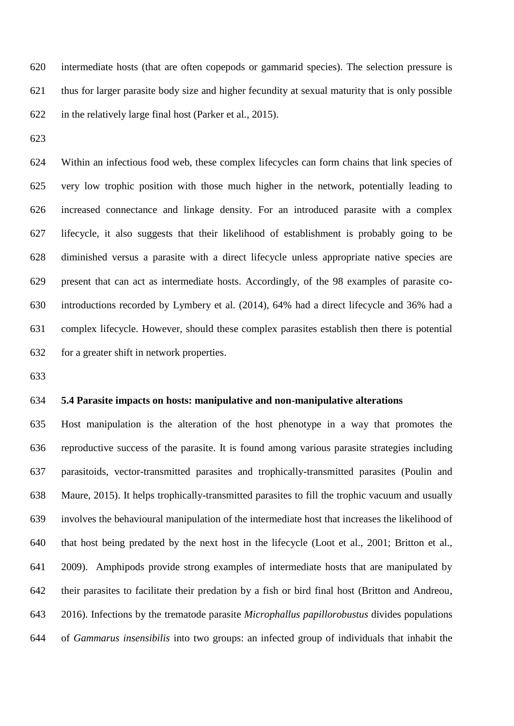intermediate hosts (that are often copepods or gammarid species). The selection pressure is thus for larger parasite body size and higher fecundity at sexual maturity that is only possible in the relatively large final host (Parker et al., 2015).

 Within an infectious food web, these complex lifecycles can form chains that link species of very low trophic position with those much higher in the network, potentially leading to increased connectance and linkage density. For an introduced parasite with a complex lifecycle, it also suggests that their likelihood of establishment is probably going to be diminished versus a parasite with a direct lifecycle unless appropriate native species are present that can act as intermediate hosts. Accordingly, of the 98 examples of parasite co- introductions recorded by Lymbery et al. (2014), 64% had a direct lifecycle and 36% had a complex lifecycle. However, should these complex parasites establish then there is potential for a greater shift in network properties.

### **5.4 Parasite impacts on hosts: manipulative and non-manipulative alterations**

 Host manipulation is the alteration of the host phenotype in a way that promotes the reproductive success of the parasite. It is found among various parasite strategies including parasitoids, vector-transmitted parasites and trophically-transmitted parasites (Poulin and Maure, 2015). It helps trophically-transmitted parasites to fill the trophic vacuum and usually involves the behavioural manipulation of the intermediate host that increases the likelihood of that host being predated by the next host in the lifecycle (Loot et al., 2001; Britton et al., 2009). Amphipods provide strong examples of intermediate hosts that are manipulated by their parasites to facilitate their predation by a fish or bird final host (Britton and Andreou, 2016). Infections by the trematode parasite *Microphallus papillorobustus* divides populations of *Gammarus insensibilis* into two groups: an infected group of individuals that inhabit the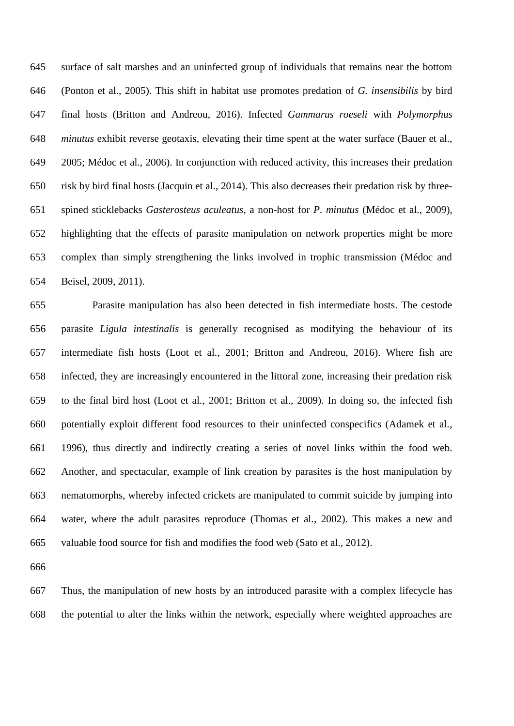surface of salt marshes and an uninfected group of individuals that remains near the bottom (Ponton et al., 2005). This shift in habitat use promotes predation of *G. insensibilis* by bird final hosts (Britton and Andreou, 2016). Infected *Gammarus roeseli* with *Polymorphus minutus* exhibit reverse geotaxis, elevating their time spent at the water surface (Bauer et al., 2005; Médoc et al., 2006). In conjunction with reduced activity, this increases their predation risk by bird final hosts (Jacquin et al., 2014). This also decreases their predation risk by three- spined sticklebacks *Gasterosteus aculeatus*, a non-host for *P. minutus* (Médoc et al., 2009), highlighting that the effects of parasite manipulation on network properties might be more complex than simply strengthening the links involved in trophic transmission (Médoc and Beisel, 2009, 2011).

 Parasite manipulation has also been detected in fish intermediate hosts. The cestode parasite *Ligula intestinalis* is generally recognised as modifying the behaviour of its intermediate fish hosts (Loot et al., 2001; Britton and Andreou, 2016). Where fish are infected, they are increasingly encountered in the littoral zone, increasing their predation risk to the final bird host (Loot et al., 2001; Britton et al., 2009). In doing so, the infected fish potentially exploit different food resources to their uninfected conspecifics (Adamek et al., 1996), thus directly and indirectly creating a series of novel links within the food web. Another, and spectacular, example of link creation by parasites is the host manipulation by nematomorphs, whereby infected crickets are manipulated to commit suicide by jumping into water, where the adult parasites reproduce (Thomas et al., 2002). This makes a new and valuable food source for fish and modifies the food web (Sato et al., 2012).

 Thus, the manipulation of new hosts by an introduced parasite with a complex lifecycle has the potential to alter the links within the network, especially where weighted approaches are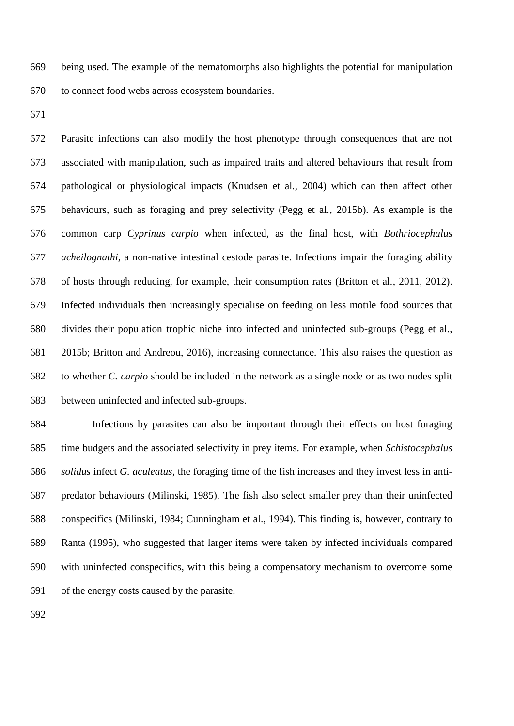being used. The example of the nematomorphs also highlights the potential for manipulation to connect food webs across ecosystem boundaries.

 Parasite infections can also modify the host phenotype through consequences that are not associated with manipulation, such as impaired traits and altered behaviours that result from pathological or physiological impacts (Knudsen et al., 2004) which can then affect other behaviours, such as foraging and prey selectivity (Pegg et al., 2015b). As example is the common carp *Cyprinus carpio* when infected, as the final host, with *Bothriocephalus acheilognathi*, a non-native intestinal cestode parasite. Infections impair the foraging ability of hosts through reducing, for example, their consumption rates (Britton et al., 2011, 2012). Infected individuals then increasingly specialise on feeding on less motile food sources that divides their population trophic niche into infected and uninfected sub-groups (Pegg et al., 2015b; Britton and Andreou, 2016), increasing connectance. This also raises the question as to whether *C. carpio* should be included in the network as a single node or as two nodes split between uninfected and infected sub-groups.

 Infections by parasites can also be important through their effects on host foraging time budgets and the associated selectivity in prey items. For example, when *Schistocephalus solidus* infect *G. aculeatus*, the foraging time of the fish increases and they invest less in anti- predator behaviours (Milinski, 1985). The fish also select smaller prey than their uninfected conspecifics (Milinski, 1984; Cunningham et al., 1994). This finding is, however, contrary to Ranta (1995), who suggested that larger items were taken by infected individuals compared with uninfected conspecifics, with this being a compensatory mechanism to overcome some of the energy costs caused by the parasite.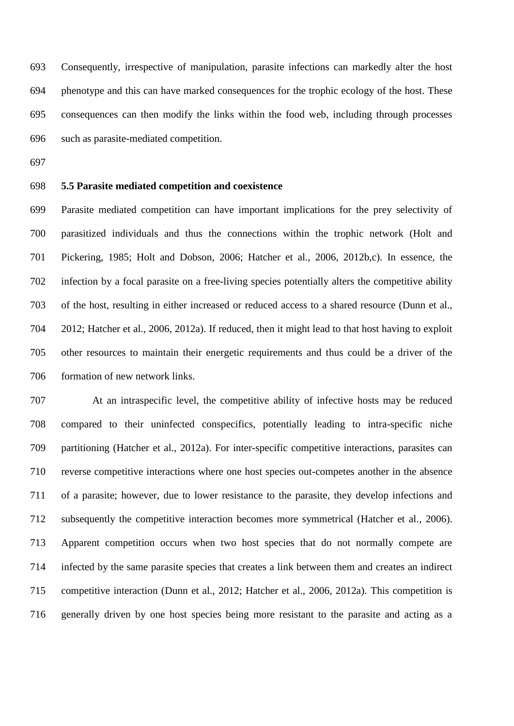Consequently, irrespective of manipulation, parasite infections can markedly alter the host phenotype and this can have marked consequences for the trophic ecology of the host. These consequences can then modify the links within the food web, including through processes such as parasite-mediated competition.

### **5.5 Parasite mediated competition and coexistence**

 Parasite mediated competition can have important implications for the prey selectivity of parasitized individuals and thus the connections within the trophic network (Holt and Pickering, 1985; Holt and Dobson, 2006; Hatcher et al., 2006, 2012b,c). In essence, the infection by a focal parasite on a free-living species potentially alters the competitive ability of the host, resulting in either increased or reduced access to a shared resource (Dunn et al., 2012; Hatcher et al., 2006, 2012a). If reduced, then it might lead to that host having to exploit other resources to maintain their energetic requirements and thus could be a driver of the formation of new network links.

 At an intraspecific level, the competitive ability of infective hosts may be reduced compared to their uninfected conspecifics, potentially leading to intra-specific niche partitioning (Hatcher et al., 2012a). For inter-specific competitive interactions, parasites can reverse competitive interactions where one host species out-competes another in the absence of a parasite; however, due to lower resistance to the parasite, they develop infections and subsequently the competitive interaction becomes more symmetrical (Hatcher et al., 2006). Apparent competition occurs when two host species that do not normally compete are infected by the same parasite species that creates a link between them and creates an indirect competitive interaction (Dunn et al., 2012; Hatcher et al., 2006, 2012a). This competition is generally driven by one host species being more resistant to the parasite and acting as a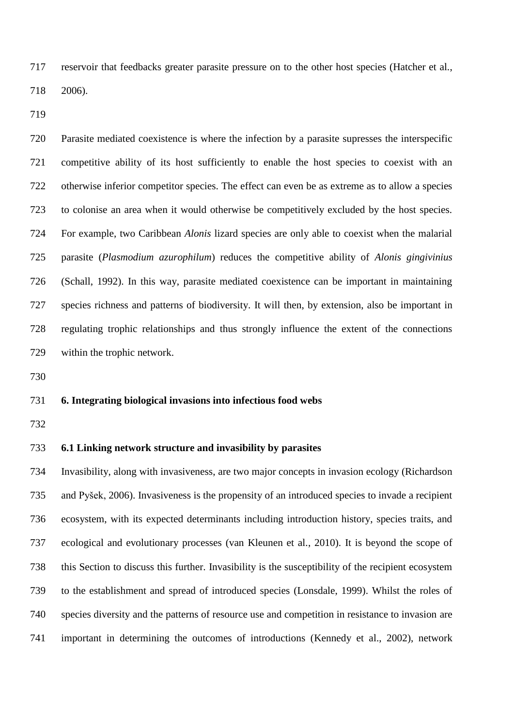reservoir that feedbacks greater parasite pressure on to the other host species (Hatcher et al., 2006).

 Parasite mediated coexistence is where the infection by a parasite supresses the interspecific competitive ability of its host sufficiently to enable the host species to coexist with an otherwise inferior competitor species. The effect can even be as extreme as to allow a species to colonise an area when it would otherwise be competitively excluded by the host species. For example, two Caribbean *Alonis* lizard species are only able to coexist when the malarial parasite (*Plasmodium azurophilum*) reduces the competitive ability of *Alonis gingivinius* (Schall, 1992). In this way, parasite mediated coexistence can be important in maintaining species richness and patterns of biodiversity. It will then, by extension, also be important in regulating trophic relationships and thus strongly influence the extent of the connections within the trophic network.

## **6. Integrating biological invasions into infectious food webs**

## **6.1 Linking network structure and invasibility by parasites**

 Invasibility, along with invasiveness, are two major concepts in invasion ecology (Richardson and Pyšek, 2006). Invasiveness is the propensity of an introduced species to invade a recipient ecosystem, with its expected determinants including introduction history, species traits, and ecological and evolutionary processes (van Kleunen et al., 2010). It is beyond the scope of this Section to discuss this further. Invasibility is the susceptibility of the recipient ecosystem to the establishment and spread of introduced species (Lonsdale, 1999). Whilst the roles of species diversity and the patterns of resource use and competition in resistance to invasion are important in determining the outcomes of introductions (Kennedy et al., 2002), network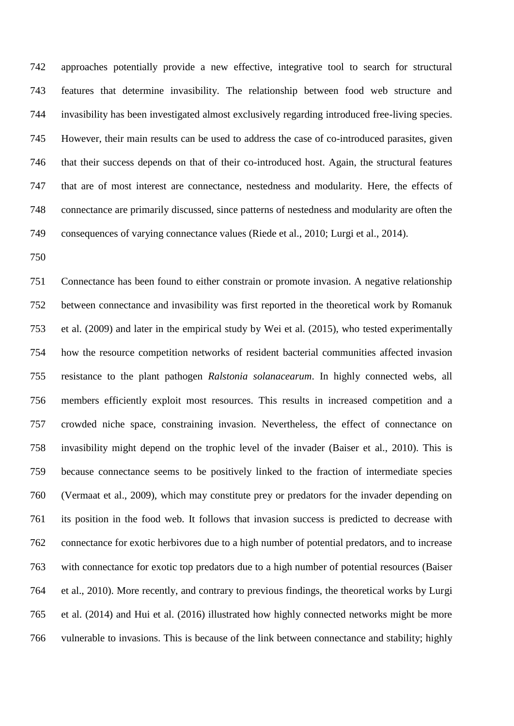approaches potentially provide a new effective, integrative tool to search for structural features that determine invasibility. The relationship between food web structure and invasibility has been investigated almost exclusively regarding introduced free-living species. However, their main results can be used to address the case of co-introduced parasites, given that their success depends on that of their co-introduced host. Again, the structural features that are of most interest are connectance, nestedness and modularity. Here, the effects of connectance are primarily discussed, since patterns of nestedness and modularity are often the consequences of varying connectance values (Riede et al., 2010; Lurgi et al., 2014).

 Connectance has been found to either constrain or promote invasion. A negative relationship between connectance and invasibility was first reported in the theoretical work by Romanuk et al. (2009) and later in the empirical study by Wei et al. (2015), who tested experimentally how the resource competition networks of resident bacterial communities affected invasion resistance to the plant pathogen *Ralstonia solanacearum*. In highly connected webs, all members efficiently exploit most resources. This results in increased competition and a crowded niche space, constraining invasion. Nevertheless, the effect of connectance on invasibility might depend on the trophic level of the invader (Baiser et al., 2010). This is because connectance seems to be positively linked to the fraction of intermediate species (Vermaat et al., 2009), which may constitute prey or predators for the invader depending on its position in the food web. It follows that invasion success is predicted to decrease with connectance for exotic herbivores due to a high number of potential predators, and to increase with connectance for exotic top predators due to a high number of potential resources (Baiser et al., 2010). More recently, and contrary to previous findings, the theoretical works by Lurgi et al. (2014) and Hui et al. (2016) illustrated how highly connected networks might be more vulnerable to invasions. This is because of the link between connectance and stability; highly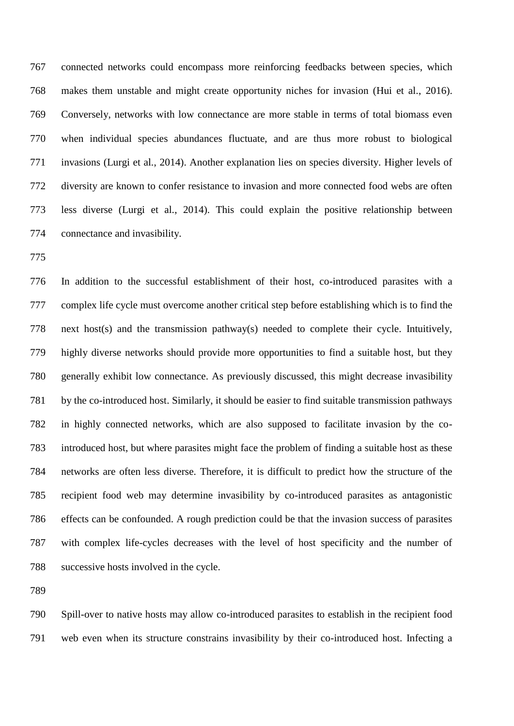connected networks could encompass more reinforcing feedbacks between species, which makes them unstable and might create opportunity niches for invasion (Hui et al., 2016). Conversely, networks with low connectance are more stable in terms of total biomass even when individual species abundances fluctuate, and are thus more robust to biological invasions (Lurgi et al., 2014). Another explanation lies on species diversity. Higher levels of diversity are known to confer resistance to invasion and more connected food webs are often less diverse (Lurgi et al., 2014). This could explain the positive relationship between connectance and invasibility.

 In addition to the successful establishment of their host, co-introduced parasites with a complex life cycle must overcome another critical step before establishing which is to find the next host(s) and the transmission pathway(s) needed to complete their cycle. Intuitively, highly diverse networks should provide more opportunities to find a suitable host, but they generally exhibit low connectance. As previously discussed, this might decrease invasibility by the co-introduced host. Similarly, it should be easier to find suitable transmission pathways in highly connected networks, which are also supposed to facilitate invasion by the co- introduced host, but where parasites might face the problem of finding a suitable host as these networks are often less diverse. Therefore, it is difficult to predict how the structure of the recipient food web may determine invasibility by co-introduced parasites as antagonistic effects can be confounded. A rough prediction could be that the invasion success of parasites with complex life-cycles decreases with the level of host specificity and the number of successive hosts involved in the cycle.

 Spill-over to native hosts may allow co-introduced parasites to establish in the recipient food web even when its structure constrains invasibility by their co-introduced host. Infecting a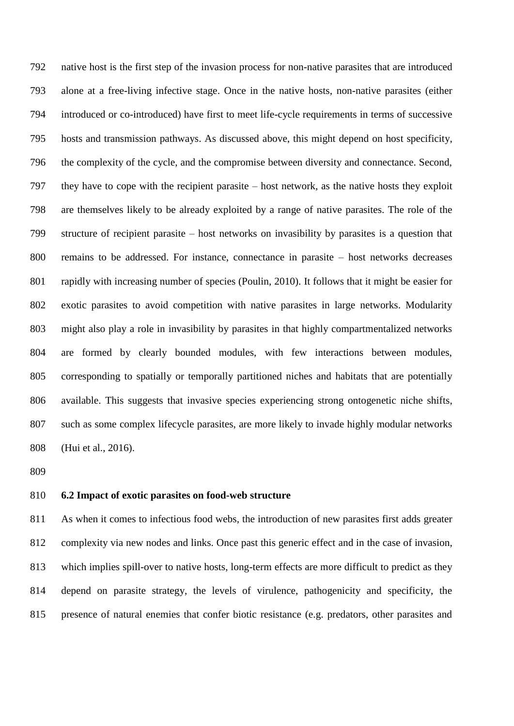native host is the first step of the invasion process for non-native parasites that are introduced alone at a free-living infective stage. Once in the native hosts, non-native parasites (either introduced or co-introduced) have first to meet life-cycle requirements in terms of successive hosts and transmission pathways. As discussed above, this might depend on host specificity, the complexity of the cycle, and the compromise between diversity and connectance. Second, they have to cope with the recipient parasite – host network, as the native hosts they exploit are themselves likely to be already exploited by a range of native parasites. The role of the structure of recipient parasite – host networks on invasibility by parasites is a question that remains to be addressed. For instance, connectance in parasite – host networks decreases rapidly with increasing number of species (Poulin, 2010). It follows that it might be easier for exotic parasites to avoid competition with native parasites in large networks. Modularity might also play a role in invasibility by parasites in that highly compartmentalized networks are formed by clearly bounded modules, with few interactions between modules, corresponding to spatially or temporally partitioned niches and habitats that are potentially available. This suggests that invasive species experiencing strong ontogenetic niche shifts, such as some complex lifecycle parasites, are more likely to invade highly modular networks (Hui et al., 2016).

# **6.2 Impact of exotic parasites on food-web structure**

 As when it comes to infectious food webs, the introduction of new parasites first adds greater complexity via new nodes and links. Once past this generic effect and in the case of invasion, which implies spill-over to native hosts, long-term effects are more difficult to predict as they depend on parasite strategy, the levels of virulence, pathogenicity and specificity, the presence of natural enemies that confer biotic resistance (e.g. predators, other parasites and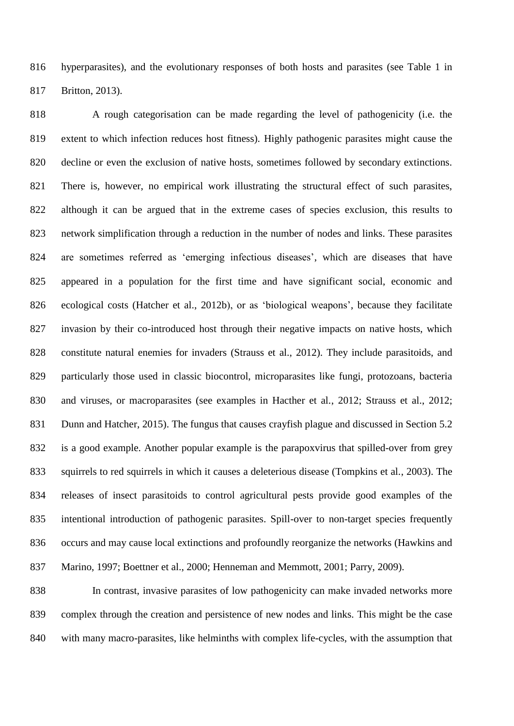hyperparasites), and the evolutionary responses of both hosts and parasites (see Table 1 in Britton, 2013).

 A rough categorisation can be made regarding the level of pathogenicity (i.e. the extent to which infection reduces host fitness). Highly pathogenic parasites might cause the decline or even the exclusion of native hosts, sometimes followed by secondary extinctions. There is, however, no empirical work illustrating the structural effect of such parasites, although it can be argued that in the extreme cases of species exclusion, this results to network simplification through a reduction in the number of nodes and links. These parasites are sometimes referred as 'emerging infectious diseases', which are diseases that have appeared in a population for the first time and have significant social, economic and ecological costs (Hatcher et al., 2012b), or as 'biological weapons', because they facilitate invasion by their co-introduced host through their negative impacts on native hosts, which constitute natural enemies for invaders (Strauss et al., 2012). They include parasitoids, and particularly those used in classic biocontrol, microparasites like fungi, protozoans, bacteria and viruses, or macroparasites (see examples in Hacther et al., 2012; Strauss et al., 2012; Dunn and Hatcher, 2015). The fungus that causes crayfish plague and discussed in Section 5.2 is a good example. Another popular example is the parapoxvirus that spilled-over from grey squirrels to red squirrels in which it causes a deleterious disease (Tompkins et al., 2003). The releases of insect parasitoids to control agricultural pests provide good examples of the intentional introduction of pathogenic parasites. Spill-over to non-target species frequently occurs and may cause local extinctions and profoundly reorganize the networks (Hawkins and Marino, 1997; Boettner et al., 2000; Henneman and Memmott, 2001; Parry, 2009).

 In contrast, invasive parasites of low pathogenicity can make invaded networks more complex through the creation and persistence of new nodes and links. This might be the case with many macro-parasites, like helminths with complex life-cycles, with the assumption that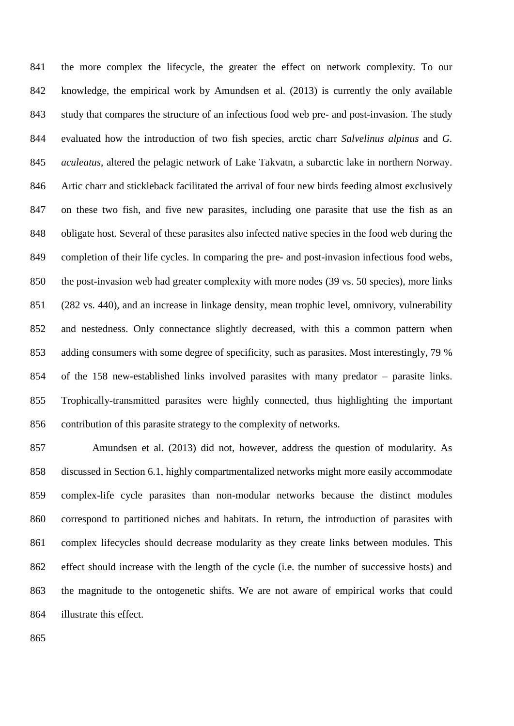the more complex the lifecycle, the greater the effect on network complexity. To our knowledge, the empirical work by Amundsen et al. (2013) is currently the only available study that compares the structure of an infectious food web pre- and post-invasion. The study evaluated how the introduction of two fish species, arctic charr *Salvelinus alpinus* and *G. aculeatus*, altered the pelagic network of Lake Takvatn, a subarctic lake in northern Norway. Artic charr and stickleback facilitated the arrival of four new birds feeding almost exclusively on these two fish, and five new parasites, including one parasite that use the fish as an obligate host. Several of these parasites also infected native species in the food web during the completion of their life cycles. In comparing the pre- and post-invasion infectious food webs, the post-invasion web had greater complexity with more nodes (39 vs. 50 species), more links (282 vs. 440), and an increase in linkage density, mean trophic level, omnivory, vulnerability and nestedness. Only connectance slightly decreased, with this a common pattern when adding consumers with some degree of specificity, such as parasites. Most interestingly, 79 % of the 158 new-established links involved parasites with many predator – parasite links. Trophically-transmitted parasites were highly connected, thus highlighting the important contribution of this parasite strategy to the complexity of networks.

 Amundsen et al. (2013) did not, however, address the question of modularity. As discussed in Section 6.1, highly compartmentalized networks might more easily accommodate complex-life cycle parasites than non-modular networks because the distinct modules correspond to partitioned niches and habitats. In return, the introduction of parasites with complex lifecycles should decrease modularity as they create links between modules. This effect should increase with the length of the cycle (i.e. the number of successive hosts) and the magnitude to the ontogenetic shifts. We are not aware of empirical works that could illustrate this effect.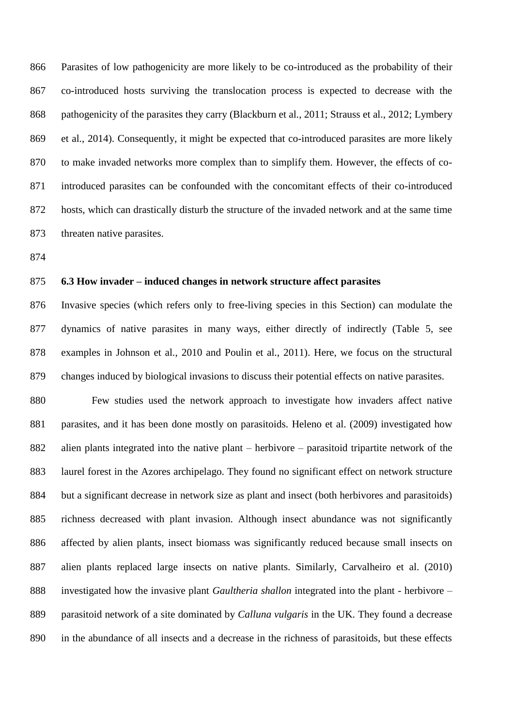Parasites of low pathogenicity are more likely to be co-introduced as the probability of their co-introduced hosts surviving the translocation process is expected to decrease with the 868 pathogenicity of the parasites they carry (Blackburn et al., 2011; Strauss et al., 2012; Lymbery et al., 2014). Consequently, it might be expected that co-introduced parasites are more likely to make invaded networks more complex than to simplify them. However, the effects of co- introduced parasites can be confounded with the concomitant effects of their co-introduced hosts, which can drastically disturb the structure of the invaded network and at the same time 873 threaten native parasites.

## **6.3 How invader – induced changes in network structure affect parasites**

 Invasive species (which refers only to free-living species in this Section) can modulate the dynamics of native parasites in many ways, either directly of indirectly (Table 5, see examples in Johnson et al., 2010 and Poulin et al., 2011). Here, we focus on the structural changes induced by biological invasions to discuss their potential effects on native parasites.

 Few studies used the network approach to investigate how invaders affect native parasites, and it has been done mostly on parasitoids. Heleno et al. (2009) investigated how alien plants integrated into the native plant – herbivore – parasitoid tripartite network of the laurel forest in the Azores archipelago. They found no significant effect on network structure but a significant decrease in network size as plant and insect (both herbivores and parasitoids) richness decreased with plant invasion. Although insect abundance was not significantly affected by alien plants, insect biomass was significantly reduced because small insects on alien plants replaced large insects on native plants. Similarly, Carvalheiro et al. (2010) investigated how the invasive plant *Gaultheria shallon* integrated into the plant - herbivore – parasitoid network of a site dominated by *Calluna vulgaris* in the UK. They found a decrease in the abundance of all insects and a decrease in the richness of parasitoids, but these effects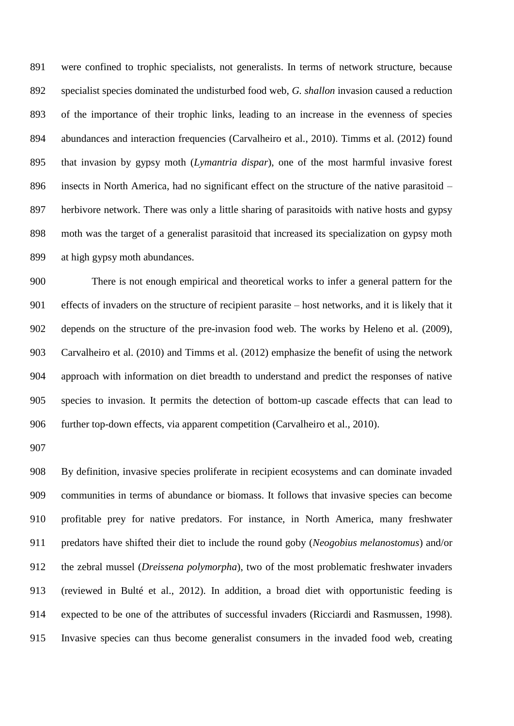were confined to trophic specialists, not generalists. In terms of network structure, because specialist species dominated the undisturbed food web, *G. shallon* invasion caused a reduction of the importance of their trophic links, leading to an increase in the evenness of species abundances and interaction frequencies (Carvalheiro et al., 2010). Timms et al. (2012) found that invasion by gypsy moth (*Lymantria dispar*), one of the most harmful invasive forest insects in North America, had no significant effect on the structure of the native parasitoid – herbivore network. There was only a little sharing of parasitoids with native hosts and gypsy moth was the target of a generalist parasitoid that increased its specialization on gypsy moth at high gypsy moth abundances.

 There is not enough empirical and theoretical works to infer a general pattern for the effects of invaders on the structure of recipient parasite – host networks, and it is likely that it depends on the structure of the pre-invasion food web. The works by Heleno et al. (2009), Carvalheiro et al. (2010) and Timms et al. (2012) emphasize the benefit of using the network approach with information on diet breadth to understand and predict the responses of native species to invasion. It permits the detection of bottom-up cascade effects that can lead to further top-down effects, via apparent competition (Carvalheiro et al., 2010).

 By definition, invasive species proliferate in recipient ecosystems and can dominate invaded communities in terms of abundance or biomass. It follows that invasive species can become profitable prey for native predators. For instance, in North America, many freshwater predators have shifted their diet to include the round goby (*Neogobius melanostomus*) and/or the zebral mussel (*Dreissena polymorpha*), two of the most problematic freshwater invaders (reviewed in Bulté et al., 2012). In addition, a broad diet with opportunistic feeding is expected to be one of the attributes of successful invaders (Ricciardi and Rasmussen, 1998). Invasive species can thus become generalist consumers in the invaded food web, creating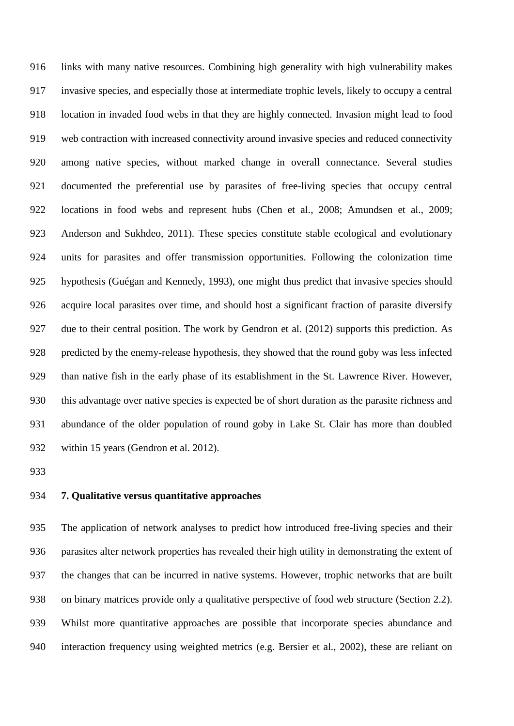links with many native resources. Combining high generality with high vulnerability makes invasive species, and especially those at intermediate trophic levels, likely to occupy a central location in invaded food webs in that they are highly connected. Invasion might lead to food web contraction with increased connectivity around invasive species and reduced connectivity among native species, without marked change in overall connectance. Several studies documented the preferential use by parasites of free-living species that occupy central locations in food webs and represent hubs (Chen et al., 2008; Amundsen et al., 2009; Anderson and Sukhdeo, 2011). These species constitute stable ecological and evolutionary units for parasites and offer transmission opportunities. Following the colonization time hypothesis (Guégan and Kennedy, 1993), one might thus predict that invasive species should acquire local parasites over time, and should host a significant fraction of parasite diversify due to their central position. The work by Gendron et al. (2012) supports this prediction. As predicted by the enemy-release hypothesis, they showed that the round goby was less infected than native fish in the early phase of its establishment in the St. Lawrence River. However, this advantage over native species is expected be of short duration as the parasite richness and abundance of the older population of round goby in Lake St. Clair has more than doubled within 15 years (Gendron et al. 2012).

## **7. Qualitative versus quantitative approaches**

 The application of network analyses to predict how introduced free-living species and their parasites alter network properties has revealed their high utility in demonstrating the extent of the changes that can be incurred in native systems. However, trophic networks that are built on binary matrices provide only a qualitative perspective of food web structure (Section 2.2). Whilst more quantitative approaches are possible that incorporate species abundance and interaction frequency using weighted metrics (e.g. Bersier et al., 2002), these are reliant on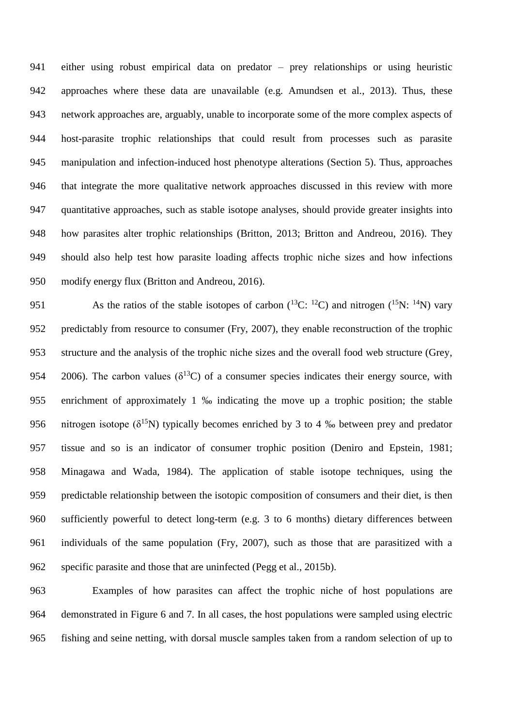either using robust empirical data on predator – prey relationships or using heuristic approaches where these data are unavailable (e.g. Amundsen et al., 2013). Thus, these network approaches are, arguably, unable to incorporate some of the more complex aspects of host-parasite trophic relationships that could result from processes such as parasite manipulation and infection-induced host phenotype alterations (Section 5). Thus, approaches that integrate the more qualitative network approaches discussed in this review with more quantitative approaches, such as stable isotope analyses, should provide greater insights into how parasites alter trophic relationships (Britton, 2013; Britton and Andreou, 2016). They should also help test how parasite loading affects trophic niche sizes and how infections modify energy flux (Britton and Andreou, 2016).

951 As the ratios of the stable isotopes of carbon  $(^{13}C; ^{12}C)$  and nitrogen  $(^{15}N; ^{14}N)$  vary predictably from resource to consumer (Fry, 2007), they enable reconstruction of the trophic structure and the analysis of the trophic niche sizes and the overall food web structure (Grey, 954 2006). The carbon values ( $\delta^{13}$ C) of a consumer species indicates their energy source, with enrichment of approximately 1 ‰ indicating the move up a trophic position; the stable 956 nitrogen isotope  $(\delta^{15}N)$  typically becomes enriched by 3 to 4 ‰ between prey and predator tissue and so is an indicator of consumer trophic position (Deniro and Epstein, 1981; Minagawa and Wada, 1984). The application of stable isotope techniques, using the predictable relationship between the isotopic composition of consumers and their diet, is then sufficiently powerful to detect long-term (e.g. 3 to 6 months) dietary differences between individuals of the same population (Fry, 2007), such as those that are parasitized with a specific parasite and those that are uninfected (Pegg et al., 2015b).

 Examples of how parasites can affect the trophic niche of host populations are demonstrated in Figure 6 and 7. In all cases, the host populations were sampled using electric fishing and seine netting, with dorsal muscle samples taken from a random selection of up to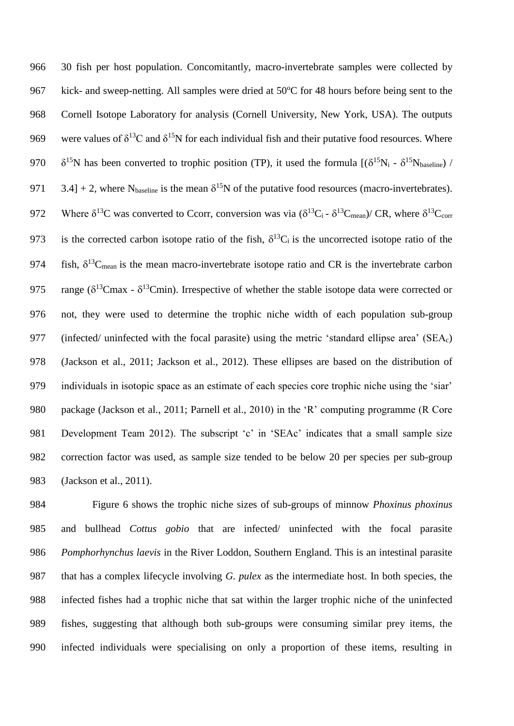966 30 fish per host population. Concomitantly, macro-invertebrate samples were collected by 967 kick- and sweep-netting. All samples were dried at 50°C for 48 hours before being sent to the 968 Cornell Isotope Laboratory for analysis (Cornell University, New York, USA). The outputs 969 were values of  $\delta^{13}C$  and  $\delta^{15}N$  for each individual fish and their putative food resources. Where 970  $\delta^{15}N$  has been converted to trophic position (TP), it used the formula  $[(\delta^{15}N_i - \delta^{15}N_{\text{baseline}})/$ 971  $3.4$ ] + 2, where N<sub>baseline</sub> is the mean  $\delta^{15}$ N of the putative food resources (macro-invertebrates). 972 Where  $\delta^{13}C$  was converted to Ccorr, conversion was via  $(\delta^{13}C_i - \delta^{13}C_{mean})/CR$ , where  $\delta^{13}C_{corr}$ 973 is the corrected carbon isotope ratio of the fish,  $\delta^{13}C_i$  is the uncorrected isotope ratio of the 974 fish,  $\delta^{13}C_{\text{mean}}$  is the mean macro-invertebrate isotope ratio and CR is the invertebrate carbon 975 range ( $\delta^{13}$ Cmax -  $\delta^{13}$ Cmin). Irrespective of whether the stable isotope data were corrected or 976 not, they were used to determine the trophic niche width of each population sub-group 977 (infected/ uninfected with the focal parasite) using the metric 'standard ellipse area' ( $SEA_c$ ) 978 (Jackson et al., 2011; Jackson et al., 2012). These ellipses are based on the distribution of 979 individuals in isotopic space as an estimate of each species core trophic niche using the 'siar' 980 package (Jackson et al., 2011; Parnell et al., 2010) in the 'R' computing programme (R Core 981 Development Team 2012). The subscript 'c' in 'SEAc' indicates that a small sample size 982 correction factor was used, as sample size tended to be below 20 per species per sub-group 983 (Jackson et al., 2011).

 Figure 6 shows the trophic niche sizes of sub-groups of minnow *Phoxinus phoxinus* and bullhead *Cottus gobio* that are infected/ uninfected with the focal parasite *Pomphorhynchus laevis* in the River Loddon, Southern England. This is an intestinal parasite that has a complex lifecycle involving *G. pulex* as the intermediate host. In both species, the infected fishes had a trophic niche that sat within the larger trophic niche of the uninfected fishes, suggesting that although both sub-groups were consuming similar prey items, the infected individuals were specialising on only a proportion of these items, resulting in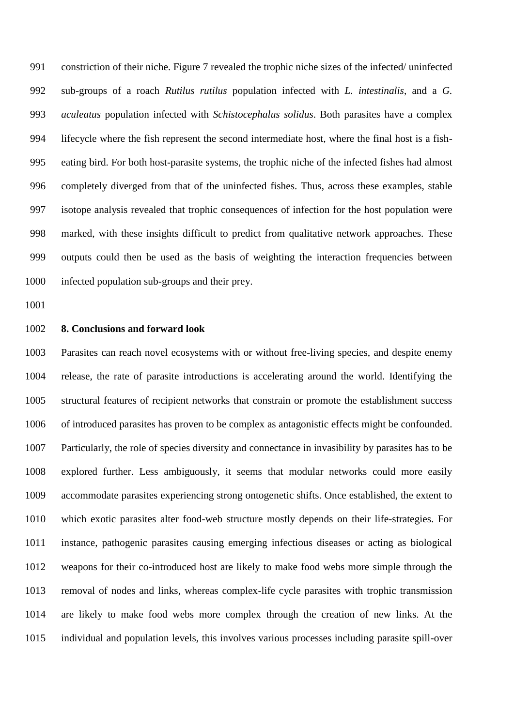constriction of their niche. Figure 7 revealed the trophic niche sizes of the infected/ uninfected sub-groups of a roach *Rutilus rutilus* population infected with *L. intestinalis*, and a *G. aculeatus* population infected with *Schistocephalus solidus*. Both parasites have a complex lifecycle where the fish represent the second intermediate host, where the final host is a fish- eating bird. For both host-parasite systems, the trophic niche of the infected fishes had almost completely diverged from that of the uninfected fishes. Thus, across these examples, stable isotope analysis revealed that trophic consequences of infection for the host population were marked, with these insights difficult to predict from qualitative network approaches. These outputs could then be used as the basis of weighting the interaction frequencies between infected population sub-groups and their prey.

### **8. Conclusions and forward look**

 Parasites can reach novel ecosystems with or without free-living species, and despite enemy release, the rate of parasite introductions is accelerating around the world. Identifying the structural features of recipient networks that constrain or promote the establishment success of introduced parasites has proven to be complex as antagonistic effects might be confounded. Particularly, the role of species diversity and connectance in invasibility by parasites has to be explored further. Less ambiguously, it seems that modular networks could more easily accommodate parasites experiencing strong ontogenetic shifts. Once established, the extent to which exotic parasites alter food-web structure mostly depends on their life-strategies. For instance, pathogenic parasites causing emerging infectious diseases or acting as biological weapons for their co-introduced host are likely to make food webs more simple through the removal of nodes and links, whereas complex-life cycle parasites with trophic transmission are likely to make food webs more complex through the creation of new links. At the individual and population levels, this involves various processes including parasite spill-over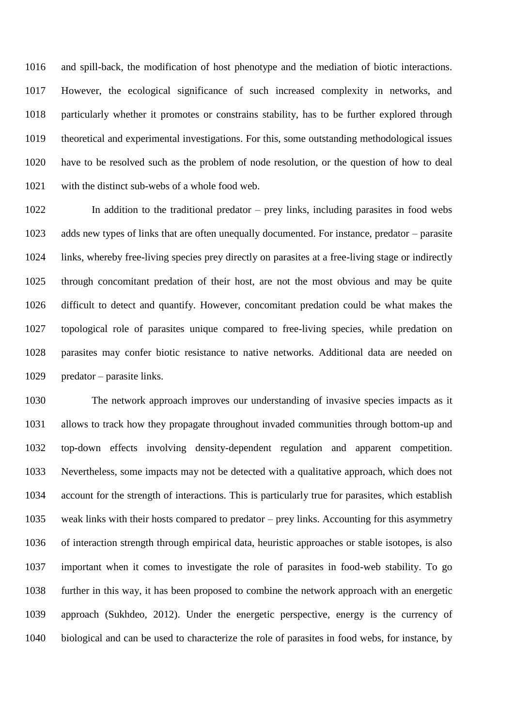and spill-back, the modification of host phenotype and the mediation of biotic interactions. However, the ecological significance of such increased complexity in networks, and particularly whether it promotes or constrains stability, has to be further explored through theoretical and experimental investigations. For this, some outstanding methodological issues have to be resolved such as the problem of node resolution, or the question of how to deal with the distinct sub-webs of a whole food web.

 In addition to the traditional predator – prey links, including parasites in food webs adds new types of links that are often unequally documented. For instance, predator – parasite links, whereby free-living species prey directly on parasites at a free-living stage or indirectly through concomitant predation of their host, are not the most obvious and may be quite difficult to detect and quantify. However, concomitant predation could be what makes the topological role of parasites unique compared to free-living species, while predation on parasites may confer biotic resistance to native networks. Additional data are needed on predator – parasite links.

 The network approach improves our understanding of invasive species impacts as it allows to track how they propagate throughout invaded communities through bottom-up and top-down effects involving density-dependent regulation and apparent competition. Nevertheless, some impacts may not be detected with a qualitative approach, which does not account for the strength of interactions. This is particularly true for parasites, which establish weak links with their hosts compared to predator – prey links. Accounting for this asymmetry of interaction strength through empirical data, heuristic approaches or stable isotopes, is also important when it comes to investigate the role of parasites in food-web stability. To go further in this way, it has been proposed to combine the network approach with an energetic approach (Sukhdeo, 2012). Under the energetic perspective, energy is the currency of biological and can be used to characterize the role of parasites in food webs, for instance, by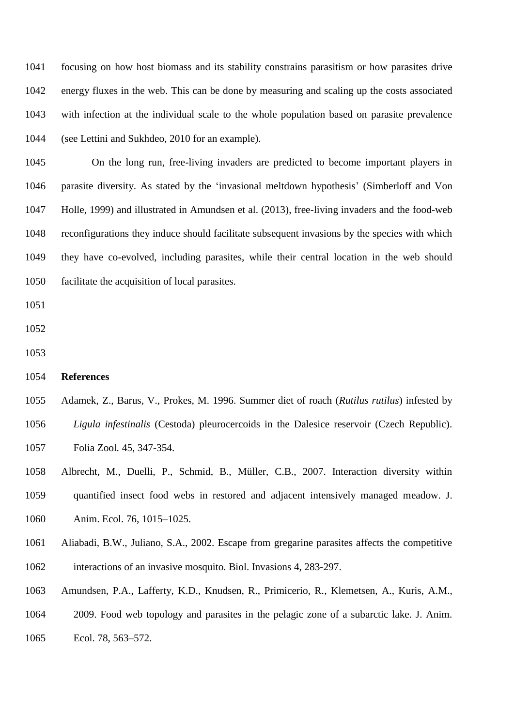focusing on how host biomass and its stability constrains parasitism or how parasites drive energy fluxes in the web. This can be done by measuring and scaling up the costs associated with infection at the individual scale to the whole population based on parasite prevalence (see Lettini and Sukhdeo, 2010 for an example).

 On the long run, free-living invaders are predicted to become important players in parasite diversity. As stated by the 'invasional meltdown hypothesis' (Simberloff and Von Holle, 1999) and illustrated in Amundsen et al. (2013), free-living invaders and the food-web reconfigurations they induce should facilitate subsequent invasions by the species with which they have co-evolved, including parasites, while their central location in the web should facilitate the acquisition of local parasites.

- 
- 
- 

#### **References**

- Adamek, Z., Barus, V., Prokes, M. 1996. Summer diet of roach (*Rutilus rutilus*) infested by
- *Ligula infestinalis* (Cestoda) pleurocercoids in the Dalesice reservoir (Czech Republic). Folia Zool*.* 45, 347-354.
- Albrecht, M., Duelli, P., Schmid, B., Müller, C.B., 2007. Interaction diversity within quantified insect food webs in restored and adjacent intensively managed meadow. J. Anim. Ecol. 76, 1015–1025.
- Aliabadi, B.W., Juliano, S.A., 2002. Escape from gregarine parasites affects the competitive interactions of an invasive mosquito. Biol. Invasions 4, 283-297.
- Amundsen, P.A., Lafferty, K.D., Knudsen, R., Primicerio, R., Klemetsen, A., Kuris, A.M., 2009. Food web topology and parasites in the pelagic zone of a subarctic lake. J. Anim. Ecol. 78, 563–572.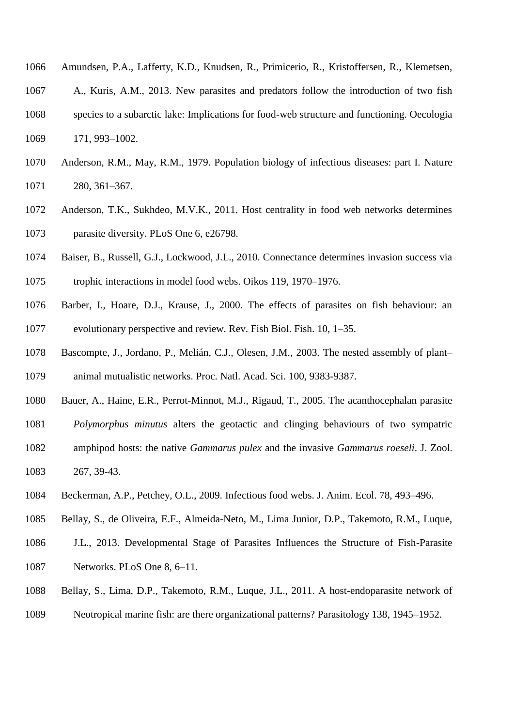- Amundsen, P.A., Lafferty, K.D., Knudsen, R., Primicerio, R., Kristoffersen, R., Klemetsen,
- A., Kuris, A.M., 2013. New parasites and predators follow the introduction of two fish
- species to a subarctic lake: Implications for food-web structure and functioning. Oecologia
- 171, 993–1002.
- Anderson, R.M., May, R.M., 1979. Population biology of infectious diseases: part I. Nature 280, 361–367.
- Anderson, T.K., Sukhdeo, M.V.K., 2011. Host centrality in food web networks determines parasite diversity. PLoS One 6, e26798.
- Baiser, B., Russell, G.J., Lockwood, J.L., 2010. Connectance determines invasion success via trophic interactions in model food webs. Oikos 119, 1970–1976.
- Barber, I., Hoare, D.J., Krause, J., 2000. The effects of parasites on fish behaviour: an evolutionary perspective and review. Rev. Fish Biol. Fish. 10, 1–35.
- Bascompte, J., Jordano, P., Melián, C.J., Olesen, J.M., 2003. The nested assembly of plant– animal mutualistic networks. Proc. Natl. Acad. Sci. 100, 9383-9387.
- Bauer, A., Haine, E.R., Perrot-Minnot, M.J., Rigaud, T., 2005. The acanthocephalan parasite
- *Polymorphus minutus* alters the geotactic and clinging behaviours of two sympatric
- amphipod hosts: the native *Gammarus pulex* and the invasive *Gammarus roeseli*. J. Zool.
- 267, 39-43.
- Beckerman, A.P., Petchey, O.L., 2009. Infectious food webs. J. Anim. Ecol. 78, 493–496.
- Bellay, S., de Oliveira, E.F., Almeida-Neto, M., Lima Junior, D.P., Takemoto, R.M., Luque,
- J.L., 2013. Developmental Stage of Parasites Influences the Structure of Fish-Parasite Networks. PLoS One 8, 6–11.
- Bellay, S., Lima, D.P., Takemoto, R.M., Luque, J.L., 2011. A host-endoparasite network of
- Neotropical marine fish: are there organizational patterns? Parasitology 138, 1945–1952.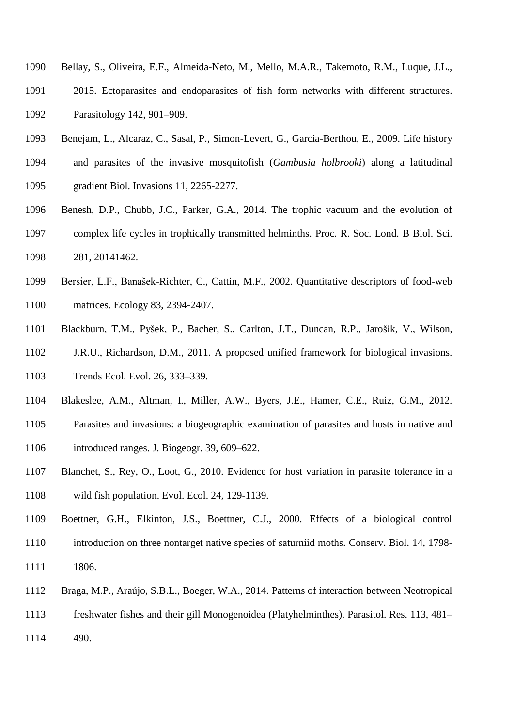- Bellay, S., Oliveira, E.F., Almeida-Neto, M., Mello, M.A.R., Takemoto, R.M., Luque, J.L.,
- 2015. Ectoparasites and endoparasites of fish form networks with different structures. Parasitology 142, 901–909.
- Benejam, L., Alcaraz, C., Sasal, P., Simon-Levert, G., García-Berthou, E., 2009. Life history
- and parasites of the invasive mosquitofish (*Gambusia holbrooki*) along a latitudinal gradient Biol. Invasions 11, 2265-2277.
- Benesh, D.P., Chubb, J.C., Parker, G.A., 2014. The trophic vacuum and the evolution of complex life cycles in trophically transmitted helminths. Proc. R. Soc. Lond. B Biol. Sci. 281, 20141462.
- Bersier, L.F., Banašek-Richter, C., Cattin, M.F., 2002. Quantitative descriptors of food-web matrices. Ecology 83, 2394-2407.
- Blackburn, T.M., Pyšek, P., Bacher, S., Carlton, J.T., Duncan, R.P., Jarošík, V., Wilson,
- J.R.U., Richardson, D.M., 2011. A proposed unified framework for biological invasions. Trends Ecol. Evol. 26, 333–339.
- Blakeslee, A.M., Altman, I., Miller, A.W., Byers, J.E., Hamer, C.E., Ruiz, G.M., 2012.
- Parasites and invasions: a biogeographic examination of parasites and hosts in native and introduced ranges. J. Biogeogr*.* 39, 609–622.
- Blanchet, S., Rey, O., Loot, G., 2010. Evidence for host variation in parasite tolerance in a wild fish population. Evol. Ecol. 24, 129-1139.
- Boettner, G.H., Elkinton, J.S., Boettner, C.J., 2000. Effects of a biological control introduction on three nontarget native species of saturniid moths. Conserv. Biol. 14, 1798- 1806.
- Braga, M.P., Araújo, S.B.L., Boeger, W.A., 2014. Patterns of interaction between Neotropical
- freshwater fishes and their gill Monogenoidea (Platyhelminthes). Parasitol. Res. 113, 481–
- 490.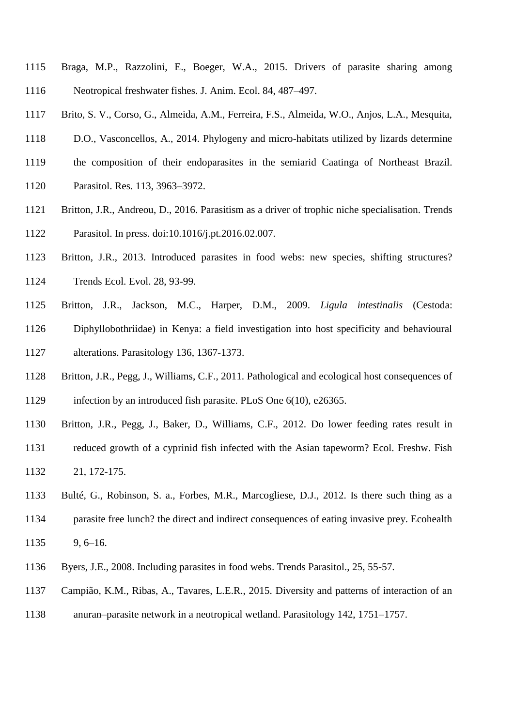- Braga, M.P., Razzolini, E., Boeger, W.A., 2015. Drivers of parasite sharing among Neotropical freshwater fishes. J. Anim. Ecol. 84, 487–497.
- Brito, S. V., Corso, G., Almeida, A.M., Ferreira, F.S., Almeida, W.O., Anjos, L.A., Mesquita,
- D.O., Vasconcellos, A., 2014. Phylogeny and micro-habitats utilized by lizards determine
- the composition of their endoparasites in the semiarid Caatinga of Northeast Brazil.
- Parasitol. Res. 113, 3963–3972.
- Britton, J.R., Andreou, D., 2016. Parasitism as a driver of trophic niche specialisation. Trends Parasitol. In press. doi:10.1016/j.pt.2016.02.007.
- Britton, J.R., 2013. Introduced parasites in food webs: new species, shifting structures? Trends Ecol. Evol. 28, 93-99.
- Britton, J.R., Jackson, M.C., Harper, D.M., 2009. *Ligula intestinalis* (Cestoda: Diphyllobothriidae) in Kenya: a field investigation into host specificity and behavioural alterations. Parasitology 136, 1367-1373.
- Britton, J.R., Pegg, J., Williams, C.F., 2011. Pathological and ecological host consequences of infection by an introduced fish parasite. PLoS One 6(10), e26365.
- Britton, J.R., Pegg, J., Baker, D., Williams, C.F., 2012. Do lower feeding rates result in reduced growth of a cyprinid fish infected with the Asian tapeworm? Ecol. Freshw. Fish
- 21, 172-175.
- Bulté, G., Robinson, S. a., Forbes, M.R., Marcogliese, D.J., 2012. Is there such thing as a
- parasite free lunch? the direct and indirect consequences of eating invasive prey. Ecohealth 9, 6–16.
- Byers, J.E., 2008. Including parasites in food webs. Trends Parasitol., 25, 55-57.
- Campião, K.M., Ribas, A., Tavares, L.E.R., 2015. Diversity and patterns of interaction of an
- anuran–parasite network in a neotropical wetland. Parasitology 142, 1751–1757.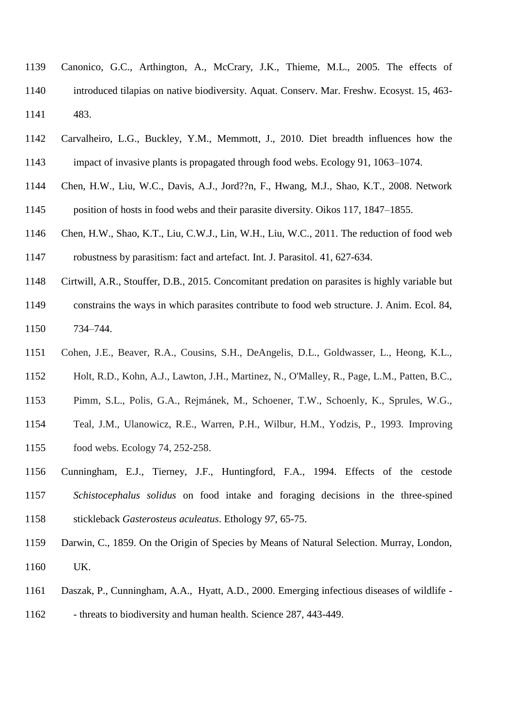- Canonico, G.C., Arthington, A., McCrary, J.K., Thieme, M.L., 2005. The effects of introduced tilapias on native biodiversity. Aquat. Conserv. Mar. Freshw. Ecosyst. 15, 463- 483.
- Carvalheiro, L.G., Buckley, Y.M., Memmott, J., 2010. Diet breadth influences how the impact of invasive plants is propagated through food webs. Ecology 91, 1063–1074.
- Chen, H.W., Liu, W.C., Davis, A.J., Jord??n, F., Hwang, M.J., Shao, K.T., 2008. Network position of hosts in food webs and their parasite diversity. Oikos 117, 1847–1855.
- Chen, H.W., Shao, K.T., Liu, C.W.J., Lin, W.H., Liu, W.C., 2011. The reduction of food web robustness by parasitism: fact and artefact. Int. J. Parasitol. 41, 627-634.
- Cirtwill, A.R., Stouffer, D.B., 2015. Concomitant predation on parasites is highly variable but
- constrains the ways in which parasites contribute to food web structure. J. Anim. Ecol. 84, 734–744.
- Cohen, J.E., Beaver, R.A., Cousins, S.H., DeAngelis, D.L., Goldwasser, L., Heong, K.L.,
- Holt, R.D., Kohn, A.J., Lawton, J.H., Martinez, N., O'Malley, R., Page, L.M., Patten, B.C.,
- Pimm, S.L., Polis, G.A., Rejmánek, M., Schoener, T.W., Schoenly, K., Sprules, W.G.,
- Teal, J.M., Ulanowicz, R.E., Warren, P.H., Wilbur, H.M., Yodzis, P., 1993. Improving food webs. Ecology 74, 252-258.
- Cunningham, E.J., Tierney, J.F., Huntingford, F.A., 1994. Effects of the cestode *Schistocephalus solidus* on food intake and foraging decisions in the three‐spined stickleback *Gasterosteus aculeatus*. Ethology *97*, 65-75.
- Darwin, C., 1859. On the Origin of Species by Means of Natural Selection. Murray, London, UK.
- Daszak, P., Cunningham, A.A., Hyatt, A.D., 2000. Emerging infectious diseases of wildlife -
- threats to biodiversity and human health. Science 287, 443-449.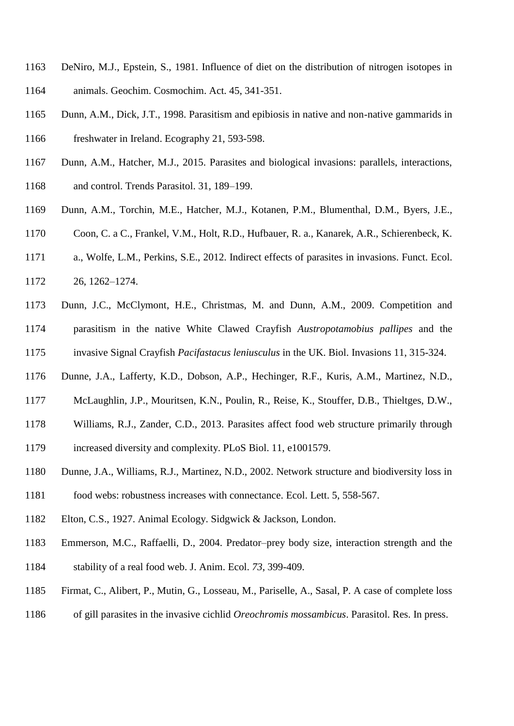- DeNiro, M.J., Epstein, S., 1981. Influence of diet on the distribution of nitrogen isotopes in animals. Geochim. Cosmochim. Act. 45, 341-351.
- Dunn, A.M., Dick, J.T., 1998. Parasitism and epibiosis in native and non‐native gammarids in freshwater in Ireland. Ecography 21, 593-598.
- Dunn, A.M., Hatcher, M.J., 2015. Parasites and biological invasions: parallels, interactions, and control. Trends Parasitol. 31, 189–199.
- Dunn, A.M., Torchin, M.E., Hatcher, M.J., Kotanen, P.M., Blumenthal, D.M., Byers, J.E.,
- Coon, C. a C., Frankel, V.M., Holt, R.D., Hufbauer, R. a., Kanarek, A.R., Schierenbeck, K.
- a., Wolfe, L.M., Perkins, S.E., 2012. Indirect effects of parasites in invasions. Funct. Ecol. 26, 1262–1274.
- Dunn, J.C., McClymont, H.E., Christmas, M. and Dunn, A.M., 2009. Competition and parasitism in the native White Clawed Crayfish *Austropotamobius pallipes* and the invasive Signal Crayfish *Pacifastacus leniusculus* in the UK. Biol. Invasions 11, 315-324.
- Dunne, J.A., Lafferty, K.D., Dobson, A.P., Hechinger, R.F., Kuris, A.M., Martinez, N.D.,
- McLaughlin, J.P., Mouritsen, K.N., Poulin, R., Reise, K., Stouffer, D.B., Thieltges, D.W.,
- Williams, R.J., Zander, C.D., 2013. Parasites affect food web structure primarily through
- increased diversity and complexity. PLoS Biol. 11, e1001579.
- Dunne, J.A., Williams, R.J., Martinez, N.D., 2002. Network structure and biodiversity loss in
- food webs: robustness increases with connectance. Ecol. Lett. 5, 558-567.
- Elton, C.S., 1927. Animal Ecology. Sidgwick & Jackson, London.
- Emmerson, M.C., Raffaelli, D., 2004. Predator–prey body size, interaction strength and the stability of a real food web. J. Anim. Ecol. *73*, 399-409.
- Firmat, C., Alibert, P., Mutin, G., Losseau, M., Pariselle, A., Sasal, P. A case of complete loss
- of gill parasites in the invasive cichlid *Oreochromis mossambicus*. Parasitol. Res. In press.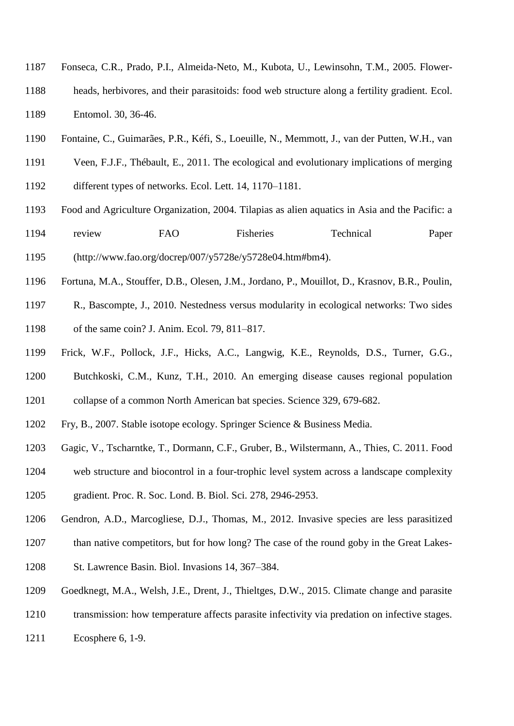- Fonseca, C.R., Prado, P.I., Almeida‐Neto, M., Kubota, U., Lewinsohn, T.M., 2005. Flower‐ heads, herbivores, and their parasitoids: food web structure along a fertility gradient. Ecol. Entomol. 30, 36-46.
- Fontaine, C., Guimarães, P.R., Kéfi, S., Loeuille, N., Memmott, J., van der Putten, W.H., van
- Veen, F.J.F., Thébault, E., 2011. The ecological and evolutionary implications of merging
- different types of networks. Ecol. Lett. 14, 1170–1181.
- Food and Agriculture Organization, 2004. Tilapias as alien aquatics in Asia and the Pacific: a review FAO Fisheries Technical Paper (http://www.fao.org/docrep/007/y5728e/y5728e04.htm#bm4).
- Fortuna, M.A., Stouffer, D.B., Olesen, J.M., Jordano, P., Mouillot, D., Krasnov, B.R., Poulin,
- R., Bascompte, J., 2010. Nestedness versus modularity in ecological networks: Two sides of the same coin? J. Anim. Ecol. 79, 811–817.
- Frick, W.F., Pollock, J.F., Hicks, A.C., Langwig, K.E., Reynolds, D.S., Turner, G.G., Butchkoski, C.M., Kunz, T.H., 2010. An emerging disease causes regional population collapse of a common North American bat species. Science 329, 679-682.
- Fry, B., 2007. Stable isotope ecology. Springer Science & Business Media.
- Gagic, V., Tscharntke, T., Dormann, C.F., Gruber, B., Wilstermann, A., Thies, C. 2011. Food
- web structure and biocontrol in a four-trophic level system across a landscape complexity
- gradient. Proc. R. Soc. Lond. B. Biol. Sci. 278, 2946-2953.
- Gendron, A.D., Marcogliese, D.J., Thomas, M., 2012. Invasive species are less parasitized
- 1207 than native competitors, but for how long? The case of the round goby in the Great Lakes-
- St. Lawrence Basin. Biol. Invasions 14, 367–384.
- Goedknegt, M.A., Welsh, J.E., Drent, J., Thieltges, D.W., 2015. Climate change and parasite
- transmission: how temperature affects parasite infectivity via predation on infective stages.
- Ecosphere 6, 1-9.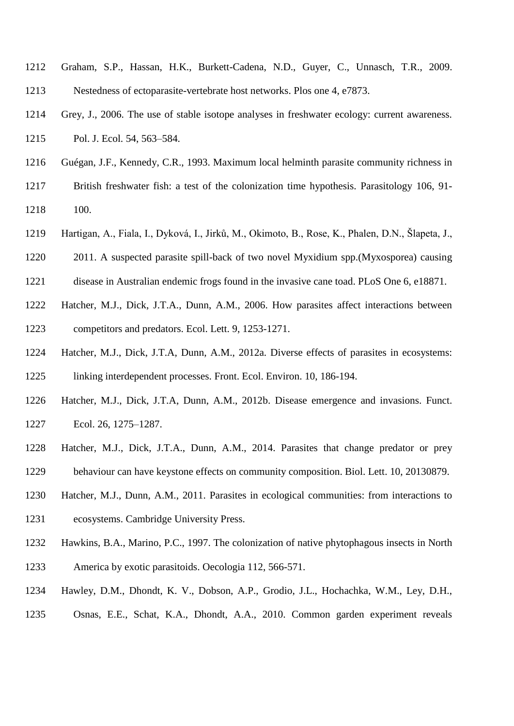- Graham, S.P., Hassan, H.K., Burkett-Cadena, N.D., Guyer, C., Unnasch, T.R., 2009. Nestedness of ectoparasite-vertebrate host networks. Plos one 4, e7873.
- Grey, J., 2006. The use of stable isotope analyses in freshwater ecology: current awareness. Pol. J. Ecol. 54, 563–584.
- Guégan, J.F., Kennedy, C.R., 1993. Maximum local helminth parasite community richness in
- British freshwater fish: a test of the colonization time hypothesis. Parasitology 106, 91- 100.
- Hartigan, A., Fiala, I., Dyková, I., Jirků, M., Okimoto, B., Rose, K., Phalen, D.N., Šlapeta, J.,
- 2011. A suspected parasite spill-back of two novel Myxidium spp.(Myxosporea) causing
- disease in Australian endemic frogs found in the invasive cane toad. PLoS One 6, e18871.
- Hatcher, M.J., Dick, J.T.A., Dunn, A.M., 2006. How parasites affect interactions between competitors and predators. Ecol. Lett. 9, 1253-1271.
- Hatcher, M.J., Dick, J.T.A, Dunn, A.M., 2012a. Diverse effects of parasites in ecosystems: linking interdependent processes. Front. Ecol. Environ. 10, 186-194.
- Hatcher, M.J., Dick, J.T.A, Dunn, A.M., 2012b. Disease emergence and invasions. Funct. Ecol. 26, 1275–1287.
- Hatcher, M.J., Dick, J.T.A., Dunn, A.M., 2014. Parasites that change predator or prey behaviour can have keystone effects on community composition. Biol. Lett. 10, 20130879.
- Hatcher, M.J., Dunn, A.M., 2011. Parasites in ecological communities: from interactions to ecosystems. Cambridge University Press.
- Hawkins, B.A., Marino, P.C., 1997. The colonization of native phytophagous insects in North
- America by exotic parasitoids. Oecologia 112, 566-571.
- Hawley, D.M., Dhondt, K. V., Dobson, A.P., Grodio, J.L., Hochachka, W.M., Ley, D.H.,
- Osnas, E.E., Schat, K.A., Dhondt, A.A., 2010. Common garden experiment reveals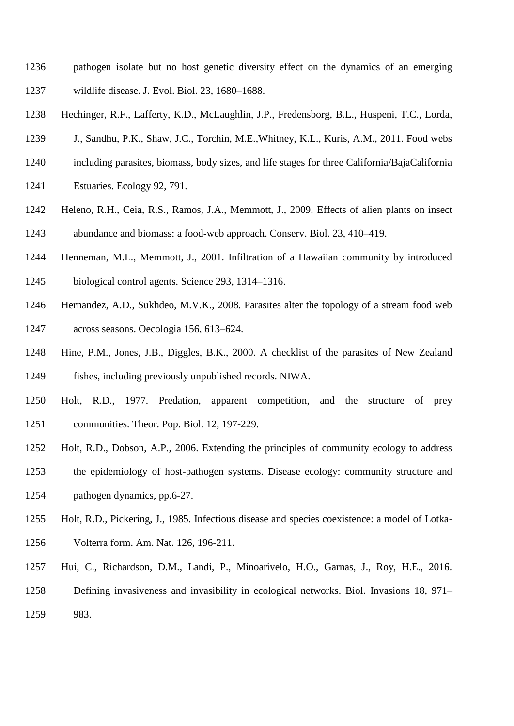- pathogen isolate but no host genetic diversity effect on the dynamics of an emerging wildlife disease. J. Evol. Biol. 23, 1680–1688.
- Hechinger, R.F., Lafferty, K.D., McLaughlin, J.P., Fredensborg, B.L., Huspeni, T.C., Lorda,
- J., Sandhu, P.K., Shaw, J.C., Torchin, M.E.,Whitney, K.L., Kuris, A.M., 2011. Food webs
- including parasites, biomass, body sizes, and life stages for three California/BajaCalifornia
- Estuaries. Ecology 92, 791.
- Heleno, R.H., Ceia, R.S., Ramos, J.A., Memmott, J., 2009. Effects of alien plants on insect abundance and biomass: a food‐web approach. Conserv. Biol. 23, 410–419.
- Henneman, M.L., Memmott, J., 2001. Infiltration of a Hawaiian community by introduced biological control agents. Science 293, 1314–1316.
- Hernandez, A.D., Sukhdeo, M.V.K., 2008. Parasites alter the topology of a stream food web across seasons. Oecologia 156, 613–624.
- Hine, P.M., Jones, J.B., Diggles, B.K., 2000. A checklist of the parasites of New Zealand fishes, including previously unpublished records. NIWA.
- Holt, R.D., 1977. Predation, apparent competition, and the structure of prey communities. Theor. Pop. Biol. 12, 197-229.
- Holt, R.D., Dobson, A.P., 2006. Extending the principles of community ecology to address
- the epidemiology of host-pathogen systems. Disease ecology: community structure and pathogen dynamics, pp.6-27.
- Holt, R.D., Pickering, J., 1985. Infectious disease and species coexistence: a model of Lotka-Volterra form. Am. Nat. 126, 196-211.
- Hui, C., Richardson, D.M., Landi, P., Minoarivelo, H.O., Garnas, J., Roy, H.E., 2016.
- Defining invasiveness and invasibility in ecological networks. Biol. Invasions 18, 971– 983.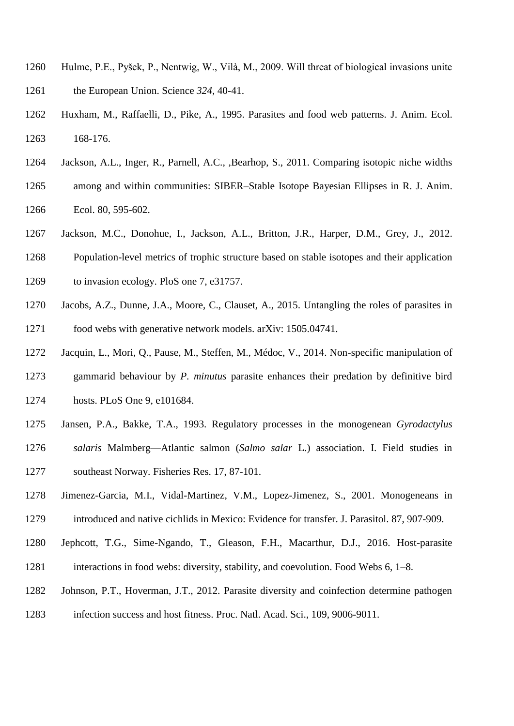- Hulme, P.E., Pyšek, P., Nentwig, W., Vilà, M., 2009. Will threat of biological invasions unite the European Union. Science *324*, 40-41.
- Huxham, M., Raffaelli, D., Pike, A., 1995. Parasites and food web patterns. J. Anim. Ecol. 168-176.
- Jackson, A.L., Inger, R., Parnell, A.C., ,Bearhop, S., 2011. Comparing isotopic niche widths
- among and within communities: SIBER–Stable Isotope Bayesian Ellipses in R. J. Anim. Ecol. 80, 595-602.
- Jackson, M.C., Donohue, I., Jackson, A.L., Britton, J.R., Harper, D.M., Grey, J., 2012.
- Population-level metrics of trophic structure based on stable isotopes and their application to invasion ecology. PloS one 7, e31757.
- Jacobs, A.Z., Dunne, J.A., Moore, C., Clauset, A., 2015. Untangling the roles of parasites in food webs with generative network models. arXiv: 1505.04741.
- Jacquin, L., Mori, Q., Pause, M., Steffen, M., Médoc, V., 2014. Non-specific manipulation of gammarid behaviour by *P. minutus* parasite enhances their predation by definitive bird hosts. PLoS One 9, e101684.
- Jansen, P.A., Bakke, T.A., 1993. Regulatory processes in the monogenean *Gyrodactylus*
- *salaris* Malmberg—Atlantic salmon (*Salmo salar* L.) association. I. Field studies in southeast Norway. Fisheries Res. 17, 87-101.
- Jimenez-Garcia, M.I., Vidal-Martinez, V.M., Lopez-Jimenez, S., 2001. Monogeneans in introduced and native cichlids in Mexico: Evidence for transfer. J. Parasitol. 87, 907-909.
- Jephcott, T.G., Sime-Ngando, T., Gleason, F.H., Macarthur, D.J., 2016. Host-parasite interactions in food webs: diversity, stability, and coevolution. Food Webs 6, 1–8.
- Johnson, P.T., Hoverman, J.T., 2012. Parasite diversity and coinfection determine pathogen
- infection success and host fitness. Proc. Natl. Acad. Sci., 109, 9006-9011.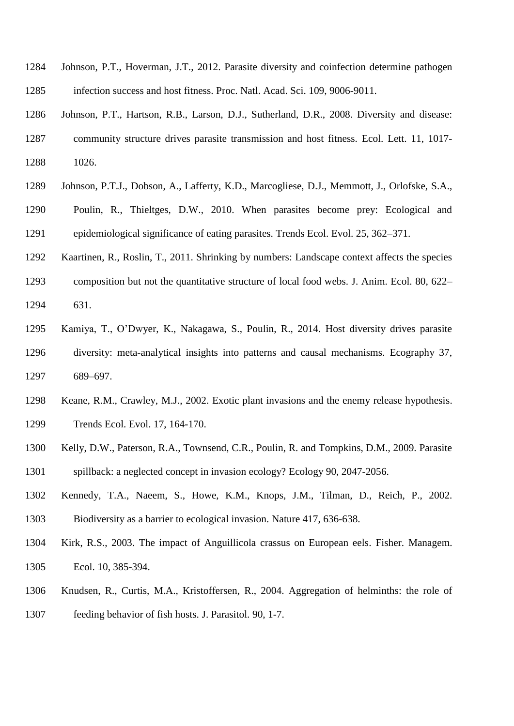- Johnson, P.T., Hoverman, J.T., 2012. Parasite diversity and coinfection determine pathogen infection success and host fitness. Proc. Natl. Acad. Sci. 109, 9006-9011.
- Johnson, P.T., Hartson, R.B., Larson, D.J., Sutherland, D.R., 2008. Diversity and disease: community structure drives parasite transmission and host fitness. Ecol. Lett. 11, 1017- 1026.
- Johnson, P.T.J., Dobson, A., Lafferty, K.D., Marcogliese, D.J., Memmott, J., Orlofske, S.A., Poulin, R., Thieltges, D.W., 2010. When parasites become prey: Ecological and epidemiological significance of eating parasites. Trends Ecol. Evol. 25, 362–371.
- Kaartinen, R., Roslin, T., 2011. Shrinking by numbers: Landscape context affects the species composition but not the quantitative structure of local food webs. J. Anim. Ecol. 80, 622–
- 631.
- Kamiya, T., O'Dwyer, K., Nakagawa, S., Poulin, R., 2014. Host diversity drives parasite diversity: meta-analytical insights into patterns and causal mechanisms. Ecography 37, 689–697.
- Keane, R.M., Crawley, M.J., 2002. Exotic plant invasions and the enemy release hypothesis. Trends Ecol. Evol. 17, 164-170.
- Kelly, D.W., Paterson, R.A., Townsend, C.R., Poulin, R. and Tompkins, D.M., 2009. Parasite spillback: a neglected concept in invasion ecology? Ecology 90, 2047-2056.
- Kennedy, T.A., Naeem, S., Howe, K.M., Knops, J.M., Tilman, D., Reich, P., 2002. Biodiversity as a barrier to ecological invasion. Nature 417, 636-638.
- Kirk, R.S., 2003. The impact of Anguillicola crassus on European eels. Fisher. Managem. Ecol. 10, 385-394.
- Knudsen, R., Curtis, M.A., Kristoffersen, R., 2004. Aggregation of helminths: the role of feeding behavior of fish hosts. J. Parasitol. 90, 1-7.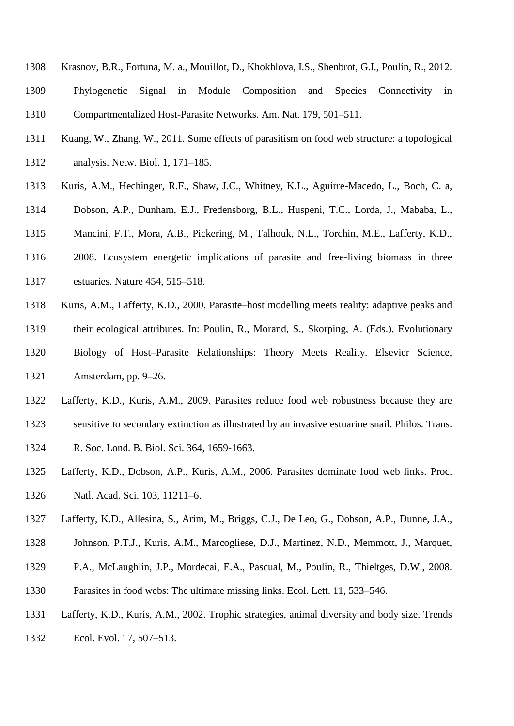- Krasnov, B.R., Fortuna, M. a., Mouillot, D., Khokhlova, I.S., Shenbrot, G.I., Poulin, R., 2012.
- Phylogenetic Signal in Module Composition and Species Connectivity in Compartmentalized Host-Parasite Networks. Am. Nat. 179, 501–511.
- Kuang, W., Zhang, W., 2011. Some effects of parasitism on food web structure: a topological analysis. Netw. Biol. 1, 171–185.
- Kuris, A.M., Hechinger, R.F., Shaw, J.C., Whitney, K.L., Aguirre-Macedo, L., Boch, C. a,
- Dobson, A.P., Dunham, E.J., Fredensborg, B.L., Huspeni, T.C., Lorda, J., Mababa, L.,
- Mancini, F.T., Mora, A.B., Pickering, M., Talhouk, N.L., Torchin, M.E., Lafferty, K.D.,
- 2008. Ecosystem energetic implications of parasite and free-living biomass in three estuaries. Nature 454, 515–518.
- Kuris, A.M., Lafferty, K.D., 2000. Parasite–host modelling meets reality: adaptive peaks and their ecological attributes. In: Poulin, R., Morand, S., Skorping, A. (Eds.), Evolutionary Biology of Host–Parasite Relationships: Theory Meets Reality. Elsevier Science, Amsterdam, pp. 9–26.
- Lafferty, K.D., Kuris, A.M., 2009. Parasites reduce food web robustness because they are
- sensitive to secondary extinction as illustrated by an invasive estuarine snail. Philos. Trans.
- R. Soc. Lond. B. Biol. Sci. 364, 1659-1663.
- Lafferty, K.D., Dobson, A.P., Kuris, A.M., 2006. Parasites dominate food web links. Proc. Natl. Acad. Sci. 103, 11211–6.
- Lafferty, K.D., Allesina, S., Arim, M., Briggs, C.J., De Leo, G., Dobson, A.P., Dunne, J.A.,
- Johnson, P.T.J., Kuris, A.M., Marcogliese, D.J., Martinez, N.D., Memmott, J., Marquet,
- P.A., McLaughlin, J.P., Mordecai, E.A., Pascual, M., Poulin, R., Thieltges, D.W., 2008.
- Parasites in food webs: The ultimate missing links. Ecol. Lett. 11, 533–546.
- Lafferty, K.D., Kuris, A.M., 2002. Trophic strategies, animal diversity and body size. Trends
- Ecol. Evol. 17, 507–513.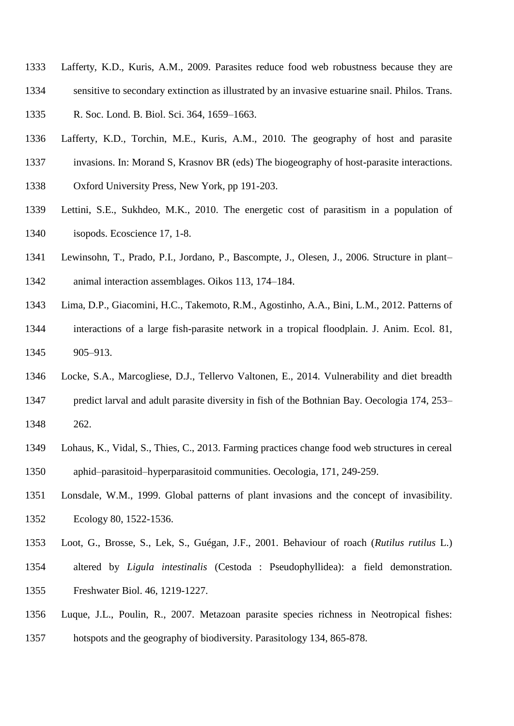- Lafferty, K.D., Kuris, A.M., 2009. Parasites reduce food web robustness because they are sensitive to secondary extinction as illustrated by an invasive estuarine snail. Philos. Trans.
- R. Soc. Lond. B. Biol. Sci. 364, 1659–1663.
- Lafferty, K.D., Torchin, M.E., Kuris, A.M., 2010. The geography of host and parasite
- invasions. In: Morand S, Krasnov BR (eds) The biogeography of host-parasite interactions.
- Oxford University Press, New York, pp 191-203.
- Lettini, S.E., Sukhdeo, M.K., 2010. The energetic cost of parasitism in a population of isopods. Ecoscience 17, 1-8.
- Lewinsohn, T., Prado, P.I., Jordano, P., Bascompte, J., Olesen, J., 2006. Structure in plant– animal interaction assemblages. Oikos 113, 174–184.
- Lima, D.P., Giacomini, H.C., Takemoto, R.M., Agostinho, A.A., Bini, L.M., 2012. Patterns of
- interactions of a large fish-parasite network in a tropical floodplain. J. Anim. Ecol. 81, 905–913.
- Locke, S.A., Marcogliese, D.J., Tellervo Valtonen, E., 2014. Vulnerability and diet breadth predict larval and adult parasite diversity in fish of the Bothnian Bay. Oecologia 174, 253– 262.
- Lohaus, K., Vidal, S., Thies, C., 2013. Farming practices change food web structures in cereal aphid–parasitoid–hyperparasitoid communities. Oecologia, 171, 249-259.
- Lonsdale, W.M., 1999. Global patterns of plant invasions and the concept of invasibility. Ecology 80, 1522-1536.
- Loot, G., Brosse, S., Lek, S., Guégan, J.F., 2001. Behaviour of roach (*Rutilus rutilus* L.)
- altered by *Ligula intestinalis* (Cestoda : Pseudophyllidea): a field demonstration. Freshwater Biol. 46, 1219-1227.
- Luque, J.L., Poulin, R., 2007. Metazoan parasite species richness in Neotropical fishes:
- hotspots and the geography of biodiversity. Parasitology 134, 865-878.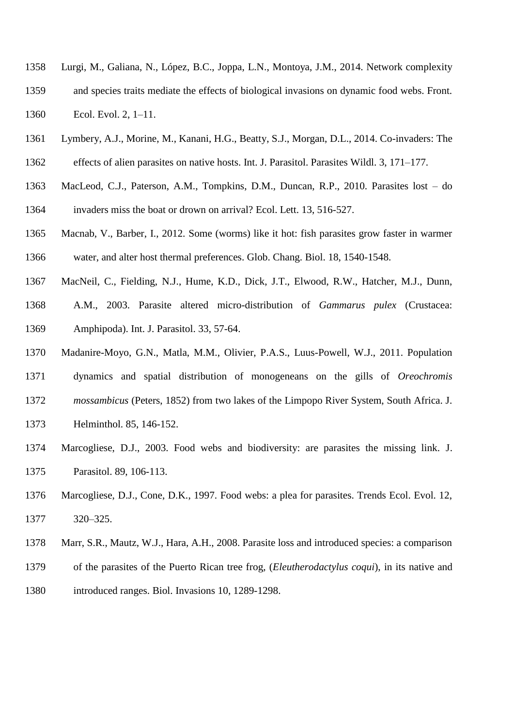- Lurgi, M., Galiana, N., López, B.C., Joppa, L.N., Montoya, J.M., 2014. Network complexity and species traits mediate the effects of biological invasions on dynamic food webs. Front. Ecol. Evol. 2, 1–11.
- Lymbery, A.J., Morine, M., Kanani, H.G., Beatty, S.J., Morgan, D.L., 2014. Co-invaders: The
- effects of alien parasites on native hosts. Int. J. Parasitol. Parasites Wildl. 3, 171–177.
- MacLeod, C.J., Paterson, A.M., Tompkins, D.M., Duncan, R.P., 2010. Parasites lost do invaders miss the boat or drown on arrival? Ecol. Lett. 13, 516-527.
- Macnab, V., Barber, I., 2012. Some (worms) like it hot: fish parasites grow faster in warmer water, and alter host thermal preferences. Glob. Chang. Biol. 18, 1540-1548.
- MacNeil, C., Fielding, N.J., Hume, K.D., Dick, J.T., Elwood, R.W., Hatcher, M.J., Dunn,
- A.M., 2003. Parasite altered micro-distribution of *Gammarus pulex* (Crustacea: Amphipoda). Int. J. Parasitol. 33, 57-64.
- Madanire-Moyo, G.N., Matla, M.M., Olivier, P.A.S., Luus-Powell, W.J., 2011. Population
- dynamics and spatial distribution of monogeneans on the gills of *Oreochromis*
- *mossambicus* (Peters, 1852) from two lakes of the Limpopo River System, South Africa. J.
- Helminthol. 85, 146-152.
- Marcogliese, D.J., 2003. Food webs and biodiversity: are parasites the missing link. J. Parasitol. 89, 106-113.
- Marcogliese, D.J., Cone, D.K., 1997. Food webs: a plea for parasites. Trends Ecol. Evol. 12, 320–325.
- Marr, S.R., Mautz, W.J., Hara, A.H., 2008. Parasite loss and introduced species: a comparison
- of the parasites of the Puerto Rican tree frog, (*Eleutherodactylus coqui*), in its native and
- introduced ranges. Biol. Invasions 10, 1289-1298.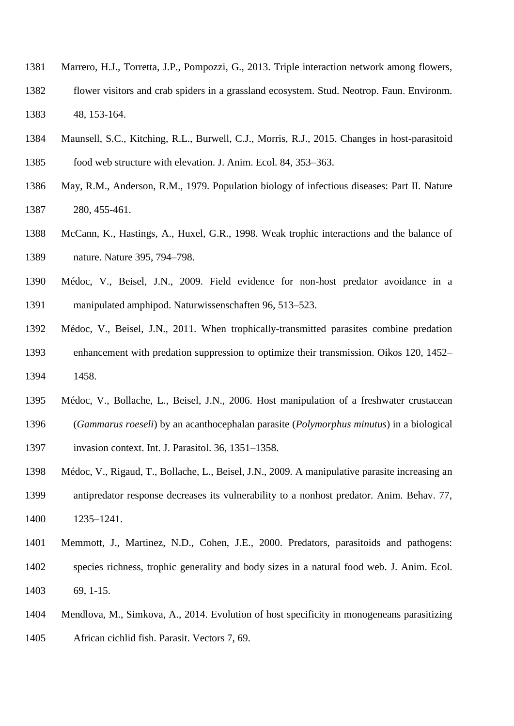- Marrero, H.J., Torretta, J.P., Pompozzi, G., 2013. Triple interaction network among flowers, flower visitors and crab spiders in a grassland ecosystem. Stud. Neotrop. Faun. Environm. 48, 153-164.
- Maunsell, S.C., Kitching, R.L., Burwell, C.J., Morris, R.J., 2015. Changes in host-parasitoid food web structure with elevation. J. Anim. Ecol. 84, 353–363.
- May, R.M., Anderson, R.M., 1979. Population biology of infectious diseases: Part II. Nature 280, 455-461.
- McCann, K., Hastings, A., Huxel, G.R., 1998. Weak trophic interactions and the balance of nature. Nature 395, 794–798.
- Médoc, V., Beisel, J.N., 2009. Field evidence for non-host predator avoidance in a manipulated amphipod. Naturwissenschaften 96, 513–523.
- Médoc, V., Beisel, J.N., 2011. When trophically-transmitted parasites combine predation enhancement with predation suppression to optimize their transmission. Oikos 120, 1452– 1458.
- Médoc, V., Bollache, L., Beisel, J.N., 2006. Host manipulation of a freshwater crustacean
- (*Gammarus roeseli*) by an acanthocephalan parasite (*Polymorphus minutus*) in a biological
- invasion context. Int. J. Parasitol. 36, 1351–1358.
- Médoc, V., Rigaud, T., Bollache, L., Beisel, J.N., 2009. A manipulative parasite increasing an antipredator response decreases its vulnerability to a nonhost predator. Anim. Behav. 77, 1235–1241.
- Memmott, J., Martinez, N.D., Cohen, J.E., 2000. Predators, parasitoids and pathogens: species richness, trophic generality and body sizes in a natural food web. J. Anim. Ecol. 69, 1-15.
- Mendlova, M., Simkova, A., 2014. Evolution of host specificity in monogeneans parasitizing African cichlid fish. Parasit. Vectors 7, 69.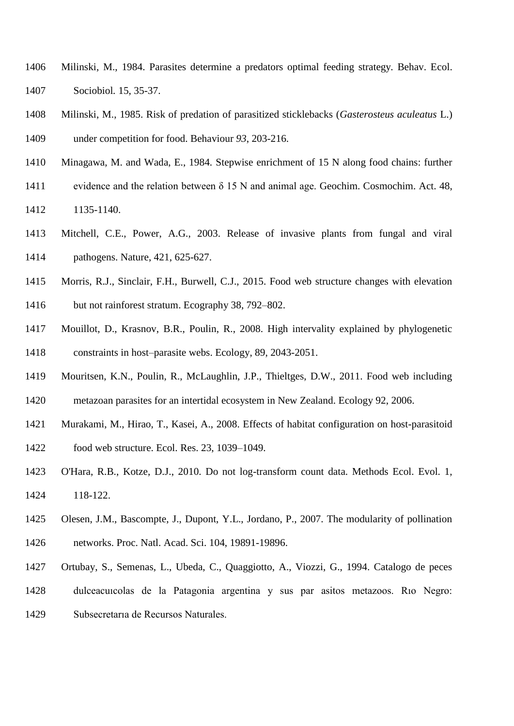- Milinski, M., 1984. Parasites determine a predators optimal feeding strategy. Behav. Ecol. Sociobiol*.* 15, 35-37.
- Milinski, M., 1985. Risk of predation of parasitized sticklebacks (*Gasterosteus aculeatus* L.) under competition for food. Behaviour *93*, 203-216.
- Minagawa, M. and Wada, E., 1984. Stepwise enrichment of 15 N along food chains: further
- evidence and the relation between δ 15 N and animal age. Geochim. Cosmochim. Act. 48, 1135-1140.
- Mitchell, C.E., Power, A.G., 2003. Release of invasive plants from fungal and viral pathogens. Nature, 421, 625-627.
- Morris, R.J., Sinclair, F.H., Burwell, C.J., 2015. Food web structure changes with elevation
- but not rainforest stratum. Ecography 38, 792–802.
- Mouillot, D., Krasnov, B.R., Poulin, R., 2008. High intervality explained by phylogenetic constraints in host–parasite webs. Ecology, 89, 2043-2051.
- Mouritsen, K.N., Poulin, R., McLaughlin, J.P., Thieltges, D.W., 2011. Food web including metazoan parasites for an intertidal ecosystem in New Zealand. Ecology 92, 2006.
- Murakami, M., Hirao, T., Kasei, A., 2008. Effects of habitat configuration on host-parasitoid food web structure. Ecol. Res. 23, 1039–1049.
- O'Hara, R.B., Kotze, D.J., 2010. Do not log-transform count data. Methods Ecol. Evol. 1, 118-122.
- Olesen, J.M., Bascompte, J., Dupont, Y.L., Jordano, P., 2007. The modularity of pollination networks. Proc. Natl. Acad. Sci. 104, 19891-19896.
- Ortubay, S., Semenas, L., Ubeda, C., Quaggiotto, A., Viozzi, G., 1994. Catalogo de peces
- dulceacuıcolas de la Patagonia argentina y sus par asitos metazoos. Rıo Negro: Subsecretarıa de Recursos Naturales.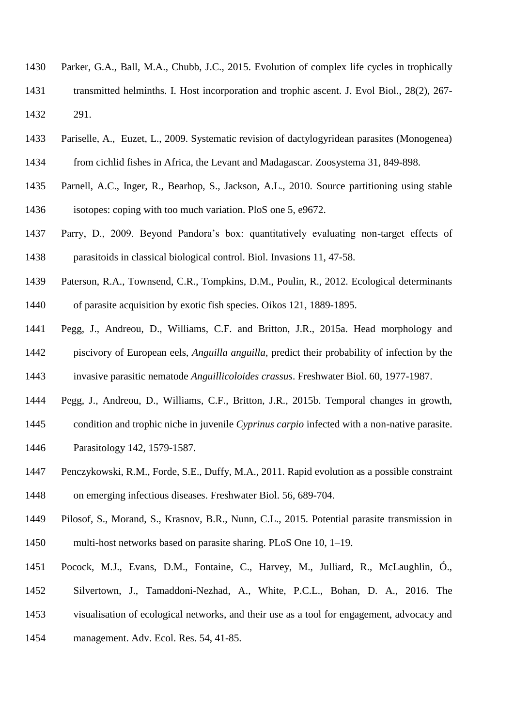- Parker, G.A., Ball, M.A., Chubb, J.C., 2015. Evolution of complex life cycles in trophically transmitted helminths. I. Host incorporation and trophic ascent. J. Evol Biol., 28(2), 267- 291.
- Pariselle, A., Euzet, L., 2009. Systematic revision of dactylogyridean parasites (Monogenea) from cichlid fishes in Africa, the Levant and Madagascar. Zoosystema 31, 849-898.
- Parnell, A.C., Inger, R., Bearhop, S., Jackson, A.L., 2010. Source partitioning using stable isotopes: coping with too much variation. PloS one 5, e9672.
- Parry, D., 2009. Beyond Pandora's box: quantitatively evaluating non-target effects of parasitoids in classical biological control. Biol. Invasions 11, 47-58.
- Paterson, R.A., Townsend, C.R., Tompkins, D.M., Poulin, R., 2012. Ecological determinants of parasite acquisition by exotic fish species. Oikos 121, 1889-1895.
- Pegg, J., Andreou, D., Williams, C.F. and Britton, J.R., 2015a. Head morphology and piscivory of European eels, *Anguilla anguilla*, predict their probability of infection by the
- invasive parasitic nematode *Anguillicoloides crassus*. Freshwater Biol. 60, 1977-1987.
- Pegg, J., Andreou, D., Williams, C.F., Britton, J.R., 2015b. Temporal changes in growth,
- condition and trophic niche in juvenile *Cyprinus carpio* infected with a non-native parasite.
- Parasitology 142, 1579-1587.
- Penczykowski, R.M., Forde, S.E., Duffy, M.A., 2011. Rapid evolution as a possible constraint on emerging infectious diseases. Freshwater Biol. 56, 689-704.
- Pilosof, S., Morand, S., Krasnov, B.R., Nunn, C.L., 2015. Potential parasite transmission in multi-host networks based on parasite sharing. PLoS One 10, 1–19.
- Pocock, M.J., Evans, D.M., Fontaine, C., Harvey, M., Julliard, R., McLaughlin, Ó.,
- Silvertown, J., Tamaddoni-Nezhad, A., White, P.C.L., Bohan, D. A., 2016. The
- visualisation of ecological networks, and their use as a tool for engagement, advocacy and
- management. Adv. Ecol. Res. 54, 41-85.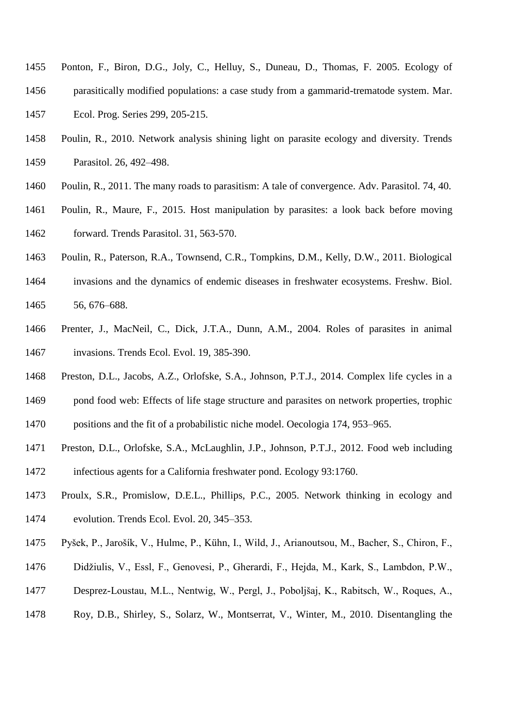- Ponton, F., Biron, D.G., Joly, C., Helluy, S., Duneau, D., Thomas, F. 2005. Ecology of parasitically modified populations: a case study from a gammarid-trematode system. Mar. Ecol. Prog. Series 299, 205-215.
- Poulin, R., 2010. Network analysis shining light on parasite ecology and diversity. Trends Parasitol. 26, 492–498.
- Poulin, R., 2011. The many roads to parasitism: A tale of convergence. Adv. Parasitol. 74, 40.
- Poulin, R., Maure, F., 2015. Host manipulation by parasites: a look back before moving forward. Trends Parasitol. 31, 563-570.
- Poulin, R., Paterson, R.A., Townsend, C.R., Tompkins, D.M., Kelly, D.W., 2011. Biological
- invasions and the dynamics of endemic diseases in freshwater ecosystems. Freshw. Biol. 56, 676–688.
- Prenter, J., MacNeil, C., Dick, J.T.A., Dunn, A.M., 2004. Roles of parasites in animal invasions. Trends Ecol. Evol. 19, 385-390.
- Preston, D.L., Jacobs, A.Z., Orlofske, S.A., Johnson, P.T.J., 2014. Complex life cycles in a pond food web: Effects of life stage structure and parasites on network properties, trophic positions and the fit of a probabilistic niche model. Oecologia 174, 953–965.
- Preston, D.L., Orlofske, S.A., McLaughlin, J.P., Johnson, P.T.J., 2012. Food web including infectious agents for a California freshwater pond. Ecology 93:1760.
- Proulx, S.R., Promislow, D.E.L., Phillips, P.C., 2005. Network thinking in ecology and evolution. Trends Ecol. Evol. 20, 345–353.
- Pyšek, P., Jarošík, V., Hulme, P., Kühn, I., Wild, J., Arianoutsou, M., Bacher, S., Chiron, F.,
- Didžiulis, V., Essl, F., Genovesi, P., Gherardi, F., Hejda, M., Kark, S., Lambdon, P.W.,
- Desprez-Loustau, M.L., Nentwig, W., Pergl, J., Poboljšaj, K., Rabitsch, W., Roques, A.,
- Roy, D.B., Shirley, S., Solarz, W., Montserrat, V., Winter, M., 2010. Disentangling the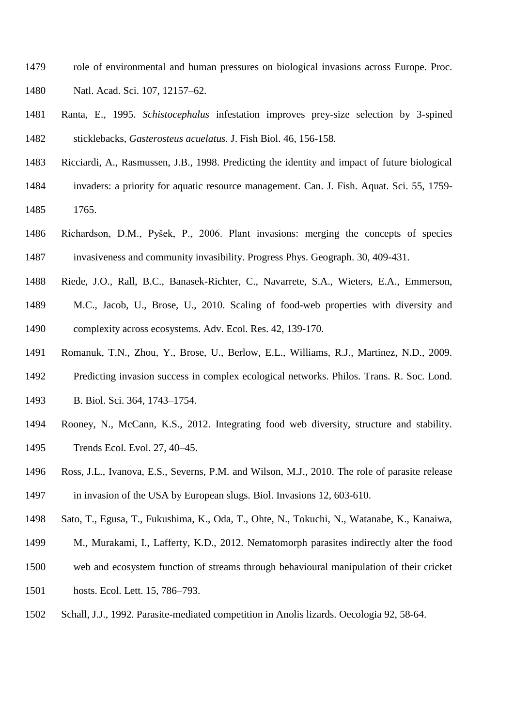role of environmental and human pressures on biological invasions across Europe. Proc.

Natl. Acad. Sci. 107, 12157–62.

- Ranta, E., 1995. *Schistocephalus* infestation improves prey-size selection by 3-spined sticklebacks, *Gasterosteus acuelatus.* J. Fish Biol. 46, 156-158.
- Ricciardi, A., Rasmussen, J.B., 1998. Predicting the identity and impact of future biological
- invaders: a priority for aquatic resource management. Can. J. Fish. Aquat. Sci. 55, 1759- 1765.
- Richardson, D.M., Pyšek, P., 2006. Plant invasions: merging the concepts of species invasiveness and community invasibility. Progress Phys. Geograph. 30, 409-431.
- Riede, J.O., Rall, B.C., Banasek-Richter, C., Navarrete, S.A., Wieters, E.A., Emmerson,
- M.C., Jacob, U., Brose, U., 2010. Scaling of food-web properties with diversity and complexity across ecosystems. Adv. Ecol. Res. 42, 139-170.
- Romanuk, T.N., Zhou, Y., Brose, U., Berlow, E.L., Williams, R.J., Martinez, N.D., 2009.
- Predicting invasion success in complex ecological networks. Philos. Trans. R. Soc. Lond. B. Biol. Sci. 364, 1743–1754.
- Rooney, N., McCann, K.S., 2012. Integrating food web diversity, structure and stability. Trends Ecol. Evol. 27, 40–45.
- Ross, J.L., Ivanova, E.S., Severns, P.M. and Wilson, M.J., 2010. The role of parasite release in invasion of the USA by European slugs. Biol. Invasions 12, 603-610.
- Sato, T., Egusa, T., Fukushima, K., Oda, T., Ohte, N., Tokuchi, N., Watanabe, K., Kanaiwa,
- M., Murakami, I., Lafferty, K.D., 2012. Nematomorph parasites indirectly alter the food
- web and ecosystem function of streams through behavioural manipulation of their cricket
- hosts. Ecol. Lett. 15, 786–793.
- Schall, J.J., 1992. Parasite-mediated competition in Anolis lizards. Oecologia 92, 58-64.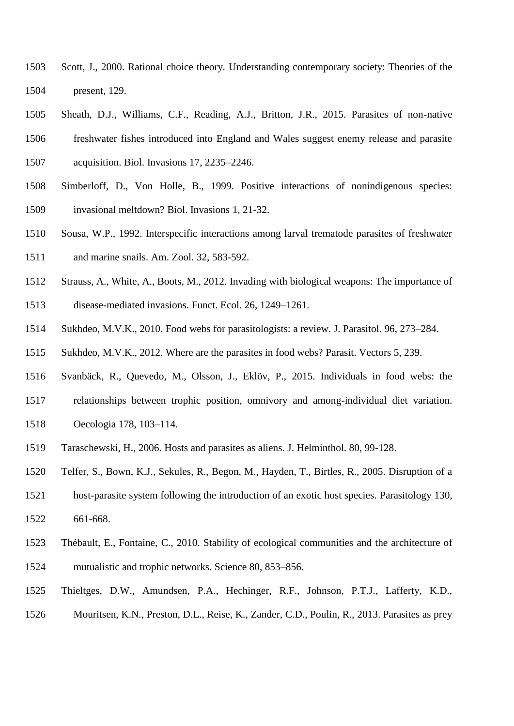- Scott, J., 2000. Rational choice theory. Understanding contemporary society: Theories of the present, 129.
- Sheath, D.J., Williams, C.F., Reading, A.J., Britton, J.R., 2015. Parasites of non-native freshwater fishes introduced into England and Wales suggest enemy release and parasite acquisition. Biol. Invasions 17, 2235–2246.
- Simberloff, D., Von Holle, B., 1999. Positive interactions of nonindigenous species: invasional meltdown? Biol. Invasions 1, 21-32.
- Sousa, W.P., 1992. Interspecific interactions among larval trematode parasites of freshwater and marine snails. Am. Zool. 32, 583-592.
- Strauss, A., White, A., Boots, M., 2012. Invading with biological weapons: The importance of disease-mediated invasions. Funct. Ecol. 26, 1249–1261.
- Sukhdeo, M.V.K., 2010. Food webs for parasitologists: a review. J. Parasitol. 96, 273–284.
- Sukhdeo, M.V.K., 2012. Where are the parasites in food webs? Parasit. Vectors 5, 239.
- Svanbäck, R., Quevedo, M., Olsson, J., Eklöv, P., 2015. Individuals in food webs: the
- relationships between trophic position, omnivory and among-individual diet variation.
- Oecologia 178, 103–114.
- Taraschewski, H., 2006. Hosts and parasites as aliens. J. Helminthol. 80, 99-128.
- Telfer, S., Bown, K.J., Sekules, R., Begon, M., Hayden, T., Birtles, R., 2005. Disruption of a
- host-parasite system following the introduction of an exotic host species. Parasitology 130, 661-668.
- Thébault, E., Fontaine, C., 2010. Stability of ecological communities and the architecture of mutualistic and trophic networks. Science 80, 853–856.
- Thieltges, D.W., Amundsen, P.A., Hechinger, R.F., Johnson, P.T.J., Lafferty, K.D.,
- Mouritsen, K.N., Preston, D.L., Reise, K., Zander, C.D., Poulin, R., 2013. Parasites as prey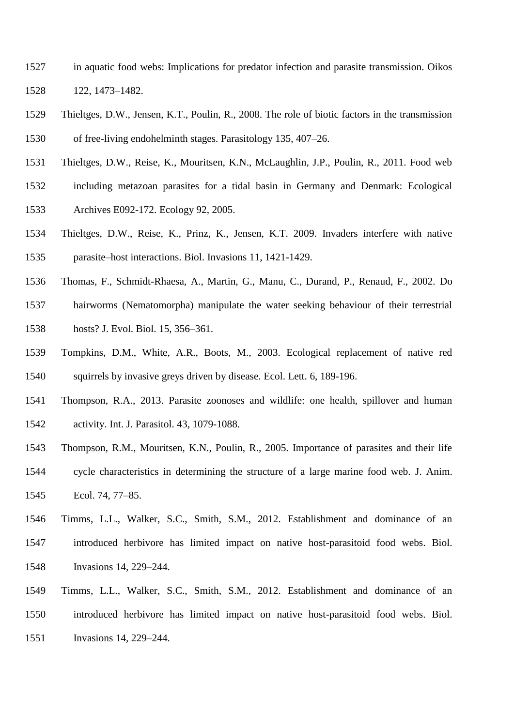- in aquatic food webs: Implications for predator infection and parasite transmission. Oikos 122, 1473–1482.
- Thieltges, D.W., Jensen, K.T., Poulin, R., 2008. The role of biotic factors in the transmission of free-living endohelminth stages. Parasitology 135, 407–26.
- Thieltges, D.W., Reise, K., Mouritsen, K.N., McLaughlin, J.P., Poulin, R., 2011. Food web
- including metazoan parasites for a tidal basin in Germany and Denmark: Ecological Archives E092-172. Ecology 92, 2005.
- Thieltges, D.W., Reise, K., Prinz, K., Jensen, K.T. 2009. Invaders interfere with native parasite–host interactions. Biol. Invasions 11, 1421-1429.
- Thomas, F., Schmidt-Rhaesa, A., Martin, G., Manu, C., Durand, P., Renaud, F., 2002. Do
- hairworms (Nematomorpha) manipulate the water seeking behaviour of their terrestrial hosts? J. Evol. Biol. 15, 356–361.
- Tompkins, D.M., White, A.R., Boots, M., 2003. Ecological replacement of native red squirrels by invasive greys driven by disease. Ecol. Lett. 6, 189-196.
- Thompson, R.A., 2013. Parasite zoonoses and wildlife: one health, spillover and human activity. Int. J. Parasitol. 43, 1079-1088.
- Thompson, R.M., Mouritsen, K.N., Poulin, R., 2005. Importance of parasites and their life
- cycle characteristics in determining the structure of a large marine food web. J. Anim. Ecol. 74, 77–85.
- Timms, L.L., Walker, S.C., Smith, S.M., 2012. Establishment and dominance of an introduced herbivore has limited impact on native host-parasitoid food webs. Biol. Invasions 14, 229–244.
- Timms, L.L., Walker, S.C., Smith, S.M., 2012. Establishment and dominance of an introduced herbivore has limited impact on native host-parasitoid food webs. Biol. Invasions 14, 229–244.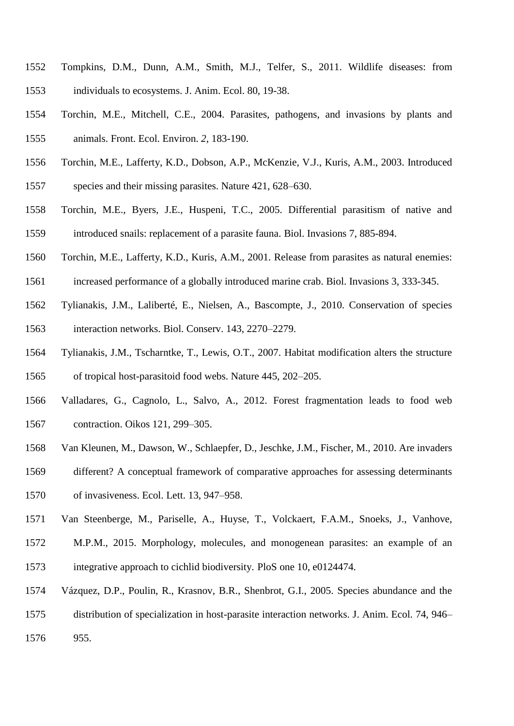- Tompkins, D.M., Dunn, A.M., Smith, M.J., Telfer, S., 2011. Wildlife diseases: from individuals to ecosystems. J. Anim. Ecol. 80, 19-38.
- Torchin, M.E., Mitchell, C.E., 2004. Parasites, pathogens, and invasions by plants and animals. Front. Ecol. Environ. *2*, 183-190.
- Torchin, M.E., Lafferty, K.D., Dobson, A.P., McKenzie, V.J., Kuris, A.M., 2003. Introduced
- species and their missing parasites. Nature 421, 628–630.
- Torchin, M.E., Byers, J.E., Huspeni, T.C., 2005. Differential parasitism of native and introduced snails: replacement of a parasite fauna. Biol. Invasions 7, 885-894.
- Torchin, M.E., Lafferty, K.D., Kuris, A.M., 2001. Release from parasites as natural enemies:
- increased performance of a globally introduced marine crab. Biol. Invasions 3, 333-345.
- Tylianakis, J.M., Laliberté, E., Nielsen, A., Bascompte, J., 2010. Conservation of species interaction networks. Biol. Conserv. 143, 2270–2279.
- Tylianakis, J.M., Tscharntke, T., Lewis, O.T., 2007. Habitat modification alters the structure of tropical host-parasitoid food webs. Nature 445, 202–205.
- Valladares, G., Cagnolo, L., Salvo, A., 2012. Forest fragmentation leads to food web contraction. Oikos 121, 299–305.
- Van Kleunen, M., Dawson, W., Schlaepfer, D., Jeschke, J.M., Fischer, M., 2010. Are invaders
- different? A conceptual framework of comparative approaches for assessing determinants of invasiveness. Ecol. Lett. 13, 947–958.
- Van Steenberge, M., Pariselle, A., Huyse, T., Volckaert, F.A.M., Snoeks, J., Vanhove,
- M.P.M., 2015. Morphology, molecules, and monogenean parasites: an example of an integrative approach to cichlid biodiversity. PloS one 10, e0124474.
- Vázquez, D.P., Poulin, R., Krasnov, B.R., Shenbrot, G.I., 2005. Species abundance and the distribution of specialization in host-parasite interaction networks. J. Anim. Ecol. 74, 946– 955.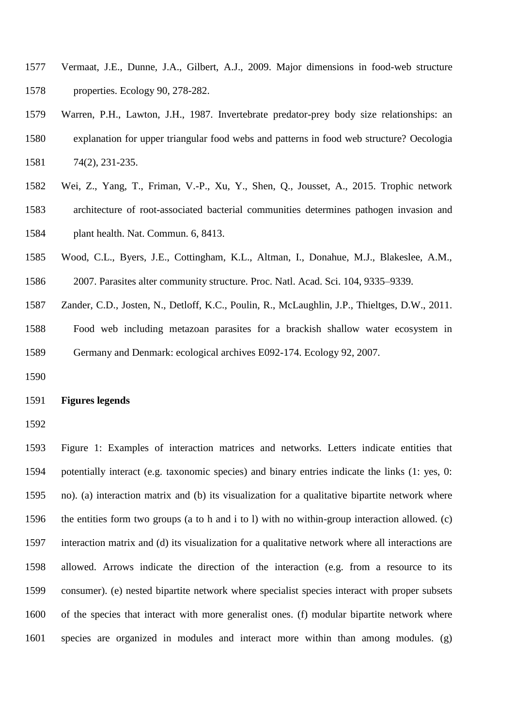- Vermaat, J.E., Dunne, J.A., Gilbert, A.J., 2009. Major dimensions in food-web structure properties. Ecology 90, 278-282.
- Warren, P.H., Lawton, J.H., 1987. Invertebrate predator-prey body size relationships: an explanation for upper triangular food webs and patterns in food web structure? Oecologia 74(2), 231-235.
- Wei, Z., Yang, T., Friman, V.-P., Xu, Y., Shen, Q., Jousset, A., 2015. Trophic network architecture of root-associated bacterial communities determines pathogen invasion and plant health. Nat. Commun. 6, 8413.
- Wood, C.L., Byers, J.E., Cottingham, K.L., Altman, I., Donahue, M.J., Blakeslee, A.M., 2007. Parasites alter community structure. Proc. Natl. Acad. Sci. 104, 9335–9339.
- Zander, C.D., Josten, N., Detloff, K.C., Poulin, R., McLaughlin, J.P., Thieltges, D.W., 2011.
- Food web including metazoan parasites for a brackish shallow water ecosystem in Germany and Denmark: ecological archives E092-174. Ecology 92, 2007.
- 

#### **Figures legends**

 Figure 1: Examples of interaction matrices and networks. Letters indicate entities that potentially interact (e.g. taxonomic species) and binary entries indicate the links (1: yes, 0: no). (a) interaction matrix and (b) its visualization for a qualitative bipartite network where the entities form two groups (a to h and i to l) with no within-group interaction allowed. (c) interaction matrix and (d) its visualization for a qualitative network where all interactions are allowed. Arrows indicate the direction of the interaction (e.g. from a resource to its consumer). (e) nested bipartite network where specialist species interact with proper subsets of the species that interact with more generalist ones. (f) modular bipartite network where species are organized in modules and interact more within than among modules. (g)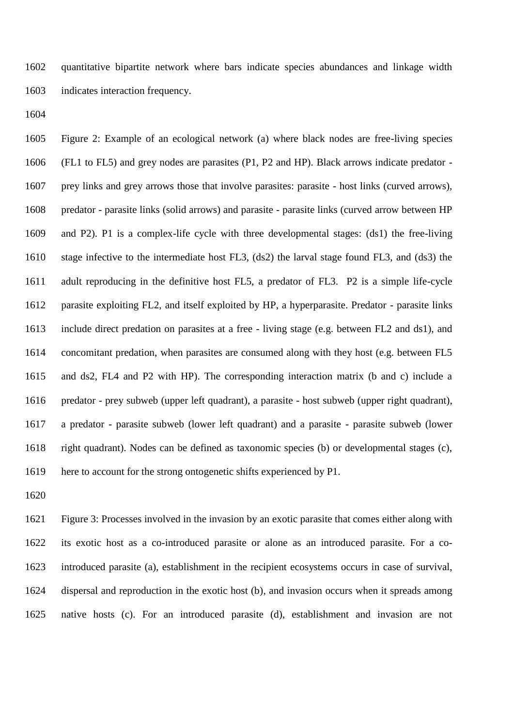quantitative bipartite network where bars indicate species abundances and linkage width indicates interaction frequency.

 Figure 2: Example of an ecological network (a) where black nodes are free-living species (FL1 to FL5) and grey nodes are parasites (P1, P2 and HP). Black arrows indicate predator - prey links and grey arrows those that involve parasites: parasite - host links (curved arrows), predator - parasite links (solid arrows) and parasite - parasite links (curved arrow between HP and P2). P1 is a complex-life cycle with three developmental stages: (ds1) the free-living stage infective to the intermediate host FL3, (ds2) the larval stage found FL3, and (ds3) the adult reproducing in the definitive host FL5, a predator of FL3. P2 is a simple life-cycle parasite exploiting FL2, and itself exploited by HP, a hyperparasite. Predator - parasite links include direct predation on parasites at a free - living stage (e.g. between FL2 and ds1), and concomitant predation, when parasites are consumed along with they host (e.g. between FL5 and ds2, FL4 and P2 with HP). The corresponding interaction matrix (b and c) include a predator - prey subweb (upper left quadrant), a parasite - host subweb (upper right quadrant), a predator - parasite subweb (lower left quadrant) and a parasite - parasite subweb (lower right quadrant). Nodes can be defined as taxonomic species (b) or developmental stages (c), here to account for the strong ontogenetic shifts experienced by P1.

 Figure 3: Processes involved in the invasion by an exotic parasite that comes either along with its exotic host as a co-introduced parasite or alone as an introduced parasite. For a co- introduced parasite (a), establishment in the recipient ecosystems occurs in case of survival, dispersal and reproduction in the exotic host (b), and invasion occurs when it spreads among native hosts (c). For an introduced parasite (d), establishment and invasion are not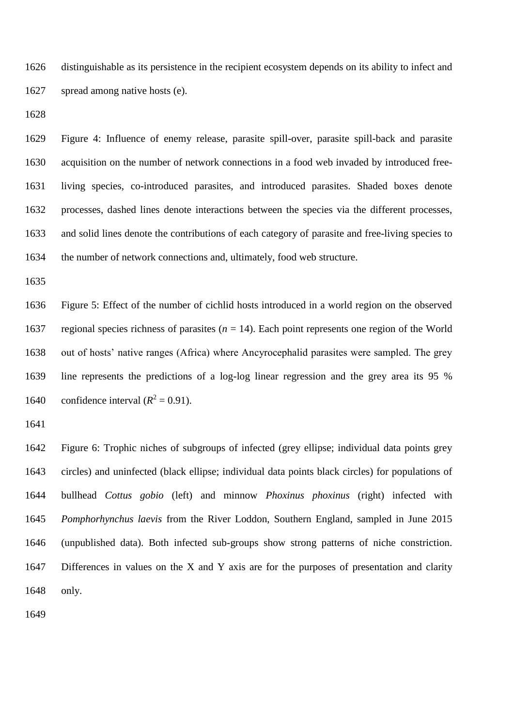distinguishable as its persistence in the recipient ecosystem depends on its ability to infect and spread among native hosts (e).

 Figure 4: Influence of enemy release, parasite spill-over, parasite spill-back and parasite acquisition on the number of network connections in a food web invaded by introduced free- living species, co-introduced parasites, and introduced parasites. Shaded boxes denote processes, dashed lines denote interactions between the species via the different processes, and solid lines denote the contributions of each category of parasite and free-living species to the number of network connections and, ultimately, food web structure.

 Figure 5: Effect of the number of cichlid hosts introduced in a world region on the observed regional species richness of parasites (*n* = 14). Each point represents one region of the World out of hosts' native ranges (Africa) where Ancyrocephalid parasites were sampled. The grey line represents the predictions of a log-log linear regression and the grey area its 95 % 1640 confidence interval  $(R^2 = 0.91)$ .

 Figure 6: Trophic niches of subgroups of infected (grey ellipse; individual data points grey circles) and uninfected (black ellipse; individual data points black circles) for populations of bullhead *Cottus gobio* (left) and minnow *Phoxinus phoxinus* (right) infected with *Pomphorhynchus laevis* from the River Loddon, Southern England, sampled in June 2015 (unpublished data). Both infected sub-groups show strong patterns of niche constriction. Differences in values on the X and Y axis are for the purposes of presentation and clarity only.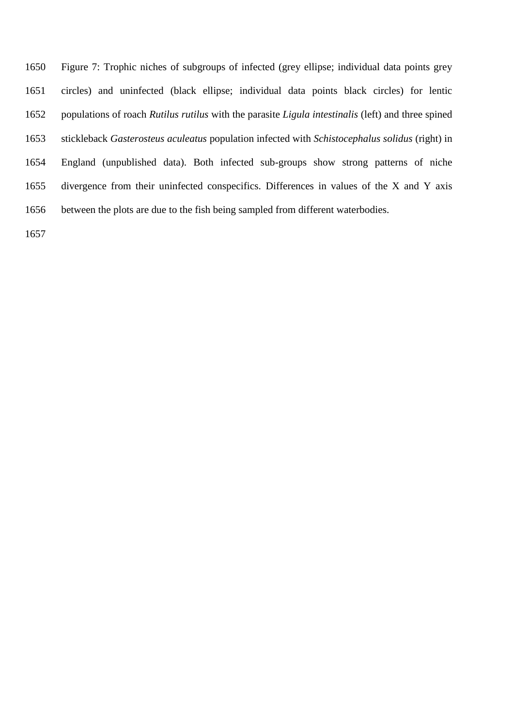Figure 7: Trophic niches of subgroups of infected (grey ellipse; individual data points grey circles) and uninfected (black ellipse; individual data points black circles) for lentic populations of roach *Rutilus rutilus* with the parasite *Ligula intestinalis* (left) and three spined stickleback *Gasterosteus aculeatus* population infected with *Schistocephalus solidus* (right) in England (unpublished data). Both infected sub-groups show strong patterns of niche divergence from their uninfected conspecifics. Differences in values of the X and Y axis between the plots are due to the fish being sampled from different waterbodies.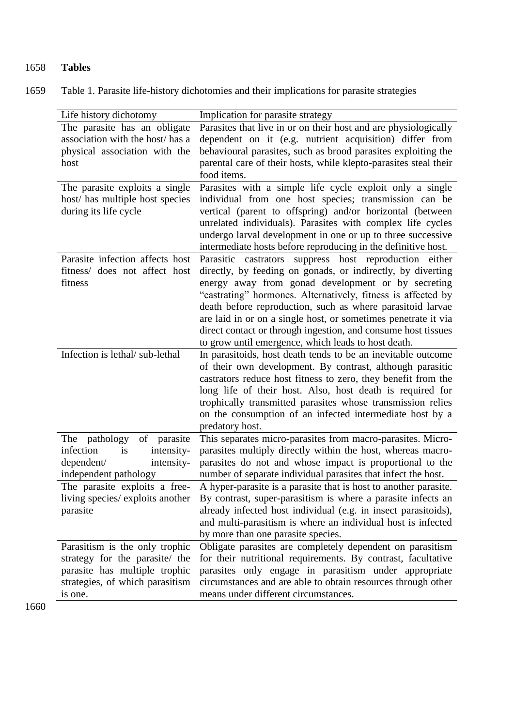# 1658 **Tables**

| 1659 | Table 1. Parasite life-history dichotomies and their implications for parasite strategies |  |  |  |
|------|-------------------------------------------------------------------------------------------|--|--|--|
|      |                                                                                           |  |  |  |

| Life history dichotomy                                 | Implication for parasite strategy                                                                                         |  |  |
|--------------------------------------------------------|---------------------------------------------------------------------------------------------------------------------------|--|--|
| The parasite has an obligate                           | Parasites that live in or on their host and are physiologically                                                           |  |  |
| association with the host/has a                        | dependent on it (e.g. nutrient acquisition) differ from                                                                   |  |  |
| physical association with the                          | behavioural parasites, such as brood parasites exploiting the                                                             |  |  |
| host                                                   | parental care of their hosts, while klepto-parasites steal their                                                          |  |  |
|                                                        | food items.                                                                                                               |  |  |
| The parasite exploits a single                         | Parasites with a simple life cycle exploit only a single                                                                  |  |  |
| host/ has multiple host species                        | individual from one host species; transmission can be                                                                     |  |  |
| during its life cycle                                  | vertical (parent to offspring) and/or horizontal (between                                                                 |  |  |
|                                                        | unrelated individuals). Parasites with complex life cycles                                                                |  |  |
|                                                        | undergo larval development in one or up to three successive                                                               |  |  |
|                                                        | intermediate hosts before reproducing in the definitive host.                                                             |  |  |
| Parasite infection affects host                        | castrators suppress host reproduction either<br>Parasitic                                                                 |  |  |
| fitness/ does not affect host                          | directly, by feeding on gonads, or indirectly, by diverting                                                               |  |  |
| fitness                                                | energy away from gonad development or by secreting                                                                        |  |  |
|                                                        | "castrating" hormones. Alternatively, fitness is affected by                                                              |  |  |
|                                                        | death before reproduction, such as where parasitoid larvae                                                                |  |  |
|                                                        | are laid in or on a single host, or sometimes penetrate it via                                                            |  |  |
|                                                        | direct contact or through ingestion, and consume host tissues                                                             |  |  |
|                                                        | to grow until emergence, which leads to host death.                                                                       |  |  |
| Infection is lethal/sub-lethal                         | In parasitoids, host death tends to be an inevitable outcome                                                              |  |  |
|                                                        | of their own development. By contrast, although parasitic                                                                 |  |  |
|                                                        | castrators reduce host fitness to zero, they benefit from the                                                             |  |  |
|                                                        | long life of their host. Also, host death is required for                                                                 |  |  |
|                                                        | trophically transmitted parasites whose transmission relies                                                               |  |  |
|                                                        | on the consumption of an infected intermediate host by a                                                                  |  |  |
|                                                        | predatory host.                                                                                                           |  |  |
| The pathology<br>of<br>parasite                        | This separates micro-parasites from macro-parasites. Micro-                                                               |  |  |
| infection<br>intensity-<br>is<br>dependent/            | parasites multiply directly within the host, whereas macro-                                                               |  |  |
| intensity-                                             | parasites do not and whose impact is proportional to the<br>number of separate individual parasites that infect the host. |  |  |
| independent pathology<br>The parasite exploits a free- | A hyper-parasite is a parasite that is host to another parasite.                                                          |  |  |
| living species/ exploits another                       | By contrast, super-parasitism is where a parasite infects an                                                              |  |  |
| parasite                                               | already infected host individual (e.g. in insect parasitoids),                                                            |  |  |
|                                                        | and multi-parasitism is where an individual host is infected                                                              |  |  |
|                                                        | by more than one parasite species.                                                                                        |  |  |
| Parasitism is the only trophic                         | Obligate parasites are completely dependent on parasitism                                                                 |  |  |
| strategy for the parasite/ the                         | for their nutritional requirements. By contrast, facultative                                                              |  |  |
| parasite has multiple trophic                          | parasites only engage in parasitism under appropriate                                                                     |  |  |
| strategies, of which parasitism                        | circumstances and are able to obtain resources through other                                                              |  |  |
| is one.                                                | means under different circumstances.                                                                                      |  |  |
|                                                        |                                                                                                                           |  |  |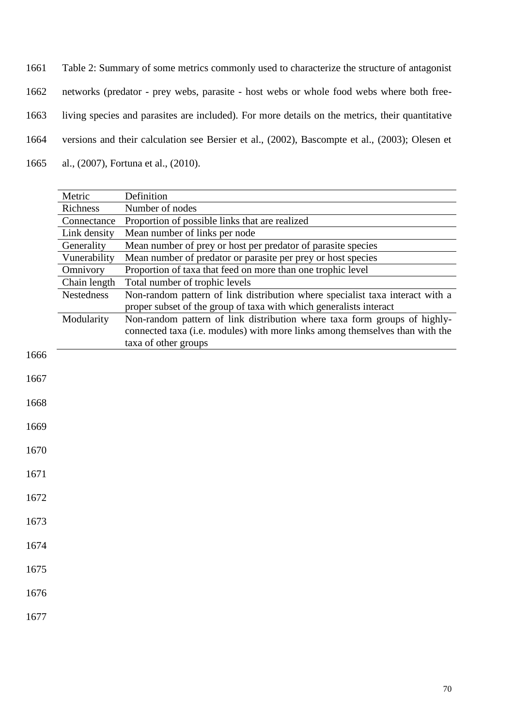Table 2: Summary of some metrics commonly used to characterize the structure of antagonist networks (predator - prey webs, parasite - host webs or whole food webs where both free- living species and parasites are included). For more details on the metrics, their quantitative versions and their calculation see Bersier et al., (2002), Bascompte et al., (2003); Olesen et al., (2007), Fortuna et al., (2010).

|      | Metric                                                                       | Definition                                                                    |  |  |
|------|------------------------------------------------------------------------------|-------------------------------------------------------------------------------|--|--|
|      | Richness                                                                     | Number of nodes                                                               |  |  |
|      | Connectance                                                                  | Proportion of possible links that are realized                                |  |  |
|      | Link density                                                                 | Mean number of links per node                                                 |  |  |
|      | Generality                                                                   | Mean number of prey or host per predator of parasite species                  |  |  |
|      | Vunerability<br>Mean number of predator or parasite per prey or host species |                                                                               |  |  |
|      | Omnivory                                                                     | Proportion of taxa that feed on more than one trophic level                   |  |  |
|      | Chain length                                                                 | Total number of trophic levels                                                |  |  |
|      | <b>Nestedness</b>                                                            | Non-random pattern of link distribution where specialist taxa interact with a |  |  |
|      |                                                                              | proper subset of the group of taxa with which generalists interact            |  |  |
|      | Modularity                                                                   | Non-random pattern of link distribution where taxa form groups of highly-     |  |  |
|      |                                                                              | connected taxa (i.e. modules) with more links among themselves than with the  |  |  |
|      |                                                                              | taxa of other groups                                                          |  |  |
| 1666 |                                                                              |                                                                               |  |  |
|      |                                                                              |                                                                               |  |  |
| 1667 |                                                                              |                                                                               |  |  |
|      |                                                                              |                                                                               |  |  |
| 1668 |                                                                              |                                                                               |  |  |
|      |                                                                              |                                                                               |  |  |
| 1669 |                                                                              |                                                                               |  |  |
|      |                                                                              |                                                                               |  |  |
| 1670 |                                                                              |                                                                               |  |  |
|      |                                                                              |                                                                               |  |  |
| 1671 |                                                                              |                                                                               |  |  |
|      |                                                                              |                                                                               |  |  |
| 1672 |                                                                              |                                                                               |  |  |
|      |                                                                              |                                                                               |  |  |
| 1673 |                                                                              |                                                                               |  |  |
|      |                                                                              |                                                                               |  |  |
| 1674 |                                                                              |                                                                               |  |  |
|      |                                                                              |                                                                               |  |  |
| 1675 |                                                                              |                                                                               |  |  |
|      |                                                                              |                                                                               |  |  |
| 1676 |                                                                              |                                                                               |  |  |
|      |                                                                              |                                                                               |  |  |
| 1677 |                                                                              |                                                                               |  |  |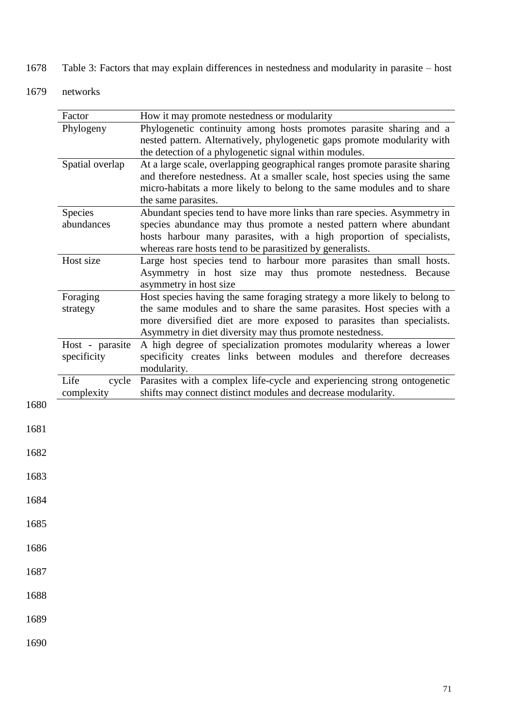- 1678 Table 3: Factors that may explain differences in nestedness and modularity in parasite host
- 1679 networks

|      | Factor                         | How it may promote nestedness or modularity                                                                                                                                                                                                                                             |
|------|--------------------------------|-----------------------------------------------------------------------------------------------------------------------------------------------------------------------------------------------------------------------------------------------------------------------------------------|
|      | Phylogeny                      | Phylogenetic continuity among hosts promotes parasite sharing and a<br>nested pattern. Alternatively, phylogenetic gaps promote modularity with<br>the detection of a phylogenetic signal within modules.                                                                               |
|      | Spatial overlap                | At a large scale, overlapping geographical ranges promote parasite sharing<br>and therefore nestedness. At a smaller scale, host species using the same<br>micro-habitats a more likely to belong to the same modules and to share<br>the same parasites.                               |
|      | Species                        | Abundant species tend to have more links than rare species. Asymmetry in                                                                                                                                                                                                                |
|      | abundances                     | species abundance may thus promote a nested pattern where abundant<br>hosts harbour many parasites, with a high proportion of specialists,<br>whereas rare hosts tend to be parasitized by generalists.                                                                                 |
|      | Host size                      | Large host species tend to harbour more parasites than small hosts.<br>Asymmetry in host size may thus promote nestedness. Because<br>asymmetry in host size                                                                                                                            |
|      | Foraging<br>strategy           | Host species having the same foraging strategy a more likely to belong to<br>the same modules and to share the same parasites. Host species with a<br>more diversified diet are more exposed to parasites than specialists.<br>Asymmetry in diet diversity may thus promote nestedness. |
|      | Host - parasite<br>specificity | A high degree of specialization promotes modularity whereas a lower<br>specificity creates links between modules and therefore decreases<br>modularity.                                                                                                                                 |
|      | Life<br>cycle<br>complexity    | Parasites with a complex life-cycle and experiencing strong ontogenetic<br>shifts may connect distinct modules and decrease modularity.                                                                                                                                                 |
| 1680 |                                |                                                                                                                                                                                                                                                                                         |
| 1681 |                                |                                                                                                                                                                                                                                                                                         |
| 1682 |                                |                                                                                                                                                                                                                                                                                         |
| 1683 |                                |                                                                                                                                                                                                                                                                                         |
| 1684 |                                |                                                                                                                                                                                                                                                                                         |
| 1685 |                                |                                                                                                                                                                                                                                                                                         |
| 1686 |                                |                                                                                                                                                                                                                                                                                         |
| 1687 |                                |                                                                                                                                                                                                                                                                                         |
| 1688 |                                |                                                                                                                                                                                                                                                                                         |
| 1689 |                                |                                                                                                                                                                                                                                                                                         |
| 1690 |                                |                                                                                                                                                                                                                                                                                         |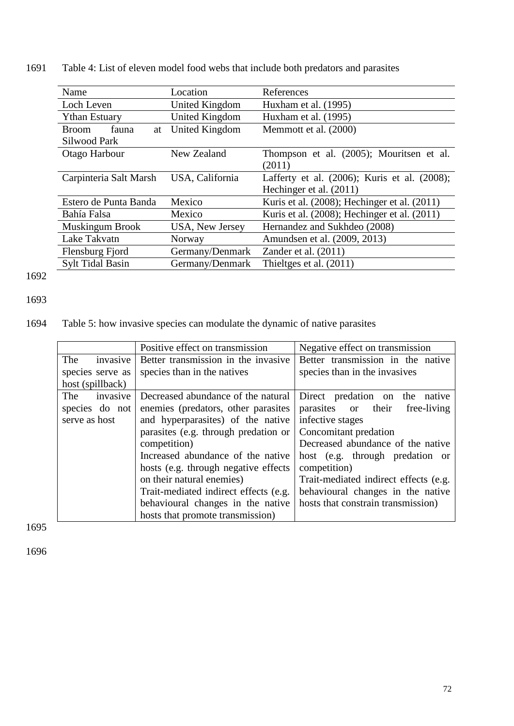| 1691 | Table 4: List of eleven model food webs that include both predators and parasites |  |
|------|-----------------------------------------------------------------------------------|--|
|------|-----------------------------------------------------------------------------------|--|

| Name                    | Location              | References                                   |  |
|-------------------------|-----------------------|----------------------------------------------|--|
| Loch Leven              | United Kingdom        | Huxham et al. (1995)                         |  |
| <b>Ythan Estuary</b>    | <b>United Kingdom</b> | Huxham et al. (1995)                         |  |
| Broom<br>fauna<br>at    | <b>United Kingdom</b> | Memmott et al. (2000)                        |  |
| Silwood Park            |                       |                                              |  |
| Otago Harbour           | New Zealand           | Thompson et al. (2005); Mouritsen et al.     |  |
|                         |                       | (2011)                                       |  |
| Carpinteria Salt Marsh  | USA, California       | Lafferty et al. (2006); Kuris et al. (2008); |  |
|                         |                       | Hechinger et al. (2011)                      |  |
| Estero de Punta Banda   | Mexico                | Kuris et al. (2008); Hechinger et al. (2011) |  |
| Bahía Falsa             | Mexico                | Kuris et al. (2008); Hechinger et al. (2011) |  |
| Muskingum Brook         | USA, New Jersey       | Hernandez and Sukhdeo (2008)                 |  |
| Lake Takvatn            | Norway                | Amundsen et al. (2009, 2013)                 |  |
| Flensburg Fjord         | Germany/Denmark       | Zander et al. $(2011)$                       |  |
| <b>Sylt Tidal Basin</b> | Germany/Denmark       | Thieltges et al. (2011)                      |  |



1693

1694 Table 5: how invasive species can modulate the dynamic of native parasites

|                                   | Positive effect on transmission       |                                       |  |  |
|-----------------------------------|---------------------------------------|---------------------------------------|--|--|
|                                   |                                       | Negative effect on transmission       |  |  |
| invasive<br>The                   | Better transmission in the invasive   | Better transmission in the native     |  |  |
| species serve as                  | species than in the natives           | species than in the invasives         |  |  |
| host (spillback)                  |                                       |                                       |  |  |
| The<br>invasive                   | Decreased abundance of the natural    | Direct predation on the native        |  |  |
| species do not                    | enemies (predators, other parasites   | parasites or their<br>free-living     |  |  |
| serve as host                     | and hyperparasites) of the native     | infective stages                      |  |  |
|                                   | parasites (e.g. through predation or  | Concomitant predation                 |  |  |
|                                   | competition)                          | Decreased abundance of the native     |  |  |
| Increased abundance of the native |                                       | host (e.g. through predation or       |  |  |
|                                   | hosts (e.g. through negative effects) | competition)                          |  |  |
| on their natural enemies)         |                                       | Trait-mediated indirect effects (e.g. |  |  |
|                                   | Trait-mediated indirect effects (e.g. | behavioural changes in the native     |  |  |
| behavioural changes in the native |                                       | hosts that constrain transmission)    |  |  |
|                                   | hosts that promote transmission)      |                                       |  |  |

1695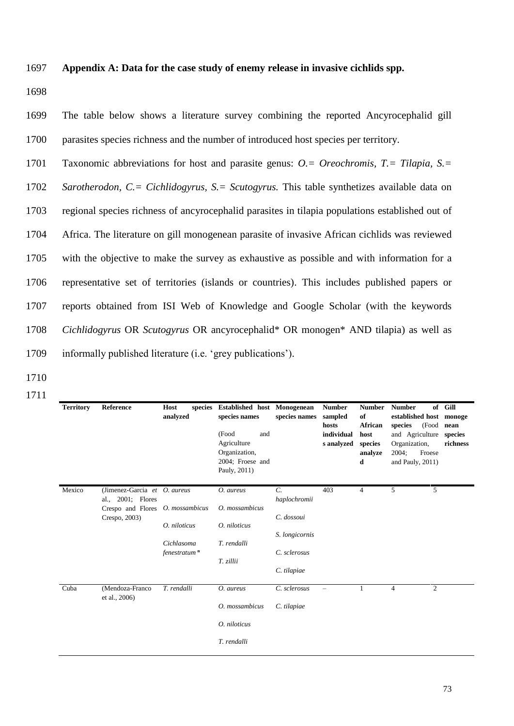## 1697 **Appendix A: Data for the case study of enemy release in invasive cichlids spp.**

1698

1699 The table below shows a literature survey combining the reported Ancyrocephalid gill 1700 parasites species richness and the number of introduced host species per territory.

 Taxonomic abbreviations for host and parasite genus: *O.= Oreochromis, T.= Tilapia, S.= Sarotherodon, C.= Cichlidogyrus, S.= Scutogyrus.* This table synthetizes available data on regional species richness of ancyrocephalid parasites in tilapia populations established out of Africa. The literature on gill monogenean parasite of invasive African cichlids was reviewed with the objective to make the survey as exhaustive as possible and with information for a representative set of territories (islands or countries). This includes published papers or reports obtained from ISI Web of Knowledge and Google Scholar (with the keywords *Cichlidogyrus* OR *Scutogyrus* OR ancyrocephalid\* OR monogen\* AND tilapia) as well as informally published literature (i.e. 'grey publications').

- 1710
- 1711

| <b>Territory</b> | Reference                                                                                                        | <b>Host</b><br>analyzed                                | species Established host Monogenean<br>species names<br>(Food<br>and<br>Agriculture<br>Organization,<br>2004; Froese and<br>Pauly, 2011) | species names                                                                                  | <b>Number</b><br>sampled<br>hosts<br>individual<br>s analyzed | <b>Number</b><br>of<br>African<br>host<br>species<br>analyze<br>d | <b>Number</b><br>established host monoge<br>species<br>(Food<br>and Agriculture<br>Organization,<br>Froese<br>2004:<br>and Pauly, 2011) | of Gill<br>nean<br>species<br>richness |
|------------------|------------------------------------------------------------------------------------------------------------------|--------------------------------------------------------|------------------------------------------------------------------------------------------------------------------------------------------|------------------------------------------------------------------------------------------------|---------------------------------------------------------------|-------------------------------------------------------------------|-----------------------------------------------------------------------------------------------------------------------------------------|----------------------------------------|
| Mexico           | (Jimenez-Garcia et $O$ , aureus<br>al., 2001; Flores<br>Crespo and Flores <i>O. mossambicus</i><br>Crespo, 2003) | O. niloticus<br>Cichlasoma<br>fenestratum <sup>n</sup> | O. aureus<br>O. mossambicus<br>O. niloticus<br>T. rendalli<br>T. zillii                                                                  | $\mathcal{C}$ .<br>haplochromii<br>C. dossoui<br>S. longicornis<br>C. sclerosus<br>C. tilapiae | 403                                                           | $\overline{4}$                                                    | 5<br>5                                                                                                                                  |                                        |
| Cuba             | (Mendoza-Franco<br>et al., 2006)                                                                                 | T. rendalli                                            | O. aureus<br>O. mossambicus<br>O. niloticus<br>T. rendalli                                                                               | C. sclerosus<br>C. tilapiae                                                                    |                                                               | 1                                                                 | $\overline{c}$<br>$\overline{4}$                                                                                                        |                                        |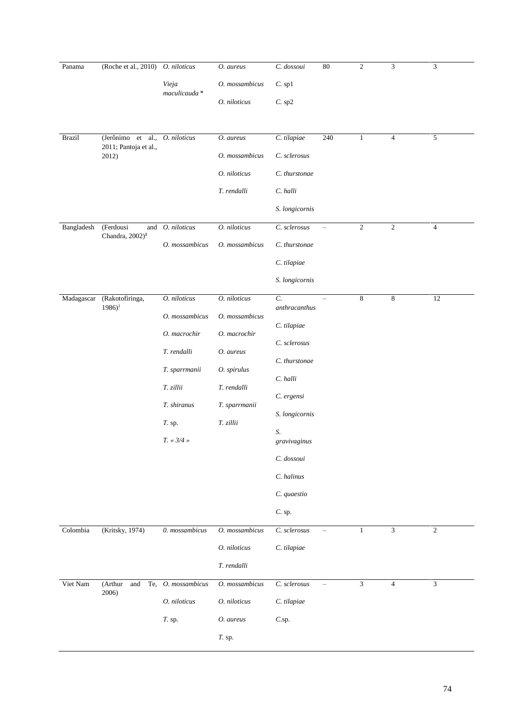| Panama        | (Roche et al., 2010)                                | O. niloticus                      | O. aureus                                                             | C. dossoui                        | $80\,$                            | $\boldsymbol{2}$ | 3                | 3                |
|---------------|-----------------------------------------------------|-----------------------------------|-----------------------------------------------------------------------|-----------------------------------|-----------------------------------|------------------|------------------|------------------|
|               |                                                     | Vieja<br>maculicauda <sup>n</sup> | O. mossambicus                                                        | $C.$ sp1                          |                                   |                  |                  |                  |
|               |                                                     |                                   | O. niloticus                                                          | $C.$ sp2                          |                                   |                  |                  |                  |
|               |                                                     |                                   |                                                                       |                                   |                                   |                  |                  |                  |
| <b>Brazil</b> | (Jerônimo et al.,<br>2011; Pantoja et al.,<br>2012) | O. niloticus                      | O. aureus                                                             | C. tilapiae                       | 240                               | $\mathbf{1}$     | $\overline{4}$   | 5                |
|               |                                                     |                                   | O. mossambicus                                                        | C. sclerosus                      |                                   |                  |                  |                  |
|               |                                                     |                                   | O. niloticus<br>T. rendalli                                           | C. thurstonae                     |                                   |                  |                  |                  |
|               |                                                     |                                   |                                                                       | C. halli                          |                                   |                  |                  |                  |
|               |                                                     |                                   |                                                                       | S. longicornis                    |                                   |                  |                  |                  |
| Bangladesh    | (Ferdousi<br>and<br>Chandra, 2002) <sup>1</sup>     | O. niloticus                      | O. niloticus                                                          | C. sclerosus                      |                                   | 2                | $\overline{c}$   | $\overline{4}$   |
|               |                                                     | O. mossambicus                    | O. mossambicus                                                        | C. thurstonae                     |                                   |                  |                  |                  |
|               |                                                     |                                   |                                                                       | C. tilapiae                       |                                   |                  |                  |                  |
|               |                                                     |                                   |                                                                       | S. longicornis                    |                                   |                  |                  |                  |
| Madagascar    | (Rakotofiringa,<br>$1986$ <sup>1</sup>              | O. niloticus                      | O. niloticus                                                          | $\overline{C}$ .<br>anthracanthus |                                   | $\overline{8}$   | $\boldsymbol{8}$ | 12               |
|               |                                                     | O. mossambicus                    | O. mossambicus                                                        |                                   |                                   |                  |                  |                  |
|               |                                                     | O. macrochir                      | O. macrochir                                                          | C. tilapiae<br>C. sclerosus       |                                   |                  |                  |                  |
|               |                                                     | T. rendalli                       | O. aureus<br>O. spirulus<br>T. rendalli<br>T. sparrmanii<br>T. zillii |                                   |                                   |                  |                  |                  |
|               |                                                     | T. sparrmanii                     |                                                                       | C. thurstonae                     |                                   |                  |                  |                  |
|               |                                                     | T. zillii                         |                                                                       | C. halli                          |                                   |                  |                  |                  |
|               |                                                     | T. shiranus                       |                                                                       | C. ergensi                        |                                   |                  |                  |                  |
|               |                                                     | T. sp.<br>T. « 3/4 »              |                                                                       | S. longicornis                    |                                   |                  |                  |                  |
|               |                                                     |                                   |                                                                       | S.<br>gravivaginus                |                                   |                  |                  |                  |
|               |                                                     |                                   |                                                                       | C. dossoui                        |                                   |                  |                  |                  |
|               |                                                     |                                   |                                                                       | C. halinus                        |                                   |                  |                  |                  |
|               |                                                     |                                   |                                                                       | C. quaestio                       |                                   |                  |                  |                  |
|               |                                                     |                                   |                                                                       | $C.$ sp.                          |                                   |                  |                  |                  |
| Colombia      | (Kritsky, 1974)                                     | 0. mossambicus                    | O. mossambicus                                                        | C. sclerosus                      | $\overline{\phantom{a}}$          | $\mathbf{1}$     | $\mathfrak{Z}$   | $\boldsymbol{2}$ |
|               |                                                     |                                   | O. niloticus                                                          | C. tilapiae                       |                                   |                  |                  |                  |
|               |                                                     |                                   | T. rendalli                                                           |                                   |                                   |                  |                  |                  |
| Viet Nam      | (Arthur<br>Te,<br>and<br>2006)                      | O. mossambicus                    | O. mossambicus                                                        | C. sclerosus                      | $\hspace{0.1in} - \hspace{0.1in}$ | $\mathfrak{Z}$   | $\overline{4}$   | 3                |
|               |                                                     | O. niloticus                      | O. niloticus                                                          | C. tilapiae                       |                                   |                  |                  |                  |
|               |                                                     | T. sp.                            | O. aureus                                                             | C.sp.                             |                                   |                  |                  |                  |
|               |                                                     |                                   | T. sp.                                                                |                                   |                                   |                  |                  |                  |
|               |                                                     |                                   |                                                                       |                                   |                                   |                  |                  |                  |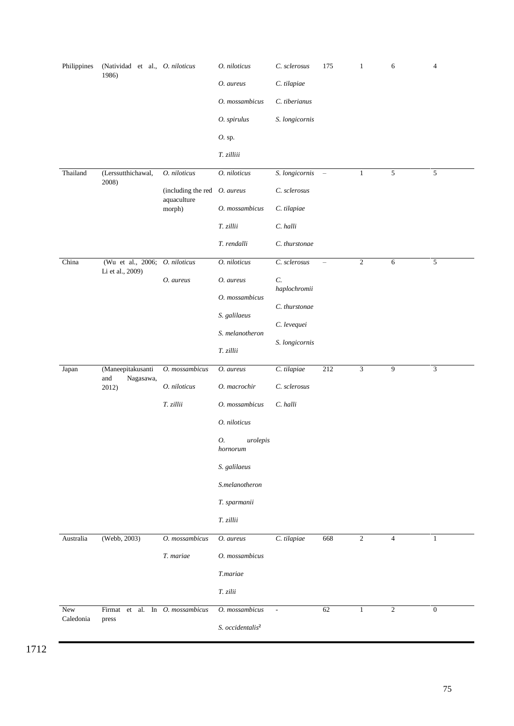| Philippines      | (Natividad et al., O. niloticus<br>1986)           |                                                         | O. niloticus<br>O. aureus<br>O. mossambicus<br>O. spirulus | C. sclerosus<br>C. tilapiae<br>C. tiberianus<br>S. longicornis | 175                      | $\mathbf{1}$ | 6              | 4              |
|------------------|----------------------------------------------------|---------------------------------------------------------|------------------------------------------------------------|----------------------------------------------------------------|--------------------------|--------------|----------------|----------------|
|                  |                                                    |                                                         | O. sp.<br>T. zilliii                                       |                                                                |                          |              |                |                |
| Thailand         | (Lerssutthichawal,<br>2008)                        | O. niloticus                                            | O. niloticus                                               | S. longicornis                                                 | $\overline{\phantom{a}}$ | $\mathbf{1}$ | 5              | $\sqrt{5}$     |
|                  |                                                    | (including the red $O.$ aureus<br>aquaculture<br>morph) |                                                            | C. sclerosus                                                   |                          |              |                |                |
|                  |                                                    |                                                         | O. mossambicus                                             | C. tilapiae                                                    |                          |              |                |                |
|                  |                                                    |                                                         | T. zillii                                                  | C. halli                                                       |                          |              |                |                |
|                  |                                                    |                                                         | T. rendalli                                                | C. thurstonae                                                  |                          |              |                |                |
| China            | (Wu et al., 2006; O. niloticus<br>Li et al., 2009) |                                                         | O. niloticus                                               | C. sclerosus                                                   | $\overline{\phantom{0}}$ | $\sqrt{2}$   | 6              | $\sqrt{5}$     |
|                  |                                                    | O. aureus                                               | O. aureus                                                  | $C$ .<br>haplochromii                                          |                          |              |                |                |
|                  |                                                    |                                                         | O. mossambicus                                             | C. thurstonae                                                  |                          |              |                |                |
|                  |                                                    |                                                         | S. galilaeus                                               | C. levequei                                                    |                          |              |                |                |
|                  |                                                    |                                                         | S. melanotheron                                            | S. longicornis                                                 |                          |              |                |                |
|                  |                                                    |                                                         | T. zillii                                                  |                                                                |                          |              |                |                |
| Japan            | (Maneepitakusanti                                  | O. mossambicus                                          | O. aureus                                                  | C. tilapiae                                                    | 212                      | 3            | 9              | $\overline{3}$ |
|                  |                                                    |                                                         |                                                            |                                                                |                          |              |                |                |
|                  | and<br>Nagasawa,<br>2012)                          | O. niloticus                                            | O. macrochir                                               | C. sclerosus                                                   |                          |              |                |                |
|                  |                                                    | T. zillii                                               | O. mossambicus                                             | C. halli                                                       |                          |              |                |                |
|                  |                                                    |                                                         | O. niloticus                                               |                                                                |                          |              |                |                |
|                  |                                                    |                                                         | 0.<br>urolepis                                             |                                                                |                          |              |                |                |
|                  |                                                    |                                                         | hornorum                                                   |                                                                |                          |              |                |                |
|                  |                                                    |                                                         | S. galilaeus                                               |                                                                |                          |              |                |                |
|                  |                                                    |                                                         | S.melanotheron                                             |                                                                |                          |              |                |                |
|                  |                                                    |                                                         | T. sparmanii<br>T. zillii                                  |                                                                |                          |              |                |                |
| Australia        | (Webb, 2003)                                       | O. mossambicus                                          | O. aureus                                                  | C. tilapiae                                                    | 668                      | $\sqrt{2}$   | $\overline{4}$ | $\mathbf{1}$   |
|                  |                                                    | T. mariae                                               | O. mossambicus                                             |                                                                |                          |              |                |                |
|                  |                                                    |                                                         | T.mariae                                                   |                                                                |                          |              |                |                |
|                  |                                                    |                                                         | T. zilii                                                   |                                                                |                          |              |                |                |
| New<br>Caledonia | Firmat<br>press                                    | et al. In O. mossambicus                                | O. mossambicus                                             | $\overline{\phantom{a}}$                                       | 62                       | 1            | $\overline{c}$ | $\mathbf{0}$   |

1712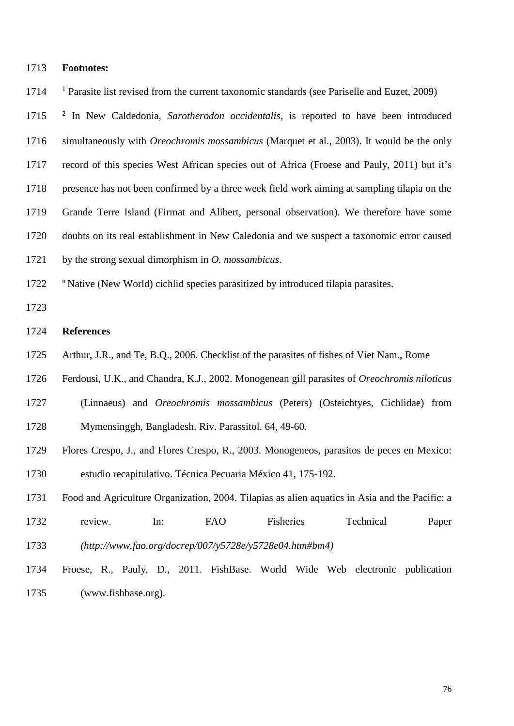## **Footnotes:**

1714 <sup>1</sup> Parasite list revised from the current taxonomic standards (see Pariselle and Euzet, 2009)

 In New Caldedonia, *Sarotherodon occidentalis*, is reported to have been introduced simultaneously with *Oreochromis mossambicus* (Marquet et al., 2003). It would be the only record of this species West African species out of Africa (Froese and Pauly, 2011) but it's presence has not been confirmed by a three week field work aiming at sampling tilapia on the Grande Terre Island (Firmat and Alibert, personal observation). We therefore have some doubts on its real establishment in New Caledonia and we suspect a taxonomic error caused

- by the strong sexual dimorphism in *O. mossambicus*.
- 1722 <sup>n</sup> Native (New World) cichlid species parasitized by introduced tilapia parasites.
- 

## **References**

- Arthur, J.R., and Te, B.Q., 2006. Checklist of the parasites of fishes of Viet Nam., Rome
- Ferdousi, U.K., and Chandra, K.J., 2002. Monogenean gill parasites of *Oreochromis niloticus*
- (Linnaeus) and *Oreochromis mossambicus* (Peters) (Osteichtyes, Cichlidae) from Mymensinggh, Bangladesh. Riv. Parassitol. 64, 49-60.
- Flores Crespo, J., and Flores Crespo, R., 2003. Monogeneos, parasitos de peces en Mexico: estudio recapitulativo. Técnica Pecuaria México 41, 175-192.
- Food and Agriculture Organization, 2004. Tilapias as alien aquatics in Asia and the Pacific: a
- review. In: FAO Fisheries Technical Paper
- *(http://www.fao.org/docrep/007/y5728e/y5728e04.htm#bm4)*
- Froese, R., Pauly, D., 2011. FishBase. World Wide Web electronic publication (www.fishbase.org).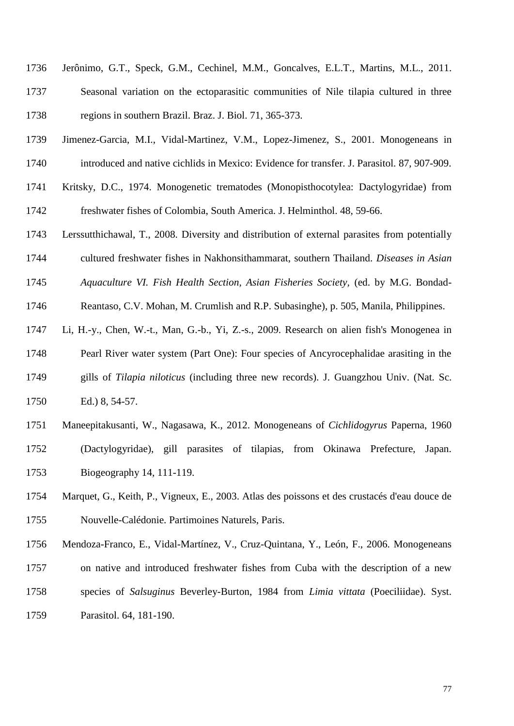- <span id="page-76-1"></span> Jerônimo, G.T., Speck, G.M., Cechinel, M.M., Goncalves, E.L.T., Martins, M.L., 2011. Seasonal variation on the ectoparasitic communities of Nile tilapia cultured in three regions in southern Brazil. Braz. J. Biol. 71, 365-373.
- Jimenez-Garcia, M.I., Vidal-Martinez, V.M., Lopez-Jimenez, S., 2001. Monogeneans in
- introduced and native cichlids in Mexico: Evidence for transfer. J. Parasitol. 87, 907-909.
- Kritsky, D.C., 1974. Monogenetic trematodes (Monopisthocotylea: Dactylogyridae) from

freshwater fishes of Colombia, South America. J. Helminthol. 48, 59-66.

- Lerssutthichawal, T., 2008. Diversity and distribution of external parasites from potentially
- cultured freshwater fishes in Nakhonsithammarat, southern Thailand. *Diseases in Asian*
- *Aquaculture VI. Fish Health Section, Asian Fisheries Society,* (ed. by M.G. Bondad-
- Reantaso, C.V. Mohan, M. Crumlish and R.P. Subasinghe), p. 505, Manila, Philippines.
- Li, H.-y., Chen, W.-t., Man, G.-b., Yi, Z.-s., 2009. Research on alien fish's Monogenea in Pearl River water system (Part One): Four species of Ancyrocephalidae arasiting in the gills of *Tilapia niloticus* (including three new records). J. Guangzhou Univ. (Nat. Sc.
- Ed.) 8, 54-57.
- Maneepitakusanti, W., Nagasawa, K., 2012. Monogeneans of *Cichlidogyrus* Paperna, 1960 (Dactylogyridae), gill parasites of tilapias, from Okinawa Prefecture, Japan. Biogeography 14, 111-119.
- Marquet, G., Keith, P., Vigneux, E., 2003. Atlas des poissons et des crustacés d'eau douce de Nouvelle-Calédonie. Partimoines Naturels, Paris.
- <span id="page-76-0"></span> Mendoza-Franco, E., Vidal-Martínez, V., Cruz-Quintana, Y., León, F., 2006. Monogeneans on native and introduced freshwater fishes from Cuba with the description of a new species of *Salsuginus* Beverley-Burton, 1984 from *Limia vittata* (Poeciliidae). Syst. Parasitol. 64, 181-190.